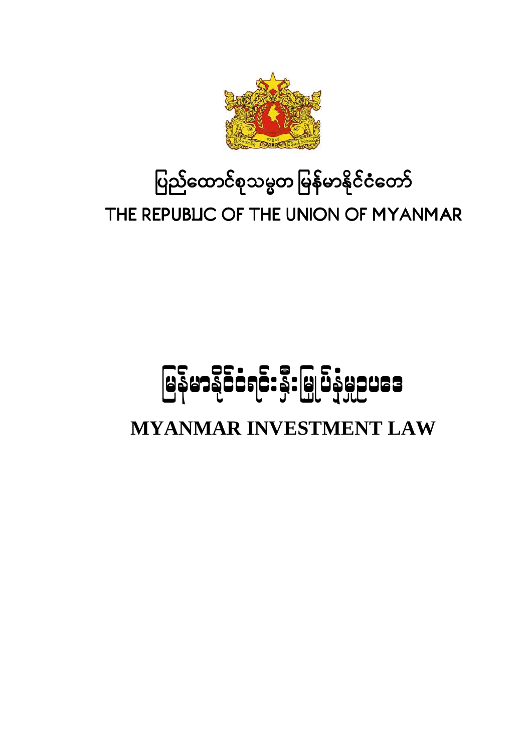# ပြည်ထောင်စုသမ္မတ မြန်မာနိုင်ငံတော် THE REPUBLIC OF THE UNION OF MYANMAR

# မြန်မာနိုင်ငံရင်းနှီးမြှုပ်နှံမှုဥပဒေ

**MYANMAR INVESTMENT LAW** 

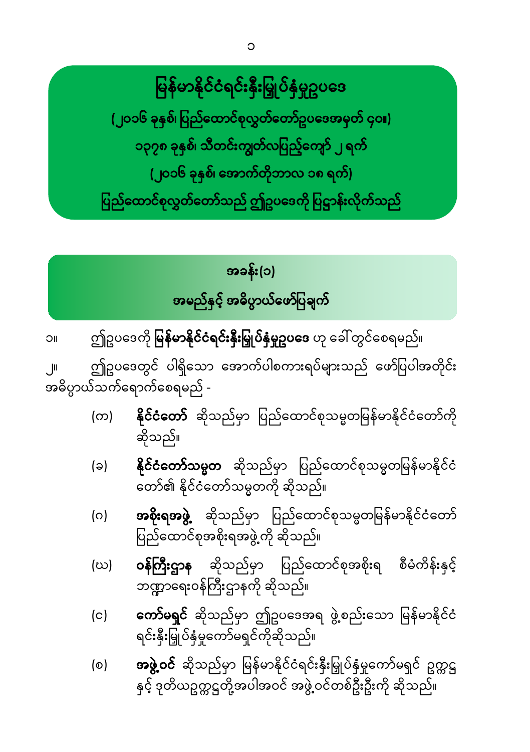မြန်မာနိုင်ငံရင်းနှီးမြှုပ်နှံမှုဥပဒေ

(၂၀၁၆ ခုနှစ်၊ ပြည်ထောင်စုလွှတ်တော်ဥပဒေအမှတ် ၄၀။) ၁၃၇၈ ခုနှစ်၊ သီတင်းကျွတ်လပြည့်ကျော် ၂ ရက် (၂၀၁၆ ခု<mark>နှစ်၊ အောက်တိုဘာလ ၁၈ ရက်)</mark> ပြည်ထောင်စုလွှတ်တော်သည် ဤဥပဒေကို ပြဋ္ဌာန်းလိုက်သည်

# အခန်း(၁) <mark>အမည်နှင့် အဓိပ္ပာယ်ဖော်ပြချက</mark>်

ဤဥပဒေကို **မြန်မာနိုင်ငံရင်းနှီးမြှုပ်နှံမှုဥပဒေ** ဟု ခေါ် တွင်စေရမည်။ **IIC** 

ဤဥပဒေတွင် ပါရှိသော အောက်ပါစကားရပ်များသည် ဖော်ပြပါအတိုင်း  $\mathbf{r}$ အဓိပ္ပာယ်သက်ရောက်စေရမည် -

- <mark>နိုင်ငံတော</mark>် ဆိုသည်မှာ ပြည်ထောင်စုသမ္မတမြန်မာနိုင်ငံတော်ကို  $(\infty)$ ဆိုသည်။
- နို**င်ငံတော်သမ္မတ** ဆိုသည်မှာ ပြည်ထောင်စုသမ္မတမြန်မာနိုင်ငံ  $(a)$ တော်၏ နိုင်ငံတော်သမ္မတကို ဆိုသည်။
- **အစိုးရအဖွဲ့** ဆိုသည်မှာ ပြည်ထောင်စုသမ္မတမြန်မာနိုင်ငံတော်  $\overline{O}$ ပြည်ထောင်စုအစိုးရအဖွဲ့ ကို ဆိုသည်။
- **ဝန်ကြီးဌာန** ဆိုသည်မှာ ပြည်ထောင်စုအစိုးရ စီမံကိန်းနှင့် (ဃ) ဘဏ္ဍာရေးဝန်ကြီးဌာနကို ဆိုသည်။
- **ကော်မရှင်** ဆိုသည်မှာ ဤဥပဒေအရ ဖွဲ့စည်းသော မြန်မာနိုင်ငံ  $(c)$ ရင်းနှီးမြှုပ်နှံမှုကော်မရှင်ကိုဆိုသည်။
- **အဖွဲ့ဝင်** ဆိုသည်မှာ မြန်မာနိုင်ငံရင်းနှီးမြှုပ်နှံမှုကော်မရှင် ဥက္ကဋ္ဌ  $\lceil \circ \rceil$ နှင့် ဒုတိယဥက္ကဋ္ဌတို့အပါအဝင် အဖွဲ့ ဝင်တစ်ဦးဦးကို ဆိုသည်။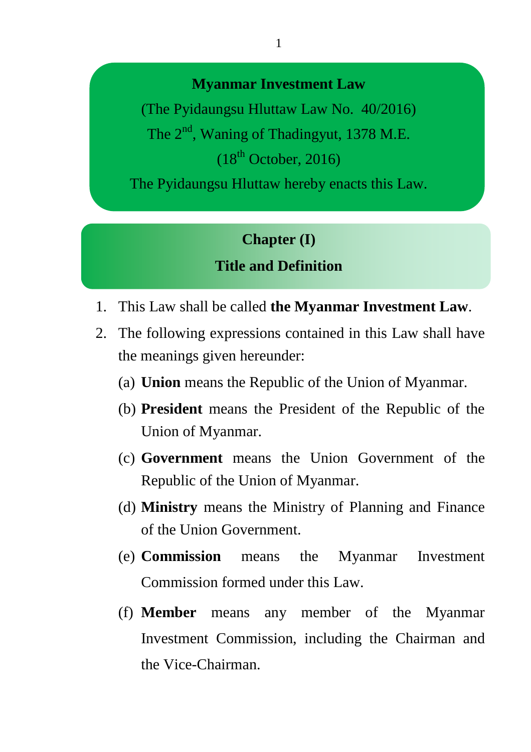#### **Myanmar Investment Law**

(The Pyidaungsu Hluttaw Law No. 40/2016) The  $2<sup>nd</sup>$ , Waning of Thadingyut, 1378 M.E.  $(18<sup>th</sup> October, 2016)$ 

The Pyidaungsu Hluttaw hereby enacts this Law.

#### **Chapter (I)**

#### **Title and Definition**

- 1. This Law shall be called **the Myanmar Investment Law**.
- 2. The following expressions contained in this Law shall have the meanings given hereunder:
	- (a) **Union** means the Republic of the Union of Myanmar.
	- (b) **President** means the President of the Republic of the Union of Myanmar.
	- (c) **Government** means the Union Government of the Republic of the Union of Myanmar.
	- (d) **Ministry** means the Ministry of Planning and Finance of the Union Government.
	- (e) **Commission** means the Myanmar Investment Commission formed under this Law.
	- (f) **Member** means any member of the Myanmar Investment Commission, including the Chairman and the Vice-Chairman.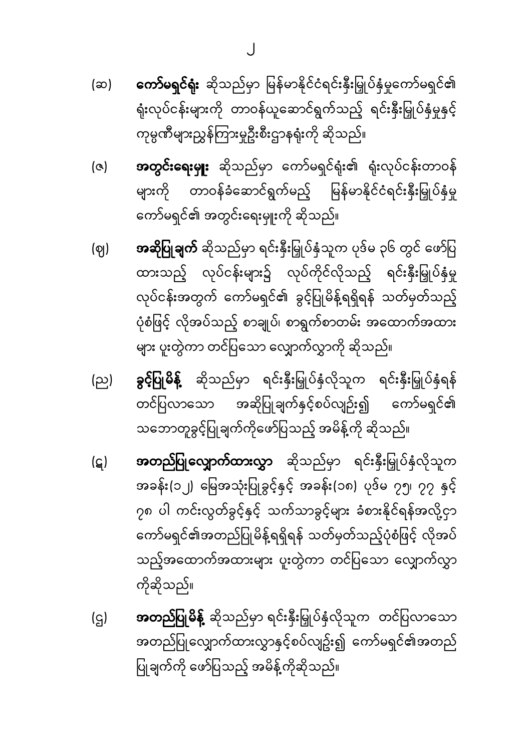- **ကော်မရှင်ရုံး** ဆိုသည်မှာ မြန်မာနိုင်ငံရင်းနှီးမြှုပ်နှံမှုကော်မရှင်၏ (ဆ) ရုံးလုပ်ငန်းများကို တာဝန်ယူဆောင်ရွက်သည့် ရင်းနီးမြှုပ်နှံမှုနှင့် ကုမ္ပဏီများညွှန်ကြားမူဦးစီးဌာနရုံးကို ဆိုသည်။
- **အတွင်းရေးမှုုး** ဆိုသည်မှာ ကော်မရှင်ရုံး၏ ရုံးလုပ်ငန်းတာဝန် (૭) များကို တာဝန်ခံဆောင်ရွက်မည့် မြန်မာနိုင်ငံရင်းနှီးမြှုပ်နှံမှု ကော်မရှင်၏ အတွင်းရေးမှူးကို ဆိုသည်။
- **အဆိုပြုချက်** ဆိုသည်မှာ ရင်းနှီးမြှုပ်နှံသူက ပုဒ်မ ၃၆ တွင် ဖော်ပြ (ဈ) ထားသည့် လုပ်ငန်းများ၌ လုပ်ကိုင်လိုသည့် ရင်းနှီးမြှုပ်နှံမှု လုပ်ငန်းအတွက် ကော်မရှင်၏ ခွင့်ပြုမိန့်ရရှိရန် သတ်မှတ်သည့် ပုံစံဖြင့် လိုအပ်သည့် စာချုပ်၊ စာရွက်စာတမ်း အထောက်အထား များ ပူးတွဲကာ တင်ပြသော လျှောက်လွှာကို ဆိုသည်။
- **ခွင့်ပြုမိန့်** ဆိုသည်မှာ ရင်းနှီးမြှုပ်နှံလိုသူက ရင်းနှီးမြှုပ်နှံရန် (ည) တင်ပြလာသော အဆိုပြုချက်နှင့်စပ်လျဉ်း၍ ကော်မရှင်၏ သဘောတူခွင့်ပြုချက်ကိုဖော်ပြသည့် အမိန့်ကို ဆိုသည်။
- **အတည်ပြုလျှောက်ထားလွှာ** ဆိုသည်မှာ ရင်းနှီးမြှုပ်နှံလိုသူက (ဋ) အခန်း(၁၂) မြေအသုံးပြုခွင့်နှင့် အခန်း(၁၈) ပုဒ်မ ၇၅၊ ၇၇ နှင့် ၇၈ ပါ ကင်းလွတ်ခွင့်နှင့် သက်သာခွင့်များ ခံစားနိုင်ရန်အလို့ငှာ ကော်မရှင်၏အတည်ပြုမိန့်ရရှိရန် သတ်မှတ်သည့်ပုံစံဖြင့် လိုအပ် သည့်အထောက်အထားများ ပူးတွဲကာ တင်ပြသော လျှောက်လွှာ ကိုဆိုသည်။
- **အတည်ပြုမိန့်** ဆိုသည်မှာ ရင်းနှီးမြှုပ်နှံလိုသူက တင်ပြလာသော  $(q)$ အတည်ပြုလျှောက်ထားလွှာနှင့်စပ်လျဥ်း၍ ကော်မရှင်၏အတည် ပြုချက်ကို ဖော်ပြသည့် အမိန့်ကိုဆိုသည်။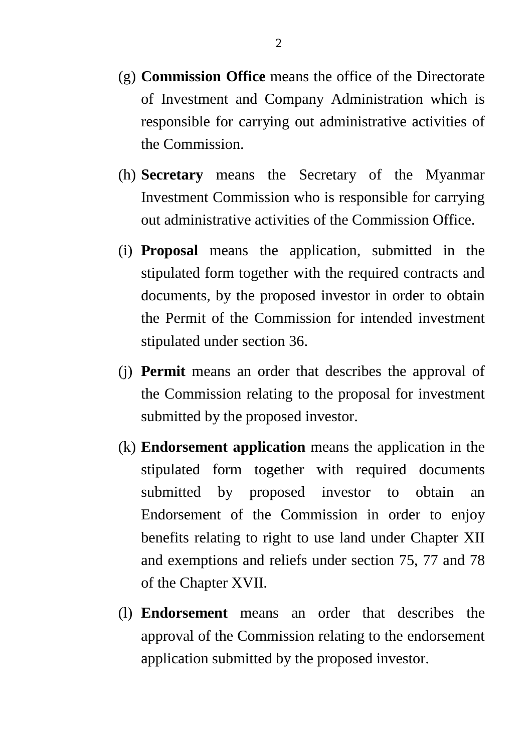- (g) **Commission Office** means the office of the Directorate of Investment and Company Administration which is responsible for carrying out administrative activities of the Commission.
- (h) **Secretary** means the Secretary of the Myanmar Investment Commission who is responsible for carrying out administrative activities of the Commission Office.
- (i) **Proposal** means the application, submitted in the stipulated form together with the required contracts and documents, by the proposed investor in order to obtain the Permit of the Commission for intended investment stipulated under section 36.
- (j) **Permit** means an order that describes the approval of the Commission relating to the proposal for investment submitted by the proposed investor.
- (k) **Endorsement application** means the application in the stipulated form together with required documents submitted by proposed investor to obtain an Endorsement of the Commission in order to enjoy benefits relating to right to use land under Chapter XII and exemptions and reliefs under section 75, 77 and 78 of the Chapter XVII.
- (l) **Endorsement** means an order that describes the approval of the Commission relating to the endorsement application submitted by the proposed investor.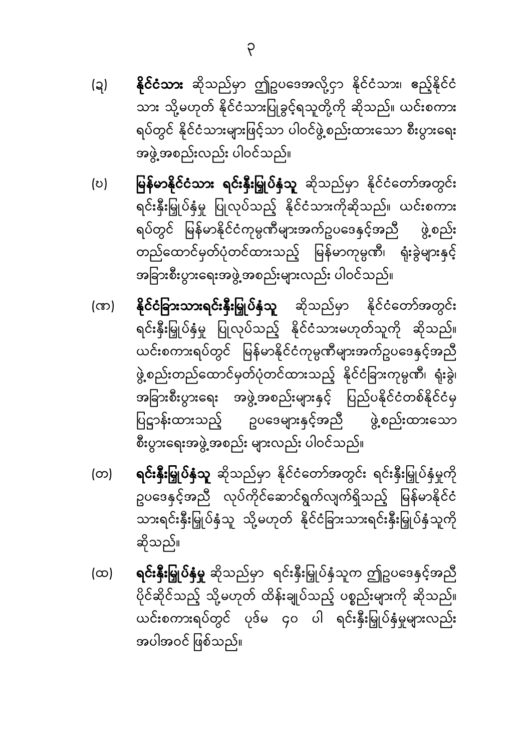- **နိုင်ငံသား** ဆိုသည်မှာ ဤဥပဒေအလို့ငှာ နိုင်ငံသား၊ ဧည့်နိုင်ငံ (၃) သား သို့မဟုတ် နိုင်ငံသားပြုခွင့်ရသူတို့ကို ဆိုသည်။ ယင်းစကား ရပ်တွင် နိုင်ငံသားများဖြင့်သာ ပါဝင်ဖွဲ့စည်းထားသော စီးပွားရေး အဖွဲ့အစည်းလည်း ပါဝင်သည်။
- မြန်မာနိုင်ငံသား ရင်းနှီးမြှုပ်နှံသူ ဆိုသည်မှာ နိုင်ငံတော်အတွင်း (ಲ) ရင်းနှီးမြှုပ်နှံမှု ပြုလုပ်သည့် နိုင်ငံသားကိုဆိုသည်။ ယင်းစကား ရပ်တွင် မြန်မာနိုင်ငံကုမ္ပဏီများအက်ဥပဒေနှင့်အညီ ဖွဲ့စည်း တည်ထောင်မှတ်ပုံတင်ထားသည့် မြန်မာကုမ္ပဏီ၊ ရုံးခွဲများနှင့် အခြားစီးပွားရေးအဖွဲ့ အစည်းများလည်း ပါဝင်သည်။
- **နိုင်ငံခြားသားရင်းနှီးမြှုပ်နှံသူ** ဆိုသည်မှာ နိုင်ငံတော်အတွင်း (ဏ) ရင်းနှီးမြှုပ်နှံမှု ပြုလုပ်သည့် နိုင်ငံသားမဟုတ်သူကို ဆိုသည်။ ယင်းစကားရပ်တွင် မြန်မာနိုင်ငံကုမ္ပဏီများအက်ဥပဒေနှင့်အညီ ဖွဲ့စည်းတည်ထောင်မှတ်ပုံတင်ထားသည့် နိုင်ငံခြားကုမ္ပဏီ၊ ရုံးခွဲ၊ အခြားစီးပွားရေး အဖွဲ့အစည်းများနှင့် ပြည်ပနိုင်ငံတစ်နိုင်ငံမှ ပြဋ္ဌာန်းထားသည့် ဥပဒေများနှင့်အညီ ဖွဲ့စည်းထားသော စီးပွားရေးအဖွဲ့ အစည်း များလည်း ပါဝင်သည်။
- ရ**င်းနှီးမြှုပ်နှံသူ** ဆိုသည်မှာ နိုင်ငံတော်အတွင်း ရင်းနှီးမြှုပ်နှံမှုကို (တ) ဥပဒေနှင့်အညီ လုပ်ကိုင်ဆောင်ရွက်လျက်ရှိသည့် မြန်မာနိုင်ငံ သားရင်းနှီးမြှုပ်နှံသူ သို့မဟုတ် နိုင်ငံခြားသားရင်းနှီးမြှုပ်နှံသူကို ဆိုသည်။
- **ရင်းနှီးမြှုပ်နှံမှု** ဆိုသည်မှာ ရင်းနှီးမြှုပ်နှံသူက ဤဥပဒေနှင့်အညီ  $(\infty)$ ပိုင်ဆိုင်သည့် သို့မဟုတ် ထိန်းချုပ်သည့် ပစ္စည်းများကို ဆိုသည်။ ယင်းစကားရပ်တွင် ပုဒ်မ ၄၀ ပါ ရင်းနှီးမြှုပ်နှံမှုများလည်း အပါအဝင် ဖြစ်သည်။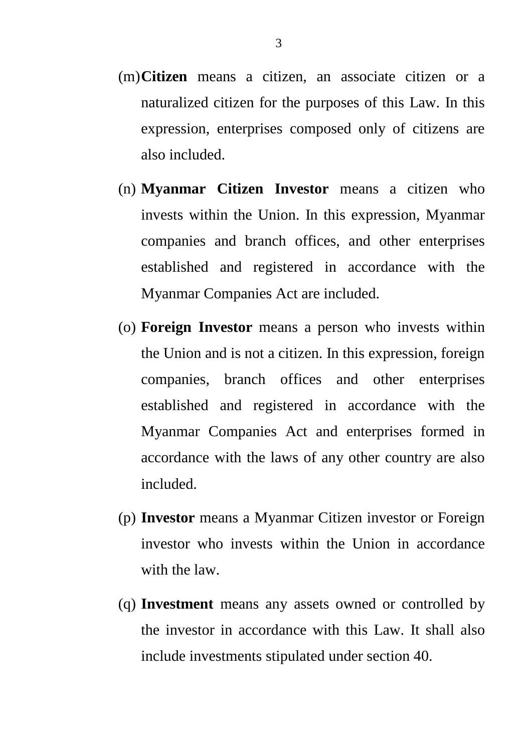- (m)**Citizen** means a citizen, an associate citizen or a naturalized citizen for the purposes of this Law. In this expression, enterprises composed only of citizens are also included.
- (n) **Myanmar Citizen Investor** means a citizen who invests within the Union. In this expression, Myanmar companies and branch offices, and other enterprises established and registered in accordance with the Myanmar Companies Act are included.
- (o) **Foreign Investor** means a person who invests within the Union and is not a citizen. In this expression, foreign companies, branch offices and other enterprises established and registered in accordance with the Myanmar Companies Act and enterprises formed in accordance with the laws of any other country are also included.
- (p) **Investor** means a Myanmar Citizen investor or Foreign investor who invests within the Union in accordance with the law.
- (q) **Investment** means any assets owned or controlled by the investor in accordance with this Law. It shall also include investments stipulated under section 40.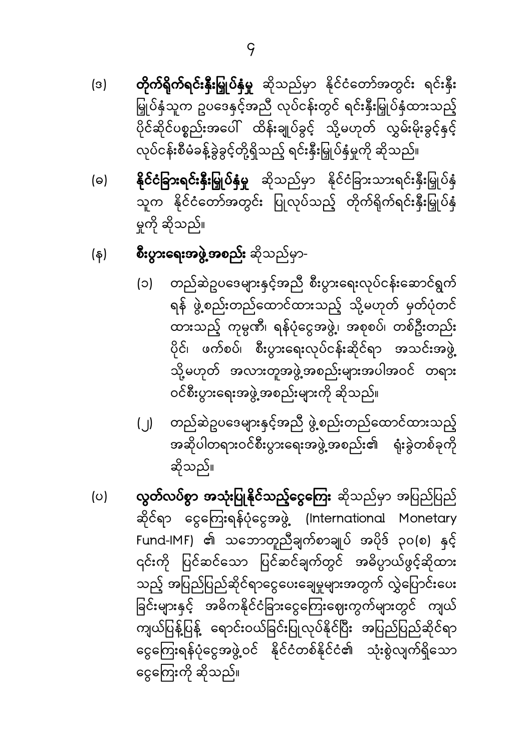- $(3)$ မြှုပ်နှံသူက ဥပဒေနှင့်အညီ လုပ်ငန်းတွင် ရင်းနှီးမြှုပ်နှံထားသည့် ပိုင်ဆိုင်ပစ္စည်းအပေါ် ထိန်းချုပ်ခွင့် သို့မဟုတ် လွှမ်းမိုးခွင့်နှင့် လုပ်ငန်းစီမံခန့်ခွဲခွင့်တို့ရှိသည့် ရင်းနှီးမြှုပ်နှံမှုကို ဆိုသည်။
- **နိုင်ငံခြားရင်းနှီးမြှုပ်နှံမှု** ဆိုသည်မှာ နိုင်ငံခြားသားရင်းနှီးမြှုပ်နှံ  $\Theta$ သူက နိုင်ငံတော်အတွင်း ပြုလုပ်သည့် တိုက်ရိုက်ရင်းနှီးမြှုပ်နှံ မှုကို ဆိုသည်။
- စီးပွားရေးအဖွဲ့အစည်း ဆိုသည်မှာ-(န)
	- (၁) တည်ဆဲဥပဒေများနှင့်အညီ စီးပွားရေးလုပ်ငန်းဆောင်ရွက် ရန် ဖွဲ့စည်းတည်ထောင်ထားသည့် သို့မဟုတ် မှတ်ပုံတင် ထားသည့် ကုမ္ပဏီ၊ ရန်ပုံငွေအဖွဲ့၊ အစုစပ်၊ တစ်ဦးတည်း ပိုင်၊ ဖက်စပ်၊ စီးပွားရေးလုပ်ငန်းဆိုင်ရာ အသင်းအဖွဲ့ သို့မဟုတ် အလားတူအဖွဲ့အစည်းများအပါအဝင် တရား ဝင်စီးပွားရေးအဖွဲ့အစည်းများကို ဆိုသည်။
	- (၂) တည်ဆဲဥပဒေများနှင့်အညီ ဖွဲ့စည်းတည်ထောင်ထားသည့် အဆိုပါတရားဝင်စီးပွားရေးအဖွဲ့အစည်း၏ ရုံးခွဲတစ်ခုကို ဆိုသည်။
- လွတ်လပ်စွာ အသုံးပြုနိုင်သည့်ငွေကြေး ဆိုသည်မှာ အပြည်ပြည်  $\circ$ ဆိုင်ရာ ငွေကြေးရန်ပုံငွေအဖွဲ့ (International Monetary Fund-lMF) ၏ သဘောတူညီချက်စာချုပ် အပိုဒ် ၃၀(စ) နှင့် ၎င်းကို ပြင်ဆင်သော ပြင်ဆင်ချက်တွင် အဓိပ္ပာယ်ဖွင့်ဆိုထား .<br>သည့် အပြည်ပြည်ဆိုင်ရာငွေပေးချေမှုများအတွက် လွှဲပြောင်းပေး ခြင်းများနှင့် အဓိကနိုင်ငံခြားငွေကြေးဈေးကွက်များတွင် ကျယ် ကျယ်ပြန့်ပြန့် ရောင်းဝယ်ခြင်းပြုလုပ်နိုင်ပြီး အပြည်ပြည်ဆိုင်ရာ ငွေကြေးရန်ပုံငွေအဖွဲ့ဝင် နိုင်ငံတစ်နိုင်ငံ၏ သုံးစွဲလျက်ရှိသော ငွေကြေးကို ဆိုသည်။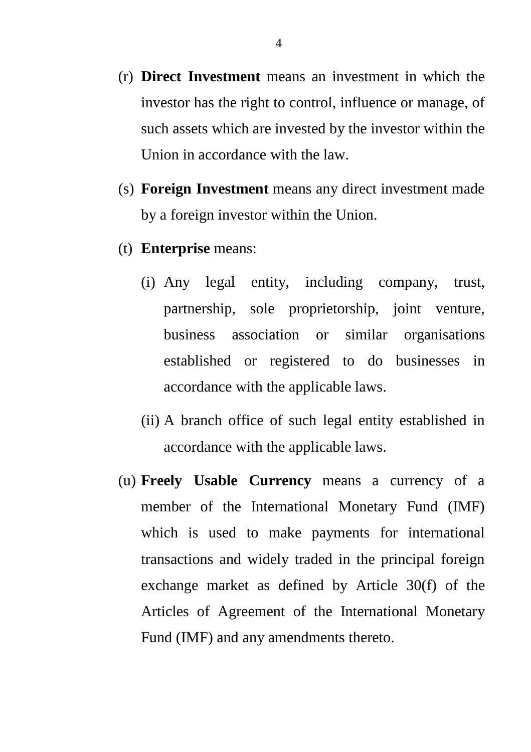- (r) **Direct Investment** means an investment in which the investor has the right to control, influence or manage, of such assets which are invested by the investor within the Union in accordance with the law.
- (s) **Foreign Investment** means any direct investment made by a foreign investor within the Union.
- (t) **Enterprise** means:
	- (i) Any legal entity, including company, trust, partnership, sole proprietorship, joint venture, business association or similar organisations established or registered to do businesses in accordance with the applicable laws.
	- (ii) A branch office of such legal entity established in accordance with the applicable laws.
- (u) **Freely Usable Currency** means a currency of a member of the International Monetary Fund (IMF) which is used to make payments for international transactions and widely traded in the principal foreign exchange market as defined by Article 30(f) of the Articles of Agreement of the International Monetary Fund (IMF) and any amendments thereto.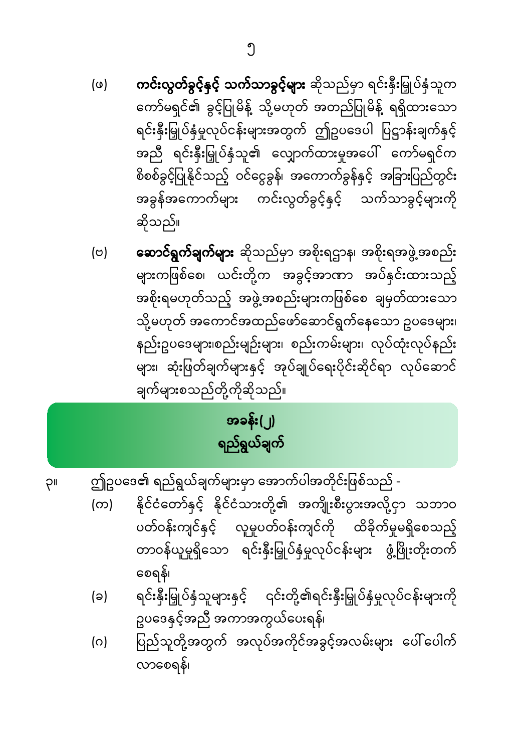လာစေရန်၊

- ဥပဒေနှင့်အညီ အကာအကွယ်ပေးရန်၊ ပြည်သူတို့အတွက် အလုပ်အကိုင်အခွင့်အလမ်းများ ပေါ်ပေါက်  $\circ$
- စေရန်၊ ရင်းနှီးမြှုပ်နှံသူများနှင့် ၎င်းတို့၏ရင်းနှီးမြှုပ်နှံမှုလုပ်ငန်းများကို (ခ)
- နိုင်ငံတော်နှင့် နိုင်ငံသားတို့၏ အကျိုးစီးပွားအလို့ငှာ သဘာဝ  $(\infty)$ ပတ်ဝန်းကျင်နှင့် လူမှုပတ်ဝန်းကျင်ကို ထိခိုက်မှုမရှိစေသည့် တာဝန်ယူမှုရှိသော ရင်းနှီးမြှုပ်နှံမှုလုပ်ငန်းများ ဖွံ့ဖြိုးတိုးတက်
- ဤဥပဒေ၏ ရည်ရွယ်ချက်များမှာ အောက်ပါအတိုင်းဖြစ်သည် -PII

အခန်း(၂) ရည်ရွယ်ချက်

- **ဆောင်ရွက်ချက်များ** ဆိုသည်မှာ အစိုးရဌာန၊ အစိုးရအဖွဲ့အစည်း  $(\circ)$ .<br>များကဖြစ်စေ၊ ယင်းတို့က အခွင့်အာဏာ အပ်နင်းထားသည့် အစိုးရမဟုတ်သည့် အဖွဲ့အစည်းများကဖြစ်စေ ချမှတ်ထားသော သို့မဟုတ် အကောင်အထည်ဖော်ဆောင်ရွက်နေသော ဥပဒေများ၊ နည်းဥပဒေများ၊စည်းမျဉ်းများ၊ စည်းကမ်းများ၊ လုပ်ထုံးလုပ်နည်း များ၊ ဆုံးဖြတ်ချက်များနှင့် အုပ်ချုပ်ရေးပိုင်းဆိုင်ရာ လုပ်ဆောင် ချက်များစသည်တို့ကိုဆိုသည်။
- **ကင်းလွတ်ခွင့်နှင့် သက်သာခွင့်များ** ဆိုသည်မှာ ရင်းနှီးမြှုပ်နှံသူက  $(\omega)$ ကော်မရှင်၏ ခွင့်ပြုမိန့် သို့မဟုတ် အတည်ပြုမိန့် ရရှိထားသော ရင်းနှီးမြှုပ်နှံမှုလုပ်ငန်းများအတွက် ဤဥပဒေပါ ပြဋ္ဌာန်းချက်နှင့် အညီ ရင်းနှီးမြှုပ်နှံသူ၏ လျှောက်ထားမှုအပေါ် ကော်မရှင်က စိစစ်ခွင့်ပြုနိုင်သည့် ဝင်ငွေခွန်၊ အကောက်ခွန်နှင့် အခြားပြည်တွင်း အခွန်အကောက်များ ကင်းလွတ်ခွင့်နှင့် သက်သာခွင့်များကို ဆိုသည်။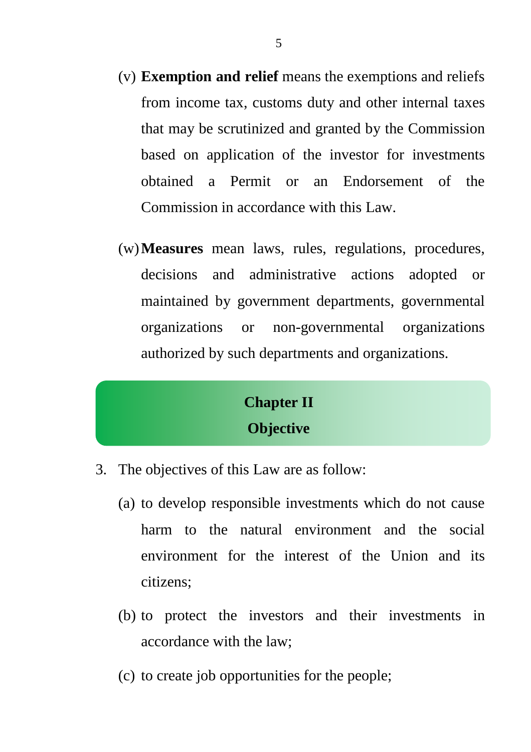- (v) **Exemption and relief** means the exemptions and reliefs from income tax, customs duty and other internal taxes that may be scrutinized and granted by the Commission based on application of the investor for investments obtained a Permit or an Endorsement of the Commission in accordance with this Law.
- (w)**Measures** mean laws, rules, regulations, procedures, decisions and administrative actions adopted or maintained by government departments, governmental organizations or non-governmental organizations authorized by such departments and organizations.

### **Chapter II Objective**

- 3. The objectives of this Law are as follow:
	- (a) to develop responsible investments which do not cause harm to the natural environment and the social environment for the interest of the Union and its citizens;
	- (b) to protect the investors and their investments in accordance with the law;
	- (c) to create job opportunities for the people;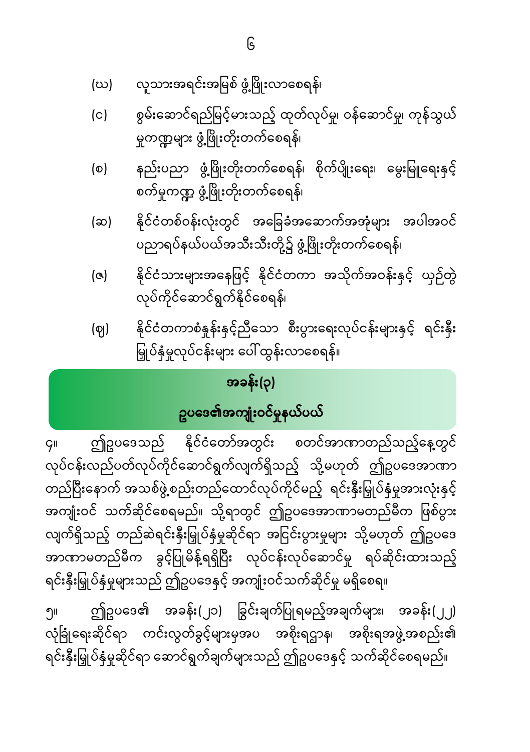- လူသားအရင်းအမြစ် ဖွံ့ဖြိုးလာစေရန်၊ (ဃ)
- စွမ်းဆောင်ရည်မြင့်မားသည့် ထုတ်လုပ်မှု၊ ဝန်ဆောင်မှု၊ ကုန်သွယ်  $(c)$ မှုကဏ္ဍများ ဖွံ့ဖြိုးတိုးတက်စေရန်၊
- နည်းပညာ ဖွံ့ဖြိုးတိုးတက်စေရန်၊ စိုက်ပျိုးရေး၊ မွေးမြူရေးနှင့်  $\circ$ စက်မှုကဏ္ဍ ဖွံ့ဖြိုးတိုးတက်စေရန်၊
- နိုင်ငံတစ်ဝန်းလုံးတွင် အခြေခံအဆောက်အအုံများ အပါအဝင်  $(\infty)$ ပညာရပ်နယ်ပယ်အသီးသီးတို့၌ ဖွံ့ဖြိုးတိုးတက်စေရန်၊
- နိုင်ငံသားများအနေဖြင့် နိုင်ငံတကာ အသိုက်အဝန်းနှင့် ယှဉ်တွဲ (ဇ) လုပ်ကိုင်ဆောင်ရွက်နိုင်စေရန်၊
- နိုင်ငံတကာစံနှန်းနှင့်ညီသော စီးပွားရေးလုပ်ငန်းများနှင့် ရင်းနှီး  $(q)$ မြှုပ်နှံမှုလုပ်ငန်းများ ပေါ် ထွန်းလာစေရန်။

# အခန်း(၃)

### ဥပဒေ**၏အကျုံး**ဝင်မှုနယ်ပယ်

ဤဥပဒေသည် နိုင်ငံတော်အတွင်း စတင်အာဏာတည်သည့်နေ့တွင်  $\overline{G}$ ll ာ<br>လုပ်ငန်းလည်ပတ်လုပ်ကိုင်ဆောင်ရွက်လျက်ရှိသည့် သို့မဟုတ် ဤဥပဒေအာဏာ တည်ပြီးနောက် အသစ်ဖွဲ့စည်းတည်ထောင်လုပ်ကိုင်မည့် ရင်းနီးမြှုပ်နှံမှုအားလုံးနှင့် အကျုံးဝင် သက်ဆိုင်စေရမည်။ သို့ရာတွင် ဤဥပဒေအာဏာမတည်မီက ဖြစ်ပွား လျက်ရှိသည့် တည်ဆဲရင်းနှီးမြှုပ်နှံမှုဆိုင်ရာ အငြင်းပွားမှုများ သို့မဟုတ် ဤဥပဒေ အာဏာမတည်မီက ခွင့်ပြုမိန့်ရရှိပြီး လုပ်ငန်းလုပ်ဆောင်မှု ရပ်ဆိုင်းထားသည့် ရင်းနှီးမြှုပ်နှံမှုများသည် ဤဥပဒေနှင့် အကျုံးဝင်သက်ဆိုင်မှု မရှိစေရ။

ဤဥပဒေ၏ အခန်း(၂၁) ခြွင်းချက်ပြုရမည့်အချက်များ၊ အခန်း(၂၂) ၅။ လုံခြုံရေးဆိုင်ရာ ကင်းလွတ်ခွင့်များမှအပ အစိုးရဌာန၊ အစိုးရအဖွဲ့အစည်း၏ ရင်းနှီးမြှုပ်နှံမှုဆိုင်ရာ ဆောင်ရွက်ချက်များသည် ဤဥပဒေနှင့် သက်ဆိုင်စေရမည်။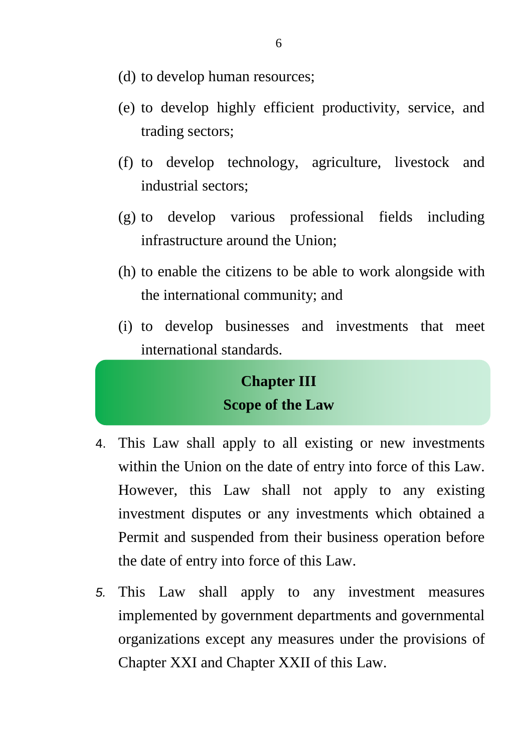- (d) to develop human resources;
- (e) to develop highly efficient productivity, service, and trading sectors;
- (f) to develop technology, agriculture, livestock and industrial sectors;
- (g) to develop various professional fields including infrastructure around the Union;
- (h) to enable the citizens to be able to work alongside with the international community; and
- (i) to develop businesses and investments that meet international standards.

### **Chapter III Scope of the Law**

- 4. This Law shall apply to all existing or new investments within the Union on the date of entry into force of this Law. However, this Law shall not apply to any existing investment disputes or any investments which obtained a Permit and suspended from their business operation before the date of entry into force of this Law.
- 5. This Law shall apply to any investment measures implemented by government departments and governmental organizations except any measures under the provisions of Chapter XXI and Chapter XXII of this Law.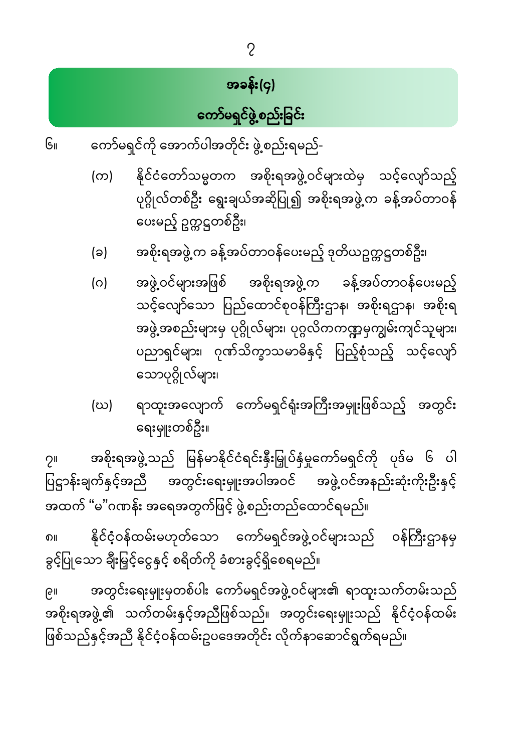အတွင်းရေးမှူးမှတစ်ပါး ကော်မရှင်အဖွဲ့ဝင်များ၏ ရာထူးသက်တမ်းသည် ချု -<br>အစိုးရအဖွဲ့၏ သက်တမ်းနှင့်အညီဖြစ်သည်။ အတွင်းရေးမှူးသည် နိုင်ငံ့ဝန်ထမ်း ဖြစ်သည်နှင့်အညီ နိုင်ငံ့ဝန်ထမ်းဥပဒေအတိုင်း လိုက်နာဆောင်ရွက်ရမည်။

နိုင်ငံ့ဝန်ထမ်းမဟုတ်သော ကော်မရှင်အဖွဲ့ဝင်များသည် ဝန်ကြီးဌာနမှ ၈။ ခွင့်ပြုသော ချီးမြှင့်ငွေနှင့် စရိတ်ကို ခံစားခွင့်ရှိစေရမည်။

အစိုးရအဖွဲ့သည် မြန်မာနိုင်ငံရင်းနှီးမြှုပ်နှံမှုကော်မရှင်ကို ပုဒ်မ ၆ ပါ  $2<sub>II</sub>$ ပြဋ္ဌာန်းချက်နှင့်အညီ အတွင်းရေးမှူးအပါအဝင် အဖွဲ့ဝင်အနည်းဆုံးကိုးဦးနှင့် အထက် "မ"ဂဏန်း အရေအတွက်ဖြင့် ဖွဲ့စည်းတည်ထောင်ရမည်။

- ရာထူးအလျောက် ကော်မရှင်ရုံးအကြီးအမှူးဖြစ်သည့် အတွင်း (ဃ) ရေးမှူးတစ်ဦး။
- (ဂ) အဖွဲ့ ဝင်များအဖြစ် အစိုးရအဖွဲ့က ခန့်အပ်တာဝန်ပေးမည့် သင့်လျော်သော ပြည်ထောင်စုဝန်ကြီးဌာန၊ အစိုးရဌာန၊ အစိုးရ အဖွဲ့အစည်းများမှ ပုဂ္ဂိုလ်များ၊ ပုဂ္ဂလိကကဏ္ဍမှကျွမ်းကျင်သူများ၊ ပညာရှင်များ၊ ဂုဏ်သိက္ခာသမာဓိနှင့် ပြည့်စုံသည့် သင့်လျော် သောပုဂ္ဂိုလ်များ၊
- အစိုးရအဖွဲ့ က ခန့်အပ်တာဝန်ပေးမည့် ဒုတိယဥက္ကဋ္ဌတစ်ဦး၊ (ခ)
- နိုင်ငံတော်သမ္မတက အစိုးရအဖွဲ့ဝင်များထဲမှ သင့်လျော်သည့်  $(\infty)$ ပုဂ္ဂိုလ်တစ်ဦး ရွေးချယ်အဆိုပြု၍ အစိုးရအဖွဲ့က ခန့်အပ်တာဝန် ပေးမည့် ဥက္ကဋ္ဌတစ်ဦး၊
- ကော်မရှင်ကို အောက်ပါအတိုင်း ဖွဲ့စည်းရမည်- $G_{II}$

# အခန်း(၄) ကော်မရှင်ဖွဲ့စည်းခြင်း

 $\overline{2}$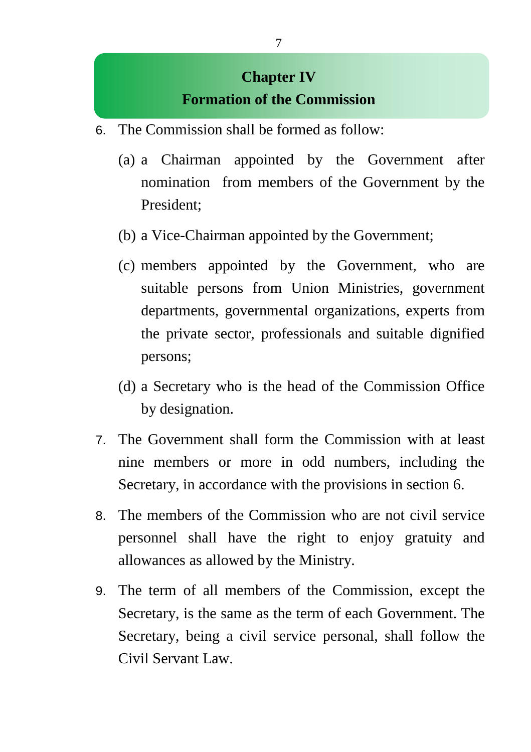### **Chapter IV Formation of the Commission**

- 6. The Commission shall be formed as follow:
	- (a) a Chairman appointed by the Government after nomination from members of the Government by the President;
	- (b) a Vice-Chairman appointed by the Government;
	- (c) members appointed by the Government, who are suitable persons from Union Ministries, government departments, governmental organizations, experts from the private sector, professionals and suitable dignified persons;
	- (d) a Secretary who is the head of the Commission Office by designation.
- 7. The Government shall form the Commission with at least nine members or more in odd numbers, including the Secretary, in accordance with the provisions in section 6.
- 8. The members of the Commission who are not civil service personnel shall have the right to enjoy gratuity and allowances as allowed by the Ministry.
- 9. The term of all members of the Commission, except the Secretary, is the same as the term of each Government. The Secretary, being a civil service personal, shall follow the Civil Servant Law.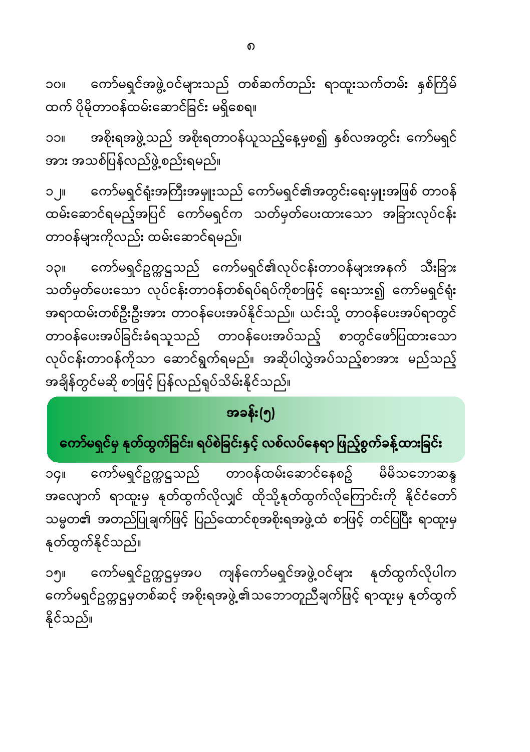ကော်မရှင်အဖွဲ့ဝင်များသည် တစ်ဆက်တည်း ရာထူးသက်တမ်း နှစ်ကြိမ် **IIOC** ထက် ပိုမိုတာဝန်ထမ်းဆောင်ခြင်း မရှိစေရ။

အစိုးရအဖွဲ့သည် အစိုးရတာဝန်ယူသည့်နေ့မှစ၍ နှစ်လအတွင်း ကော်မရှင် ၁၁။ အား အသစ်ပြန်လည်ဖွဲ့စည်းရမည်။

ကော်မရှင်ရုံးအကြီးအမှူးသည် ကော်မရှင်၏အတွင်းရေးမှူးအဖြစ် တာဝန်  $\Box$ ထမ်းဆောင်ရမည့်အပြင် ကော်မရှင်က သတ်မှတ်ပေးထားသော အခြားလုပ်ငန်း တာဝန်များကိုလည်း ထမ်းဆောင်ရမည်။

ကော်မရှင်ဥက္ကဋ္ဌသည် ကော်မရှင်၏လုပ်ငန်းတာဝန်များအနက် သီးခြား **IIÇC** အရာထမ်းတစ်ဦးဦးအား တာဝန်ပေးအပ်နိုင်သည်။ ယင်းသို့ တာဝန်ပေးအပ်ရာတွင် တာဝန်ပေးအပ်ခြင်းခံရသူသည် တာဝန်ပေးအပ်သည့် စာတွင်ဖော်ပြထားသော လုပ်ငန်းတာဝန်ကိုသာ ဆောင်ရွက်ရမည်။ အဆိုပါလွှဲအပ်သည့်စာအား မည်သည့် အချိန်တွင်မဆို စာဖြင့် ပြန်လည်ရုပ်သိမ်းနိုင်သည်။

## အခန်း(၅)

# ကော်မရှင်မှ နုတ်ထွက်ခြင်း၊ ရပ်စဲခြင်းနှင့် လစ်လပ်နေရာ ဖြည့်စွက်ခ<mark>န့်</mark>ထားခြင်း

တာဝန်ထမ်းဆောင်နေစဥ် မိမိသဘောဆန္ဒ ကော်မရှင်ဥက္ကဋ္ဌသည် **OGII** အလျောက် ရာထူးမှ နုတ်ထွက်လိုလျှင် ထိုသို့နုတ်ထွက်လိုကြောင်းကို နိုင်ငံတော် သမ္မတ၏ အတည်ပြုချက်ဖြင့် ပြည်ထောင်စုအစိုးရအဖွဲ့ထံ စာဖြင့် တင်ပြပြီး ရာထူးမှ နုတ်ထွက်နိုင်သည်။

ကော်မရှင်ဥက္ကဋ္ဌမှအပ ကျန်ကော်မရှင်အဖွဲ့ဝင်များ နုတ်ထွက်လိုပါက ၁၅။ ကော်မရှင်ဥက္ကဋ္ဌမှတစ်ဆင့် အစိုးရအဖွဲ့၏သဘောတူညီချက်ဖြင့် ရာထူးမှ နုတ်ထွက် နိုင်သည်။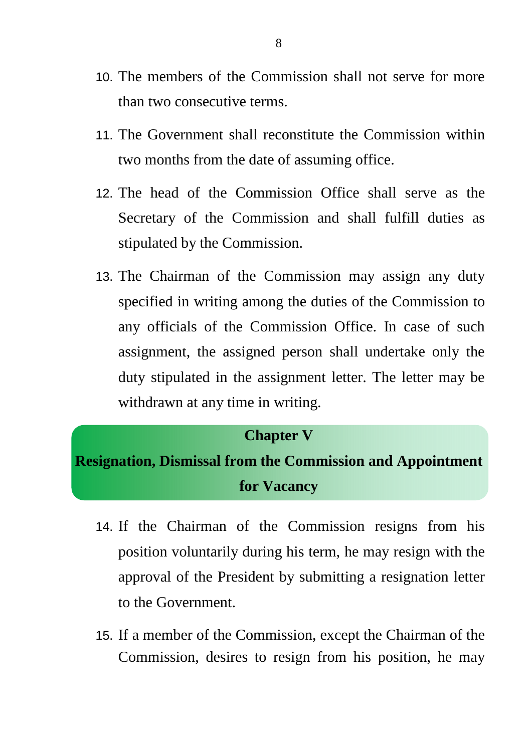- 10. The members of the Commission shall not serve for more than two consecutive terms.
- 11. The Government shall reconstitute the Commission within two months from the date of assuming office.
- 12. The head of the Commission Office shall serve as the Secretary of the Commission and shall fulfill duties as stipulated by the Commission.
- 13. The Chairman of the Commission may assign any duty specified in writing among the duties of the Commission to any officials of the Commission Office. In case of such assignment, the assigned person shall undertake only the duty stipulated in the assignment letter. The letter may be withdrawn at any time in writing.

#### **Chapter V**

### **Resignation, Dismissal from the Commission and Appointment for Vacancy**

- 14. If the Chairman of the Commission resigns from his position voluntarily during his term, he may resign with the approval of the President by submitting a resignation letter to the Government.
- 15. If a member of the Commission, except the Chairman of the Commission, desires to resign from his position, he may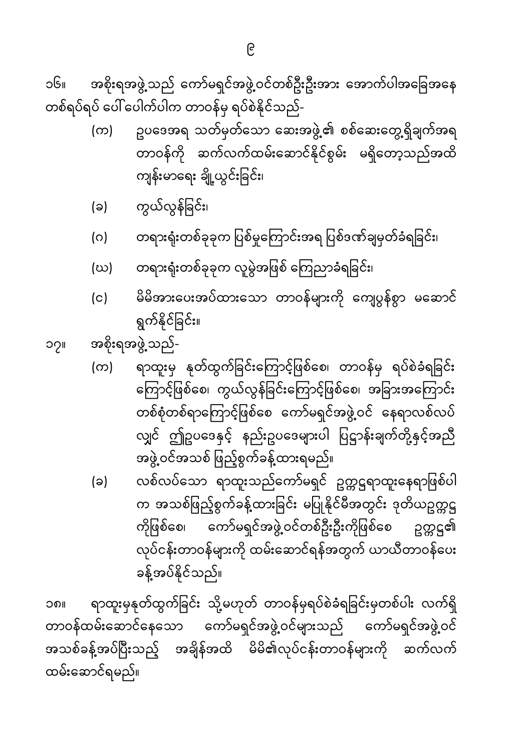ရာထူးမှနုတ်ထွက်ခြင်း သို့မဟုတ် တာဝန်မှရပ်စဲခံရခြင်းမှတစ်ပါး လက်ရှိ ၁၈။ တာဝန်ထမ်းဆောင်နေသော ကော်မရှင်အဖွဲ့ဝင်များသည် ကော်မရှင်အဖွဲ့ဝင် အသစ်ခန့်အပ်ပြီးသည့် အချိန်အထိ မိမိ၏လုပ်ငန်းတာဝန်များကို ဆက်လက် ထမ်းဆောင်ရမည်။

- လစ်လပ်သော ရာထူးသည်ကော်မရှင် ဥက္ကဋ္ဌရာထူးနေရာဖြစ်ပါ (ခ) က အသစ်ဖြည့်စွက်ခန့်ထားခြင်း မပြုနိုင်မီအတွင်း ဒုတိယဥတ္တဋ္ဌ ကိုဖြစ်စေ၊ ကော်မရှင်အဖွဲ့ ဝင်တစ်ဦးဦးကိုဖြစ်စေ ဥက္ကဋ္ဌ၏ လုပ်ငန်းတာဝန်များကို ထမ်းဆောင်ရန်အတွက် ယာယီတာဝန်ပေး ခန့်အပ်နိုင်သည်။
- ရာထူးမှ နုတ်ထွက်ခြင်းကြောင့်ဖြစ်စေ၊ တာဝန်မှ ရပ်စဲခံရခြင်း  $(\infty)$ ကြောင့်ဖြစ်စေ၊ ကွယ်လွန်ခြင်းကြောင့်ဖြစ်စေ၊ အခြားအကြောင်း တစ်စုံတစ်ရာကြောင့်ဖြစ်စေ ကော်မရှင်အဖွဲ့ဝင် နေရာလစ်လပ် လျှင် ဤဥပဒေနှင့် နည်းဥပဒေများပါ ပြဋ္ဌာန်းချက်တို့နှင့်အညီ အဖွဲ့ ဝင်အသစ် ဖြည့်စွက်ခန့်ထားရမည်။
- အစိုးရအဖွဲ့ သည်-၁၇။
- မိမိအားပေးအပ်ထားသော တာဝန်များကို ကျေပွန်စွာ မဆောင်  $(c)$ ရွက်နိုင်ခြင်း။
- တရားရုံးတစ်ခုခုက လူမွဲအဖြစ် ကြေညာခံရခြင်း၊ (ဃ)
- တရားရုံးတစ်ခုခုက ပြစ်မှုကြောင်းအရ ပြစ်ဒဏ်ချမှတ်ခံရခြင်း၊  $(0)$
- ကွယ်လွန်ခြင်း၊ (ခ)
- ဥပဒေအရ သတ်မှတ်သော ဆေးအဖွဲ့၏ စစ်ဆေးတွေ့ရှိချက်အရ  $(\infty)$ –<br>တာဝန်ကို ဆက်လက်ထမ်းဆောင်နိုင်စွမ်း မရှိတော့သည်အထိ ကျန်းမာရေး ချို့ယွင်းခြင်း၊

အစိုးရအဖွဲ့ သည် ကော်မရှင်အဖွဲ့ ဝင်တစ်ဦးဦးအား အောက်ပါအခြေအနေ ၁၆။ တစ်ရပ်ရပ် ပေါ် ပေါက်ပါက တာဝန်မှ ရပ်စဲနိုင်သည်-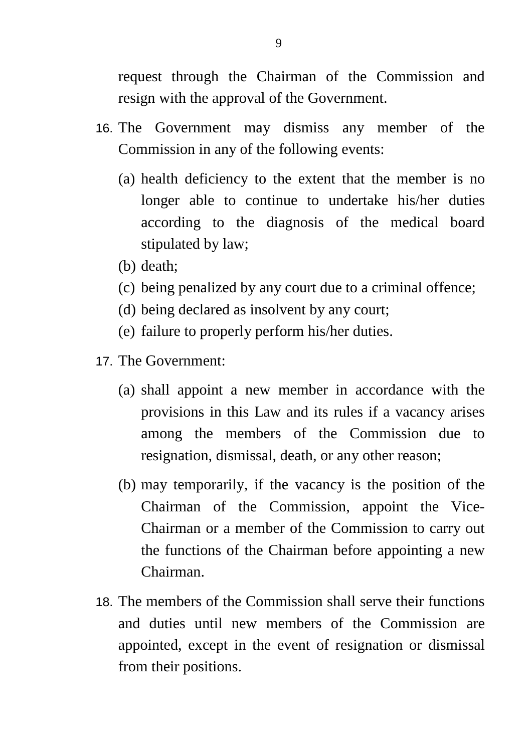request through the Chairman of the Commission and resign with the approval of the Government.

- 16. The Government may dismiss any member of the Commission in any of the following events:
	- (a) health deficiency to the extent that the member is no longer able to continue to undertake his/her duties according to the diagnosis of the medical board stipulated by law;
	- (b) death;
	- (c) being penalized by any court due to a criminal offence;
	- (d) being declared as insolvent by any court;
	- (e) failure to properly perform his/her duties.
- 17. The Government:
	- (a) shall appoint a new member in accordance with the provisions in this Law and its rules if a vacancy arises among the members of the Commission due to resignation, dismissal, death, or any other reason;
	- (b) may temporarily, if the vacancy is the position of the Chairman of the Commission, appoint the Vice-Chairman or a member of the Commission to carry out the functions of the Chairman before appointing a new Chairman.
- 18. The members of the Commission shall serve their functions and duties until new members of the Commission are appointed, except in the event of resignation or dismissal from their positions.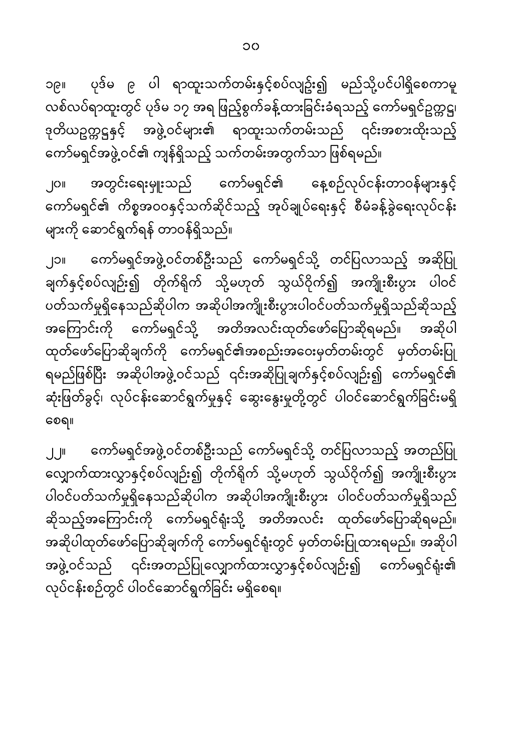OC

ပုဒ်မ ၉ ပါ ရာထူးသက်တမ်းနှင့်စပ်လျဥ်း၍ မည်သို့ပင်ပါရှိစေကာမူ ျေရှင လစ်လပ်ရာထူးတွင် ပုဒ်မ ၁၇ အရ ဖြည့်စွက်ခန့်ထားခြင်းခံရသည့် ကော်မရှင်ဥက္ကဋ္ဌ၊ ဒုတိယဥက္ကဋ္ဌနှင့် အဖွဲ့ဝင်များ၏ ရာထူးသက်တမ်းသည် ၎င်းအစားထိုးသည့် ကော်မရှင်အဖွဲ့ဝင်၏ ကျန်ရှိသည့် သက်တမ်းအတွက်သာ ဖြစ်ရမည်။

အတွင်းရေးမှူးသည် ကော်မရှင်၏ နေ့စဉ်လုပ်ငန်းတာဝန်များနှင့် ၂၀။ ကော်မရှင်၏ ကိစ္စအဝဝနှင့်သက်ဆိုင်သည့် အုပ်ချုပ်ရေးနှင့် စီမံခန့်ခွဲရေးလုပ်ငန်း များကို ဆောင်ရွက်ရန် တာဝန်ရှိသည်။

ကော်မရှင်အဖွဲ့ဝင်တစ်ဦးသည် ကော်မရှင်သို့ တင်ပြလာသည့် အဆိုပြု **J**oll ချက်နှင့်စပ်လျဉ်း၍ တိုက်ရိုက် သို့မဟုတ် သွယ်ဝိုက်၍ အကျိုးစီးပွား ပါဝင် ပတ်သက်မှုရှိနေသည်ဆိုပါက အဆိုပါအကျိုးစီးပွားပါဝင်ပတ်သက်မှုရှိသည်ဆိုသည့် အကြောင်းကို ကော်မရှင်သို့ အတိအလင်းထုတ်ဖော်ပြောဆိုရမည်။ အဆိုပါ ထုတ်ဖော်ပြောဆိုချက်ကို ကော်မရှင်၏အစည်းအဝေးမှတ်တမ်းတွင် မှတ်တမ်းပြု ရမည်ဖြစ်ပြီး အဆိုပါအဖွဲ့ဝင်သည် ၎င်းအဆိုပြုချက်နှင့်စပ်လျဉ်း၍ ကော်မရှင်၏ ဆုံးဖြတ်ခွင့်၊ လုပ်ငန်းဆောင်ရွက်မှုနှင့် ဆွေးနွေးမှုတို့တွင် ပါဝင်ဆောင်ရွက်ခြင်းမရှိ စေရ။

ကော်မရှင်အဖွဲ့ဝင်တစ်ဦးသည် ကော်မရှင်သို့ တင်ပြလာသည့် အတည်ပြု  $\mathbf{L}$   $\mathbf{H}$ လျှောက်ထားလွှာနှင့်စပ်လျဉ်း၍ တိုက်ရိုက် သို့မဟုတ် သွယ်ဝိုက်၍ အကျိုးစီးပွား ပါဝင်ပတ်သက်မှုရှိနေသည်ဆိုပါက အဆိုပါအကျိုးစီးပွား ပါဝင်ပတ်သက်မှုရှိသည် ဆိုသည့်အကြောင်းကို ကော်မရှင်ရုံးသို့ အတိအလင်း ထုတ်ဖော်ပြောဆိုရမည်။ အဆိုပါထုတ်ဖော်ပြောဆိုချက်ကို ကော်မရှင်ရုံးတွင် မှတ်တမ်းပြုထားရမည်။ အဆိုပါ အဖွဲ့ဝင်သည် ၎င်းအတည်ပြုလျှောက်ထားလွှာနှင့်စပ်လျဉ်း၍ ကော်မရှင်ရုံး၏ လုပ်ငန်းစဉ်တွင် ပါဝင်ဆောင်ရွက်ခြင်း မရှိစေရ။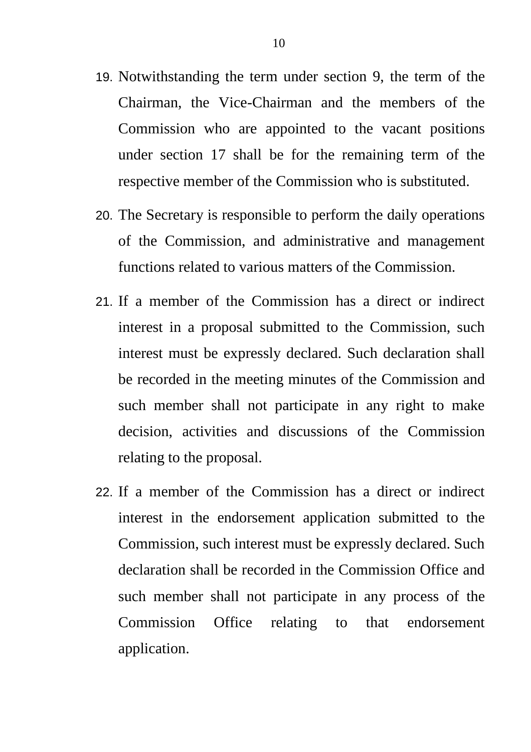- 19. Notwithstanding the term under section 9, the term of the Chairman, the Vice-Chairman and the members of the Commission who are appointed to the vacant positions under section 17 shall be for the remaining term of the respective member of the Commission who is substituted.
- 20. The Secretary is responsible to perform the daily operations of the Commission, and administrative and management functions related to various matters of the Commission.
- 21. If a member of the Commission has a direct or indirect interest in a proposal submitted to the Commission, such interest must be expressly declared. Such declaration shall be recorded in the meeting minutes of the Commission and such member shall not participate in any right to make decision, activities and discussions of the Commission relating to the proposal.
- 22. If a member of the Commission has a direct or indirect interest in the endorsement application submitted to the Commission, such interest must be expressly declared. Such declaration shall be recorded in the Commission Office and such member shall not participate in any process of the Commission Office relating to that endorsement application.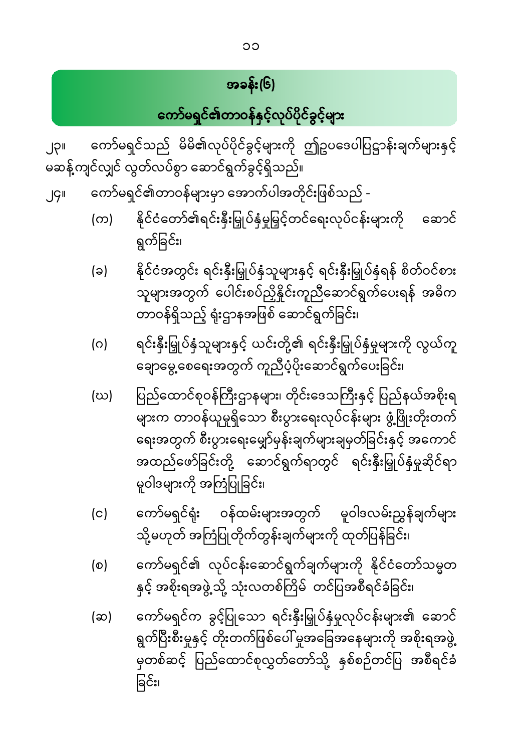ကော်မရှင်က ခွင့်ပြုသော ရင်းနှီးမြှုပ်နှံမှုလုပ်ငန်းများ၏ ဆောင် (ဆ) ရွက်ပြီးစီးမှုနှင့် တိုးတက်ဖြစ်ပေါ် မှုအခြေအနေများကို အစိုးရအဖွဲ့ မှတစ်ဆင့် ပြည်ထောင်စုလွှတ်တော်သို့ နှစ်စဉ်တင်ပြ အစီရင်ခံ ခြင်း၊

- ကော်မရှင်၏ လုပ်ငန်းဆောင်ရွက်ချက်များကို နိုင်ငံတော်သမ္မတ  $(\circ)$ နှင့် အစိုးရအဖွဲ့သို့ သုံးလတစ်ကြိမ် တင်ပြအစီရင်ခံခြင်း၊
- ကော်မရှင်ရုံး ဝန်ထမ်းများအတွက် မူဝါဒလမ်းညွှန်ချက်များ  $(c)$ သို့မဟုတ် အကြံပြုတိုက်တွန်းချက်များကို ထုတ်ပြန်ခြင်း၊
- ပြည်ထောင်စုဝန်ကြီးဌာနများ၊ တိုင်းဒေသကြီးနှင့် ပြည်နယ်အစိုးရ (ဃ) ——<br>များက တာဝန်ယူမှုရှိသော စီးပွားရေးလုပ်ငန်းများ ဖွံ့ဖြိုးတိုးတက် ရေးအတွက် စီးပွားရေးမျှော်မှန်းချက်များချမှတ်ခြင်းနှင့် အကောင် အထည်ဖော်ခြင်းတို့ ဆောင်ရွက်ရာတွင် ရင်းနှီးမြှုပ်နှံမှုဆိုင်ရာ မူဝါဒများကို အကြံပြုခြင်း၊
- ရင်းနှီးမြှုပ်နှံသူများနှင့် ယင်းတို့၏ ရင်းနှီးမြှုပ်နှံမှုများကို လွယ်ကူ (ဂ) ချောမွေ့စေရေးအတွက် ကူညီပံ့ပိုးဆောင်ရွက်ပေးခြင်း၊
- နိုင်ငံအတွင်း ရင်းနှီးမြှုပ်နှံသူများနှင့် ရင်းနှီးမြှုပ်နှံရန် စိတ်ဝင်စား  $(a)$ သူများအတွက် ပေါင်းစပ်ညှိနှိုင်းကူညီဆောင်ရွက်ပေးရန် အဓိက တာဝန်ရှိသည့် ရုံးဌာနအဖြစ် ဆောင်ရွက်ခြင်း၊
- နိုင်ငံတော်၏ရင်းနှီးမြှုပ်နှံမှုမြှင့်တင်ရေးလုပ်ငန်းများကို  $(\infty)$ ဆောင် ရွက်ခြင်း၊

ာ<br>မဆန့်ကျင်လျှင် လွတ်လပ်စွာ ဆောင်ရွက်ခွင့်ရှိသည်။ ကော်မရှင်၏တာဝန်များမှာ အောက်ပါအတိုင်းဖြစ်သည် - $J$ 

ကော်မရှင်သည် မိမိ၏လုပ်ပိုင်ခွင့်များကို ဤဥပဒေပါပြဋ္ဌာန်းချက်များနှင့် **II**QI

ကော်မရှင်<mark>၏</mark>တာဝန်နှင့်လုပ်ပိုင်ခွင့်များ

အခန်း(၆)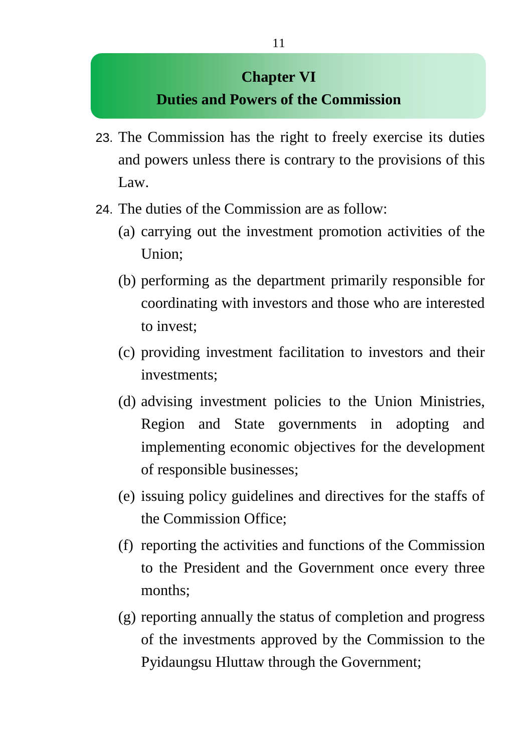### **Chapter VI Duties and Powers of the Commission**

- 23. The Commission has the right to freely exercise its duties and powers unless there is contrary to the provisions of this Law.
- 24. The duties of the Commission are as follow:
	- (a) carrying out the investment promotion activities of the Union;
	- (b) performing as the department primarily responsible for coordinating with investors and those who are interested to invest;
	- (c) providing investment facilitation to investors and their investments;
	- (d) advising investment policies to the Union Ministries, Region and State governments in adopting and implementing economic objectives for the development of responsible businesses;
	- (e) issuing policy guidelines and directives for the staffs of the Commission Office;
	- (f) reporting the activities and functions of the Commission to the President and the Government once every three months;
	- (g) reporting annually the status of completion and progress of the investments approved by the Commission to the Pyidaungsu Hluttaw through the Government;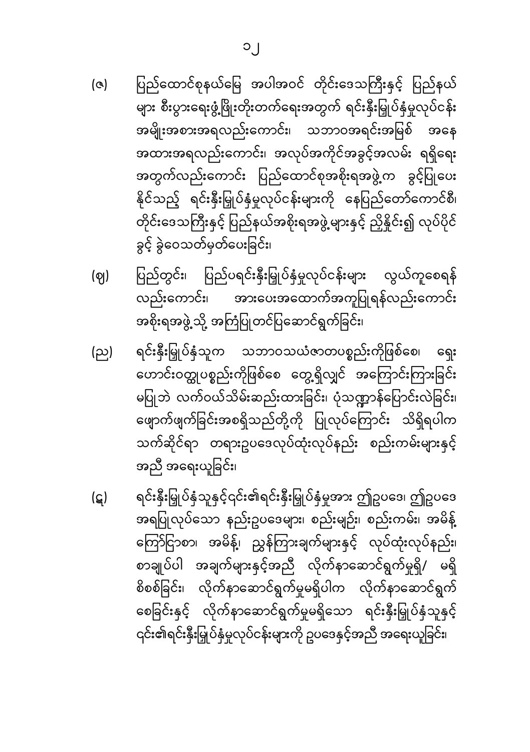- ပြည်ထောင်စုနယ်မြေ အပါအဝင် တိုင်းဒေသကြီးနှင့် ပြည်နယ်  $(a)$ များ စီးပွားရေးဖွံ့ဖြိုးတိုးတက်ရေးအတွက် ရင်းနှီးမြှုပ်နှံမှုလုပ်ငန်း အမျိုးအစားအရလည်းကောင်း၊ သဘာဝအရင်းအမြစ် အနေ အထားအရလည်းကောင်း၊ အလုပ်အကိုင်အခွင့်အလမ်း ရရှိရေး အတွက်လည်းကောင်း ပြည်ထောင်စုအစိုးရအဖွဲ့က ခွင့်ပြုပေး နိုင်သည့် ရင်းနှီးမြှုပ်နှံမှုလုပ်ငန်းများကို နေပြည်တော်ကောင်စီ၊ တိုင်းဒေသကြီးနှင့် ပြည်နယ်အစိုးရအဖွဲ့ များနှင့် ညှိနိူင်း၍ လုပ်ပိုင် ခွင့် ခွဲဝေသတ်မှတ်ပေးခြင်း၊
- ပြည်တွင်း၊ ပြည်ပရင်းနှီးမြှုပ်နှံမှုလုပ်ငန်းများ လွယ်ကူစေရန် (ဈ) လည်းကောင်း၊ အားပေးအထောက်အကူပြုရန်လည်းကောင်း အစိုးရအဖွဲ့ သို့ အကြံပြုတင်ပြဆောင်ရွက်ခြင်း၊
- ရင်းနှီးမြှုပ်နှံသူက သဘာဝသယံဇာတပစ္စည်းကိုဖြစ်စေ၊ (ည) ရေး ဟောင်းဝတ္ထုပစ္စည်းကိုဖြစ်စေ တွေ့ရှိလျှင် အကြောင်းကြားခြင်း မပြုဘဲ လက်ဝယ်သိမ်းဆည်းထားခြင်း၊ ပုံသဏ္ဍာန်ပြောင်းလဲခြင်း၊ ဖျောက်ဖျက်ခြင်းအစရှိသည်တို့ကို ပြုလုပ်ကြောင်း သိရှိရပါက သက်ဆိုင်ရာ တရားဥပဒေလုပ်ထုံးလုပ်နည်း စည်းကမ်းများနှင့် အညီ အရေးယူခြင်း၊
- ရင်းနှီးမြှုပ်နှံသူနှင့်၎င်း၏ရင်းနှီးမြှုပ်နှံမှုအား ဤဥပဒေ၊ ဤဥပဒေ (ဋ) အရပြုလုပ်သော နည်းဥပဒေများ၊ စည်းမျဉ်း၊ စည်းကမ်း၊ အမိန့် ကြော်ငြာစာ၊ အမိန့်၊ ညွှန်ကြားချက်များနှင့် လုပ်ထုံးလုပ်နည်း၊ စာချုပ်ပါ အချက်များနှင့်အညီ လိုက်နာဆောင်ရွက်မှုရှိ/ မရှိ စိစစ်ခြင်း၊ လိုက်နာဆောင်ရွက်မှုမရှိပါက လိုက်နာဆောင်ရွက် စေခြင်းနှင့် လိုက်နာဆောင်ရွက်မှုမရှိသော ရင်းနှီးမြှုပ်နှံသူနှင့် ၎င်း၏ရင်းနှီးမြှုပ်နှံမှုလုပ်ငန်းများကို ဥပဒေနှင့်အညီ အရေးယူခြင်း၊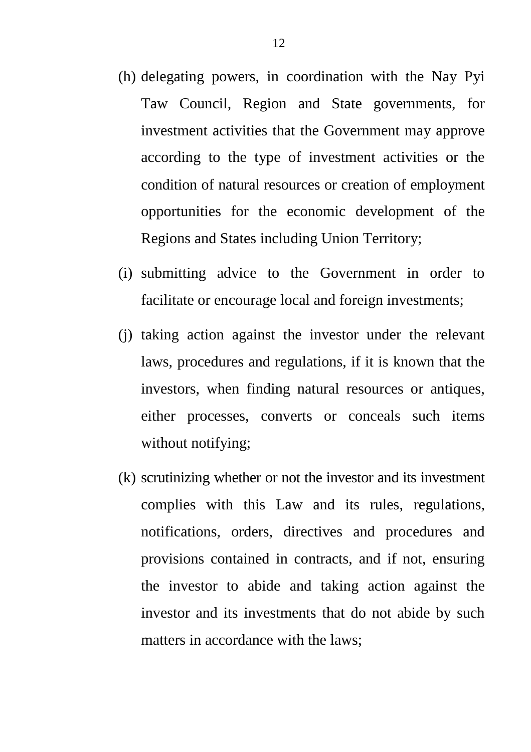- (h) delegating powers, in coordination with the Nay Pyi Taw Council, Region and State governments, for investment activities that the Government may approve according to the type of investment activities or the condition of natural resources or creation of employment opportunities for the economic development of the Regions and States including Union Territory;
- (i) submitting advice to the Government in order to facilitate or encourage local and foreign investments;
- (j) taking action against the investor under the relevant laws, procedures and regulations, if it is known that the investors, when finding natural resources or antiques, either processes, converts or conceals such items without notifying;
- (k) scrutinizing whether or not the investor and its investment complies with this Law and its rules, regulations, notifications, orders, directives and procedures and provisions contained in contracts, and if not, ensuring the investor to abide and taking action against the investor and its investments that do not abide by such matters in accordance with the laws;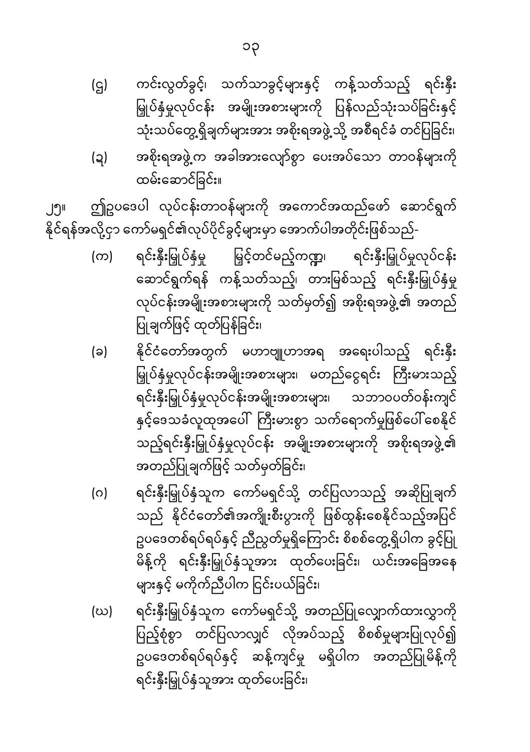- ရင်းနှီးမြှုပ်နှံသူက ကော်မရှင်သို့ အတည်ပြုလျှောက်ထားလွှာကို (ဃ) ပြည့်စုံစွာ တင်ပြလာလျှင် လိုအပ်သည့် စိစစ်မှုများပြုလုပ်၍ ဥပဒေတစ်ရပ်ရပ်နှင့် ဆန့်ကျင်မှု မရှိပါက အတည်ပြုမိန့်ကို ရင်းနှီးမြှုပ်နှံသူအား ထုတ်ပေးခြင်း၊
- ရင်းနှီးမြှုပ်နှံသူက ကော်မရှင်သို့ တင်ပြလာသည့် အဆိုပြုချက် (ဂ) သည် နိုင်ငံတော်၏အကျိုးစီးပွားကို ဖြစ်ထွန်းစေနိုင်သည့်အပြင် ဥပဒေတစ်ရပ်ရပ်နှင့် ညီညွတ်မှုရှိကြောင်း စိစစ်တွေ့ရှိပါက ခွင့်ပြု မိန့်ကို ရင်းနှီးမြှုပ်နှံသူအား ထုတ်ပေးခြင်း၊ ယင်းအခြေအနေ များနှင့် မကိုက်ညီပါက ငြင်းပယ်ခြင်း၊
- နိုင်ငံတော်အတွက် မဟာဗျူဟာအရ အရေးပါသည့် ရင်းနှီး (ခ) မြှုပ်နှံမှုလုပ်ငန်းအမျိုးအစားများ၊ မတည်ငွေရင်း ကြီးမားသည့် ရင်းနှီးမြှုပ်နှံမှုလုပ်ငန်းအမျိုးအစားများ၊ သဘာဝပတ်ဝန်းကျင် နှင့်ဒေသခံလူထုအပေါ်ကြီးမားစွာ သက်ရောက်မှုဖြစ်ပေါ် စေနိုင် သည့်ရင်းနှီးမြှုပ်နှံမှုလုပ်ငန်း အမျိုးအစားများကို အစိုးရအဖွဲ့၏ အတည်ပြုချက်ဖြင့် သတ်မှတ်ခြင်း၊
- ရင်းနှီးမြှုပ်နှံမှု မြှင့်တင်မည့်ကဏ္ဍ၊ ရင်းနှီးမြှုပ်မှုလုပ်ငန်း  $(\infty)$ ဆောင်ရွက်ရန် ကန့်သတ်သည့်၊ တားမြစ်သည့် ရင်းနှီးမြှုပ်နှံမှု လုပ်ငန်းအမျိုးအစားများကို သတ်မှတ်၍ အစိုးရအဖွဲ့၏ အတည် ပြုချက်ဖြင့် ထုတ်ပြန်ခြင်း၊

ဤဥပဒေပါ လုပ်ငန်းတာဝန်များကို အကောင်အထည်ဖော် ဆောင်ရွက် ၂၅။ နိုင်ရန်အလို့ငှာ ကော်မရှင်၏လုပ်ပိုင်ခွ<mark>င့်များ</mark>မှာ အောက်ပါအတိုင်းဖြစ်သည်-

- အစိုးရအဖွဲ့ က အခါအားလျော်စွာ ပေးအပ်သော တာဝန်များကို  $\left( 3 \right)$ ထမ်းဆောင်ခြင်း။
- ကင်းလွတ်ခွင့်၊ သက်သာခွင့်များနှင့် ကန့်သတ်သည့် ရင်းနှီး (ဌ) မြှုပ်နှံမှုလုပ်ငန်း အမျိုးအစားများကို ပြန်လည်သုံးသပ်ခြင်းနှင့် သုံးသပ်တွေ့ရှိချက်များအား အစိုးရအဖွဲ့သို့ အစီရင်ခံ တင်ပြခြင်း၊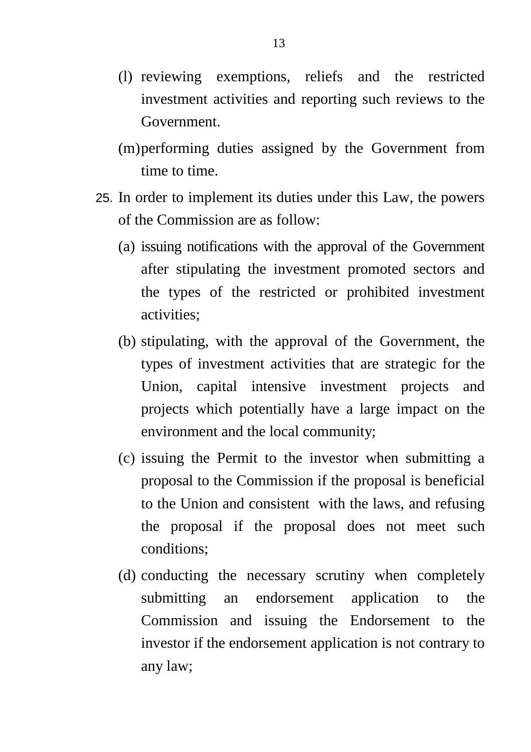- (l) reviewing exemptions, reliefs and the restricted investment activities and reporting such reviews to the Government.
- (m)performing duties assigned by the Government from time to time.
- 25. In order to implement its duties under this Law, the powers of the Commission are as follow:
	- (a) issuing notifications with the approval of the Government after stipulating the investment promoted sectors and the types of the restricted or prohibited investment activities;
	- (b) stipulating, with the approval of the Government, the types of investment activities that are strategic for the Union, capital intensive investment projects and projects which potentially have a large impact on the environment and the local community;
	- (c) issuing the Permit to the investor when submitting a proposal to the Commission if the proposal is beneficial to the Union and consistent with the laws, and refusing the proposal if the proposal does not meet such conditions;
	- (d) conducting the necessary scrutiny when completely submitting an endorsement application to the Commission and issuing the Endorsement to the investor if the endorsement application is not contrary to any law;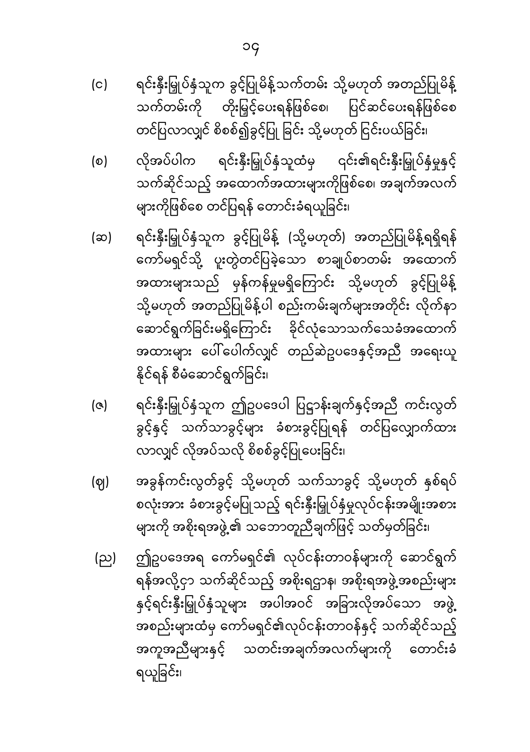- ရင်းနှီးမြှုပ်နှံသူက ခွင့်ပြုမိန့်သက်တမ်း သို့မဟုတ် အတည်ပြုမိန့်  $(c)$ သက်တမ်းကို တိုးမြှင့်ပေးရန်ဖြစ်စေ၊ ပြင်ဆင်ပေးရန်ဖြစ်စေ တင်ပြလာလျှင် စိစစ်၍ခွင့်ပြု ခြင်း သို့မဟုတ် ငြင်းပယ်ခြင်း၊
- လိုအပ်ပါက ရင်းနှီးမြှုပ်နှံသူထံမှ ၎င်း၏ရင်းနှီးမြှုပ်နှံမှုနှင့်  $\circ$ သက်ဆိုင်သည့် အထောက်အထားများကိုဖြစ်စေ၊ အချက်အလက် များကိုဖြစ်စေ တင်ပြရန် တောင်းခံရယူခြင်း၊
- ရင်းနှီးမြှုပ်နှံသူက ခွင့်ပြုမိန့် (သို့မဟုတ်) အတည်ပြုမိန့်ရရှိရန် (ဆ) ကော်မရှင်သို့ ပူးတွဲတင်ပြခဲ့သော စာချုပ်စာတမ်း အထောက် အထားများသည် မှန်ကန်မှုမရှိကြောင်း သို့မဟုတ် ခွင့်ပြုမိန့် သို့မဟုတ် အတည်ပြုမိန့်ပါ စည်းကမ်းချက်များအတိုင်း လိုက်နာ ဆောင်ရွက်ခြင်းမရှိကြောင်း ခိုင်လုံသောသက်သေခံအထောက် အထားများ ပေါ်ပေါက်လျှင် တည်ဆဲဥပဒေနှင့်အညီ အရေးယူ နိုင်ရန် စီမံဆောင်ရွက်ခြင်း၊
- ရင်းနှီးမြှုပ်နှံသူက ဤဥပဒေပါ ပြဋ္ဌာန်းချက်နှင့်အညီ ကင်းလွတ်  $\left( \infty \right)$ ခွင့်နှင့် သက်သာခွင့်များ ခံစားခွင့်ပြုရန် တင်ပြလျှောက်ထား လာလျှင် လိုအပ်သလို စိစစ်ခွင့်ပြုပေးခြင်း၊
- အခွန်ကင်းလွတ်ခွင့် သို့မဟုတ် သက်သာခွင့် သို့မဟုတ် နှစ်ရပ် (ဈ) စလုံးအား ခံစားခွင့်မပြုသည့် ရင်းနှီးမြှုပ်နှံမှုလုပ်ငန်းအမျိုးအစား များကို အစိုးရအဖွဲ့၏ သဘောတူညီချက်ဖြင့် သတ်မှတ်ခြင်း၊
- ဤဥပဒေအရ ကော်မရှင်၏ လုပ်ငန်းတာဝန်များကို ဆောင်ရွက် (ည) ရန်အလို့ငှာ သက်ဆိုင်သည့် အစိုးရဌာန၊ အစိုးရအဖွဲ့အစည်းများ နှင့်ရင်းနှီးမြှုပ်နှံသူများ အပါအဝင် အခြားလိုအပ်သော အဖွဲ့ အစည်းများထံမှ ကော်မရှင်၏လုပ်ငန်းတာဝန်နှင့် သက်ဆိုင်သည့် အကူအညီများနှင့် သတင်းအချက်အလက်များကို တောင်းခံ ရယူခြင်း၊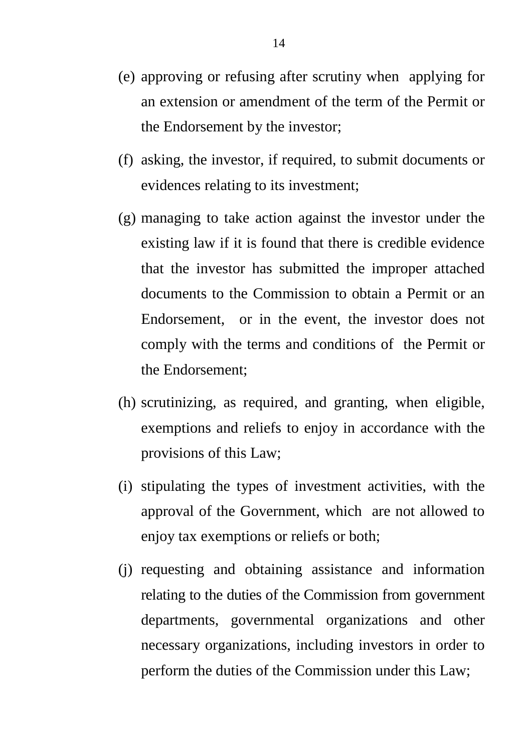- (e) approving or refusing after scrutiny when applying for an extension or amendment of the term of the Permit or the Endorsement by the investor;
- (f) asking, the investor, if required, to submit documents or evidences relating to its investment;
- (g) managing to take action against the investor under the existing law if it is found that there is credible evidence that the investor has submitted the improper attached documents to the Commission to obtain a Permit or an Endorsement, or in the event, the investor does not comply with the terms and conditions of the Permit or the Endorsement;
- (h) scrutinizing, as required, and granting, when eligible, exemptions and reliefs to enjoy in accordance with the provisions of this Law;
- (i) stipulating the types of investment activities, with the approval of the Government, which are not allowed to enjoy tax exemptions or reliefs or both;
- (j) requesting and obtaining assistance and information relating to the duties of the Commission from government departments, governmental organizations and other necessary organizations, including investors in order to perform the duties of the Commission under this Law;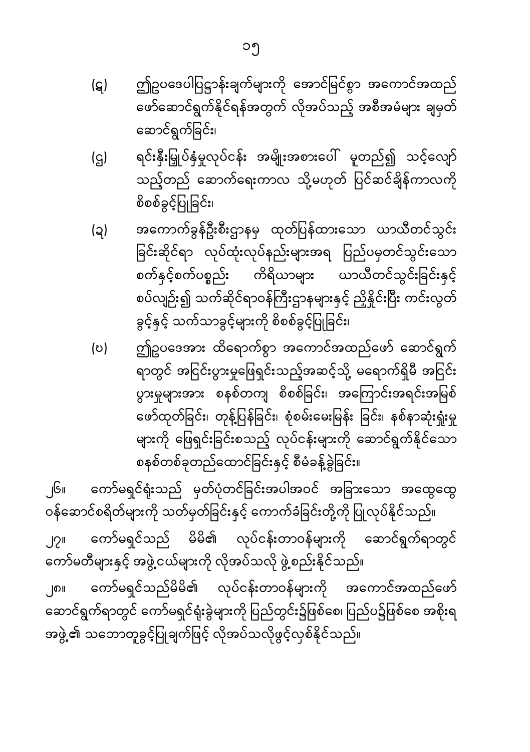- (ဋ) ဤဥပဒေပါပြဋ္ဌာန်းချက်များကို အောင်မြင်စွာ အကောင်အထည် ေဖာ်ေဆာင်ရွက်�ုိင်ရန်အတွက် လိုအပ်သည့် အစီအမံများ ချမှတ် ေဆာင်ရွက် ခြ င်း၊
- (ဌ) ရင်းနှီးမြှုပ်နှံမှုလုပ်ငန်း အမျိုးအစားပေါ် မူတည်၍ သင့်လျော် သည့်တည် ဆောက်ရေးကာလ သို့မဟုတ် ပြင်ဆင်ချိန်ကာလကို စိစစ်ခွင့်ပြ ုခြ င်း၊
- (ဍ) အေကာက်ခွန်ဦးစီးဌာနမှ ထုတ်ပြ န်ထားေသာ ယာယီတင်သွင်း ခြင်းဆိုင်ရာ လုပ်ထုံးလုပ်နည်းများအရ ပြည်ပမှတင်သွင်းသော စက်နှင့်စက်ပစ္စည်း ကိရိယာများ ယာယီတင်သွင်းခြင်းနှင့် စပ်လျဉ်း၍ သက်ဆိုင်ရာဝန်ကြီးဌာနများနှင့် ညှိနိူင်းပြီး ကင်းလွတ် ခွင့်နှင့် သက်သာခွင့်များကို စိစစ်ခွင့်ပြုခြင်း၊
- (ဎ) ဤဥပေဒအား ထိေရာက်စွာ အေကာင်အထည်ေဖာ် ေဆာင်ရွက် ရာတွင် အငြင်းပွားမှုဖြေရှင်းသည့်အဆင့်သို့ မရောက်ရှိမီ အငြင်း ပွားမှုများအား စနစ်တကျ စိစစ်ခြင်း၊ အကြောင်းအရင်းအမြစ် ဖော်ထုတ်ခြင်း၊ တုန့်ပြန်ခြင်း၊ စုံစမ်းမေးမြန်း ခြင်း၊ နစ်နာဆုံးရှုံးမှု များကို ေဖြ ရှင်းခြ င်းစသည့် လုပ်ငန်းများကို ေဆာင်ရွက်�ိုင်ေသာ စနစ်တစ်ခုတည်ထောင်ခြင်းနှင့် စီမံခန့်ခွဲခြင်း။

၂၆။ ကော်မရှင်ရုံးသည် မှတ်ပုံတင်ခြင်းအပါအဝင် အခြားသော အထွေထွေ ဝန်ဆောင်စရိတ်များကို သတ်မှတ်ခြင်းနှင့် ကောက်ခံခြင်းတို့ကို ပြုလုပ်နိုင်သည်။ ၂၇။ ေကာ်မရှင်သည် မိမိ၏ လုပ်ငန်းတာဝန်များကို ေဆာင်ရွက်ရာတွင် ကော်မတီများနှင့် အဖွဲ့ ငယ်များကို လိုအပ်သလို ဖွဲ့ စည်းနိုင်သည်။

၂၈။ ေကာ်မရှင်သည်မိမိ၏ လုပ်ငန်းတာဝန်များကို အေကာင်အထည်ေဖာ် ဆောင်ရွက်ရာတွင် ကော်မရှင်ရုံးခွဲများကို ပြည်တွင်း၌ဖြစ်စေ၊ ပြည်ပ၌ဖြစ်စေ အစိုးရ အဖွဲ့၏ သဘောတူခွင့်ပြုချက်ဖြင့် လိုအပ်သလိုဖွင့်လှစ်နိုင်သည်။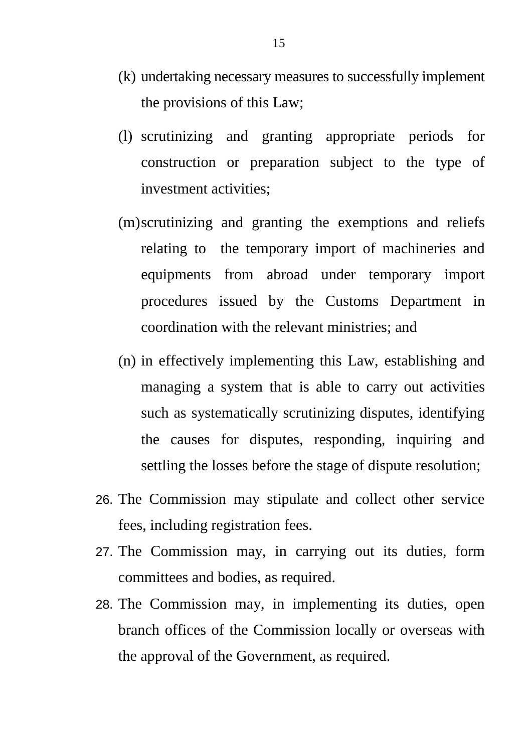- (k) undertaking necessary measures to successfully implement the provisions of this Law;
- (l) scrutinizing and granting appropriate periods for construction or preparation subject to the type of investment activities;
- (m)scrutinizing and granting the exemptions and reliefs relating to the temporary import of machineries and equipments from abroad under temporary import procedures issued by the Customs Department in coordination with the relevant ministries; and
- (n) in effectively implementing this Law, establishing and managing a system that is able to carry out activities such as systematically scrutinizing disputes, identifying the causes for disputes, responding, inquiring and settling the losses before the stage of dispute resolution;
- 26. The Commission may stipulate and collect other service fees, including registration fees.
- 27. The Commission may, in carrying out its duties, form committees and bodies, as required.
- 28. The Commission may, in implementing its duties, open branch offices of the Commission locally or overseas with the approval of the Government, as required.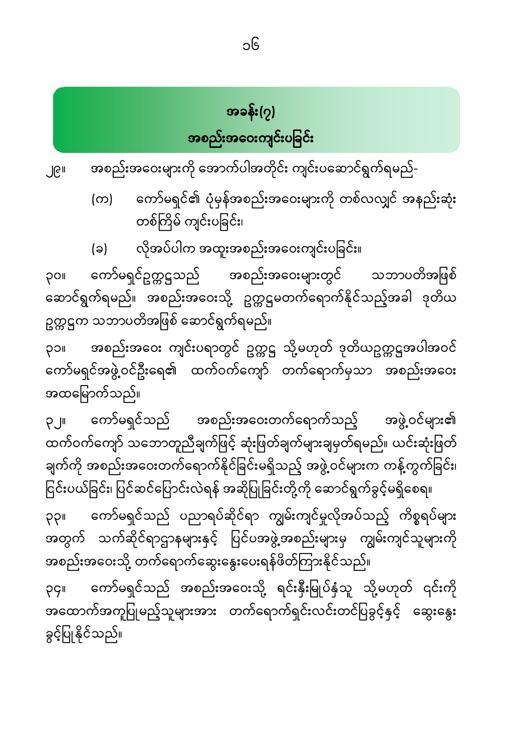# အခန်း(၇) အစည်းအဝေးကျင်းပခြင်း

- ၂၉။ အစည်းအေဝးများကို ေအာက်ပါအတိုင်း ကျင်းပေဆာင်ရွက်ရမည်-
	- (က) ေကာ်မရှင်၏ ပုံမှန်အစည်းအေဝးများကို တစ်လလ�င် အနည်းဆုံး တစ်ကြိမ် ကျင်းပခြင်း၊
	- (ခ) လိုအပ်ပါက အထူးအစည်းအဝေးကျင်းပခြင်း။

၃၀။ ကော်မရှင်ဥက္ကဋ္ဌသည် အစည်းအဝေးများတွင် သဘာပတိအဖြစ် ဆောင်ရွက်ရမည်။ အစည်းအဝေးသို့ ဥက္ကဋ္ဌမတက်ရောက်နိုင်သည့်အခါ ဒုတိယ ဥက္ကဋ္ဌက သဘာပတိအဖြစ် ဆောင်ရွက်ရမည်။

၃၁။ အစည်းအဝေး ကျင်းပရာတွင် ဥက္ကဋ္ဌ သို့မဟုတ် ဒုတိယဥက္ကဋ္ဌအပါအဝင် ေကာ်မရှင်အဖွဲ�ဝင်ဦးေရ၏ ထက်ဝက်ေကျာ် တက်ေရာက်မှသာ အစည်းအေဝး အထမြောက်သည်။

၃၂။ ေကာ်မရှင်သည် အစည်းအေဝးတက်ေရာက်သည့် အဖွဲ�ဝင်များ၏ ထက်ဝက်ကျော် သဘောတူညီချက်ဖြင့် ဆုံးဖြတ်ချက်များချမှတ်ရမည်။ ယင်းဆုံးဖြတ် ချက်ကို အစည်းအဝေးတက်ရောက်နိုင်ခြင်းမရှိသည့် အဖွဲ့ ဝင်များက ကန့်ကွက်ခြင်း၊ ငြင်းပယ်ခြင်း၊ ပြင်ဆင်ပြောင်းလဲရန် အဆိုပြုခြင်းတို့ကို ဆောင်ရွက်ခွင့်မရှိစေရ။ ၃၃။ ကော်မရှင်သည် ပညာရပ်ဆိုင်ရာ ကျွမ်းကျင်မှုလိုအပ်သည့် ကိစ္စရပ်များ အတွက် သက်ဆိုင်ရာဌာနများနှင့် ပြင်ပအဖွဲ့အစည်းများမှ ကျွမ်းကျင်သူများကို အစည်းအဝေးသို့ တက်ရောက်ဆွေးနွေးပေးရန်ဖိတ်ကြားနိုင်သည်။

၃၄။ ကော်မရှင်သည် အစည်းအဝေးသို့ ရင်းနှီးမြုပ်နှံသူ သို့မဟုတ် ၎င်းကို အထောက်အကူပြုမည့်သူများအား တက်ရောက်ရှင်းလင်းတင်ပြခွင့်နှင့် ဆွေးနွေး ခွင့်ပြုနိုင်သည်။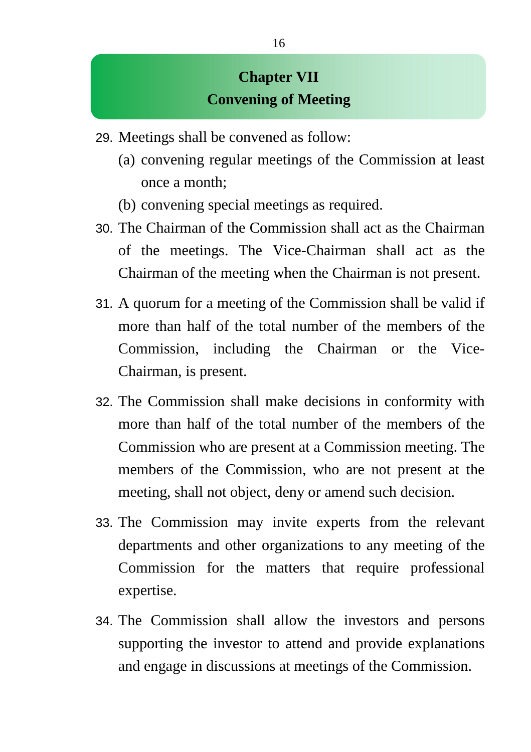### **Chapter VII Convening of Meeting**

- 29. Meetings shall be convened as follow:
	- (a) convening regular meetings of the Commission at least once a month;
	- (b) convening special meetings as required.
- 30. The Chairman of the Commission shall act as the Chairman of the meetings. The Vice-Chairman shall act as the Chairman of the meeting when the Chairman is not present.
- 31. A quorum for a meeting of the Commission shall be valid if more than half of the total number of the members of the Commission, including the Chairman or the Vice-Chairman, is present.
- 32. The Commission shall make decisions in conformity with more than half of the total number of the members of the Commission who are present at a Commission meeting. The members of the Commission, who are not present at the meeting, shall not object, deny or amend such decision.
- 33. The Commission may invite experts from the relevant departments and other organizations to any meeting of the Commission for the matters that require professional expertise.
- 34. The Commission shall allow the investors and persons supporting the investor to attend and provide explanations and engage in discussions at meetings of the Commission.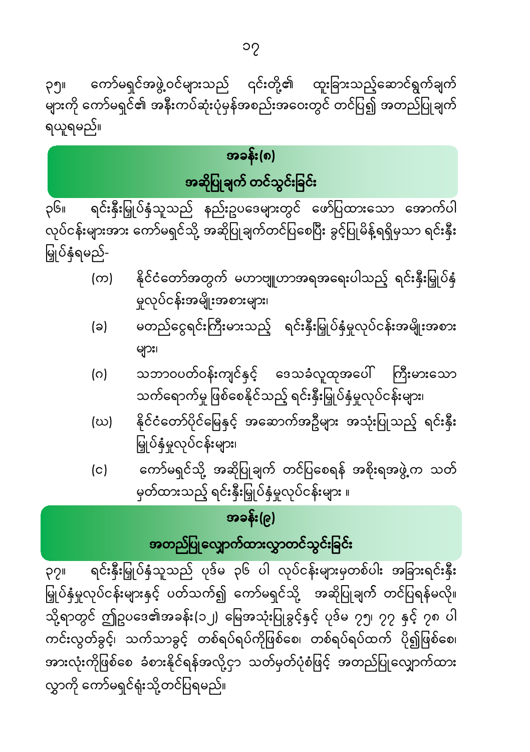ရင်းနှီးမြှုပ်နှံသူသည် ပုဒ်မ ၃၆ ပါ လုပ်ငန်းများမှတစ်ပါး အခြားရင်းနှီး POI မြှုပ်နှံမှုလုပ်ငန်းများနှင့် ပတ်သက်၍ ကော်မရှင်သို့ အဆိုပြုချက် တင်ပြရန်မလို။ သို့ရာတွင် ဤဥပဒေ၏အခန်း(၁၂) မြေအသုံးပြုခွင့်နှင့် ပုဒ်မ ၇၅၊ ၇၇ နှင့် ၇၈ ပါ ကင်းလွတ်ခွင့်၊ သက်သာခွင့် တစ်ရပ်ရပ်ကိုဖြစ်စေ၊ တစ်ရပ်ရပ်ထက် ပို၍ဖြစ်စေ၊ အားလုံးကိုဖြစ်စေ ခံစားနိုင်ရန်အလို့ငှာ သတ်မှတ်ပုံစံဖြင့် အတည်ပြုလျှောက်ထား လွှာကို ကော်မရှင်ရုံးသို့တင်ပြရမည်။

# အတည်ပြုလျှောက်ထားလွှာတင်သွင်းခြင်း

### အခန်း(၉)

- ကော်မရှင်သို့ အဆိုပြုချက် တင်ပြစေရန် အစိုးရအဖွဲ့က သတ်  $(c)$ မှတ်ထားသည့် ရင်းနှီးမြှုပ်နှံမှုလုပ်ငန်းများ ။
- နိုင်ငံတော်ပိုင်မြေနှင့် အဆောက်အဦများ အသုံးပြုသည့် ရင်းနှီး (ဃ) မြှုပ်နှံမှုလုပ်ငန်းများ၊
- များ၊ သဘာဝပတ်ဝန်းကျင်နှင့် ဒေသခံလူထုအပေါ် ကြီးမားသော  $(\circ)$ သက်ရောက်မှု ဖြစ်စေနိုင်သည့် ရင်းနှီးမြှုပ်နှံမှုလုပ်ငန်းများ၊
- .<br>မူလုပ်ငန်းအမျိုးအစားများ၊ မတည်ငွေရင်းကြီးမားသည့် ရင်းနှီးမြှုပ်နှံမှုလုပ်ငန်းအမျိုးအစား (ခ)
- နိုင်ငံတော်အတွက် မဟာဗျူဟာအရအရေးပါသည့် ရင်းနှီးမြှုပ်နှံ (က)

၃၆။ ရင်းနှီးမြှုပ်နှံသူသည် နည်းဥပဒေများတွင် ဖော်ပြထားသော အောက်ပါ လုပ်ငန်းများအား ကော်မရှင်သို့ အဆိုပြုချက်တင်ပြစေပြီး ခွင့်ပြုမိန့်ရရှိမှသာ ရင်းနှီး မြှုပ်နှံရမည်-

## အခန်း(၈) အဆိုပြုချက် တင်သွင်းခြင်း

# ရယူရမည်။

ကော်မရှင်အဖွဲ့ဝင်များသည် ၎င်းတို့၏ ထူးခြားသည့်ဆောင်ရွက်ချက် ၃၅။ များကို ကော်မရှင်၏ အနီးကပ်ဆုံးပုံမှန်အစည်းအဝေးတွင် တင်ပြ၍ အတည်ပြုချက်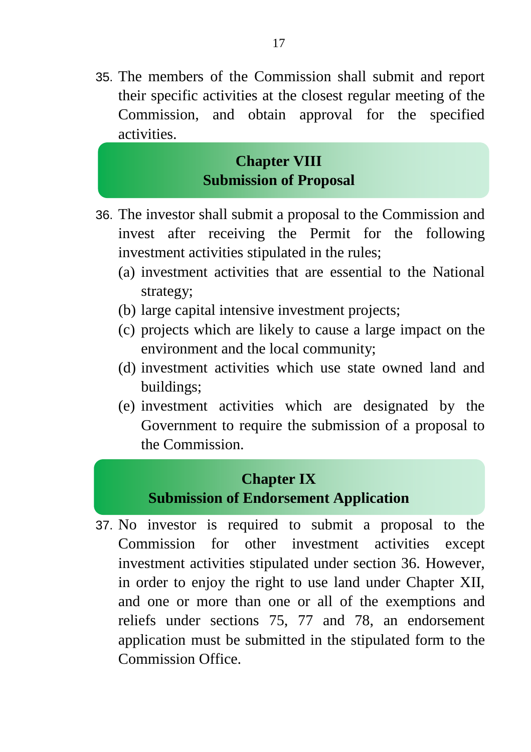35. The members of the Commission shall submit and report their specific activities at the closest regular meeting of the Commission, and obtain approval for the specified activities.

### **Chapter VIII Submission of Proposal**

- 36. The investor shall submit a proposal to the Commission and invest after receiving the Permit for the following investment activities stipulated in the rules;
	- (a) investment activities that are essential to the National strategy;
	- (b) large capital intensive investment projects;
	- (c) projects which are likely to cause a large impact on the environment and the local community;
	- (d) investment activities which use state owned land and buildings;
	- (e) investment activities which are designated by the Government to require the submission of a proposal to the Commission.

#### **Chapter IX Submission of Endorsement Application**

37. No investor is required to submit a proposal to the Commission for other investment activities except investment activities stipulated under section 36. However, in order to enjoy the right to use land under Chapter XII, and one or more than one or all of the exemptions and reliefs under sections 75, 77 and 78, an endorsement application must be submitted in the stipulated form to the Commission Office.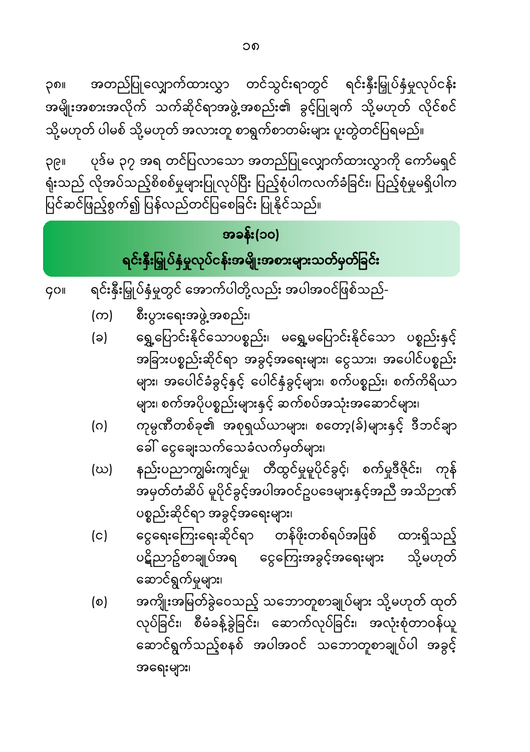အရေးများ၊

- အကျိုးအမြတ်ခွဲဝေသည့် သဘောတူစာချုပ်များ သို့မဟုတ် ထုတ်  $(\circ)$ လုပ်ခြင်း၊ စီမံခန့်ခွဲခြင်း၊ ဆောက်လုပ်ခြင်း၊ အလုံးစုံတာဝန်ယူ ဆောင်ရွက်သည့်စနစ် အပါအဝင် သဘောတူစာချုပ်ပါ အခွင့်
- ငွေရေးကြေးရေးဆိုင်ရာ တန်ဖိုးတစ်ရပ်အဖြစ် ထားရှိသည့်  $(c)$ ပဋိညာဥ်စာချုပ်အရ ငွေကြေးအခွင့်အရေးများ သို့မဟုတ် ဆောင်ရွက်မှုများ၊
- နည်းပညာကျွမ်းကျင်မှု၊ တီထွင်မှုမူပိုင်ခွင့်၊ စက်မှုဒီဇိုင်း၊ ကုန် (ဃ) ပစ္စည်းဆိုင်ရာ အခွင့်အရေးများ၊
- ကုမ္ပဏီတစ်ခု၏ အစုရှယ်ယာများ၊ စတော့(ခ်)များနှင့် ဒီဘင်ချာ  $(\circ)$ ခေါ် ငွေချေးသက်သေခံလက်မှတ်များ၊
- အခြားပစ္စည်းဆိုင်ရာ အခွင့်အရေးများ၊ ငွေသား၊ အပေါင်ပစ္စည်း များ၊ အပေါင်ခံခွင့်နှင့် ပေါင်နှံခွင့်များ၊ စက်ပစ္စည်း၊ စက်ကိရိယာ များ၊ စက်အပိုပစ္စည်းများနှင့် ဆက်စပ်အသုံးအဆောင်များ၊
- စီးပွားရေးအဖွဲ့ အစည်း၊ (က) ရွှေ့ပြောင်းနိုင်သောပစ္စည်း၊ မရွှေ့မပြောင်းနိုင်သော ပစ္စည်းနှင့် (ခ)
- ရင်းနှီးမြှုပ်နှံမှုတွင် အောက်ပါတို့လည်း အပါအဝင်ဖြစ်သည်-**GOI**

## အခန်း(၁၀) ရင်းနှီးမြှုပ်နှံမှုလုပ်ငန်းအမျိုးအစားများသတ်မှတ်ခြင်း

ပုဒ်မ ၃၇ အရ တင်ပြလာသော အတည်ပြုလျှောက်ထားလွှာကို ကော်မရှင် **OG**II ရုံးသည် လိုအပ်သည့်စိစစ်မှုများပြုလုပ်ပြီး ပြည့်စုံပါကလက်ခံခြင်း၊ ပြည့်စုံမှုမရှိပါက ပြင်ဆင်ဖြည့်စွက်၍ ပြန်လည်တင်ပြစေခြင်း ပြုနိုင်သည်။

အတည်ပြုလျှောက်ထားလွှာ တင်သွင်းရာတွင် ရင်းနှီးမြှုပ်နှံမှုလုပ်ငန်း ုဂ္စျ အမျိုးအစားအလိုက် သက်ဆိုင်ရာအဖွဲ့အစည်း၏ ခွင့်ပြုချက် သို့မဟုတ် လိုင်စင် သို့မဟုတ် ပါမစ် သို့မဟုတ် အလားတူ စာရွက်စာတမ်းများ ပူးတွဲတင်ပြရမည်။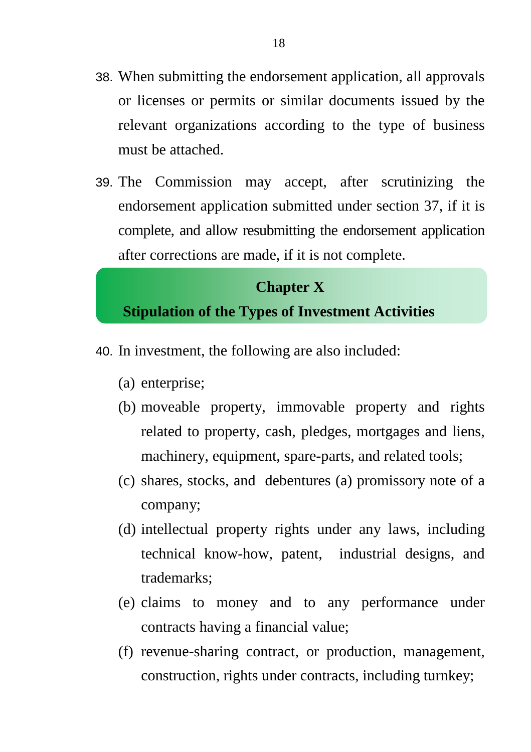- 38. When submitting the endorsement application, all approvals or licenses or permits or similar documents issued by the relevant organizations according to the type of business must be attached.
- 39. The Commission may accept, after scrutinizing the endorsement application submitted under section 37, if it is complete, and allow resubmitting the endorsement application after corrections are made, if it is not complete.

### **Chapter X Stipulation of the Types of Investment Activities**

- 40. In investment, the following are also included:
	- (a) enterprise;
	- (b) moveable property, immovable property and rights related to property, cash, pledges, mortgages and liens, machinery, equipment, spare-parts, and related tools;
	- (c) shares, stocks, and debentures (a) promissory note of a company;
	- (d) intellectual property rights under any laws, including technical know-how, patent, industrial designs, and trademarks;
	- (e) claims to money and to any performance under contracts having a financial value;
	- (f) revenue-sharing contract, or production, management, construction, rights under contracts, including turnkey;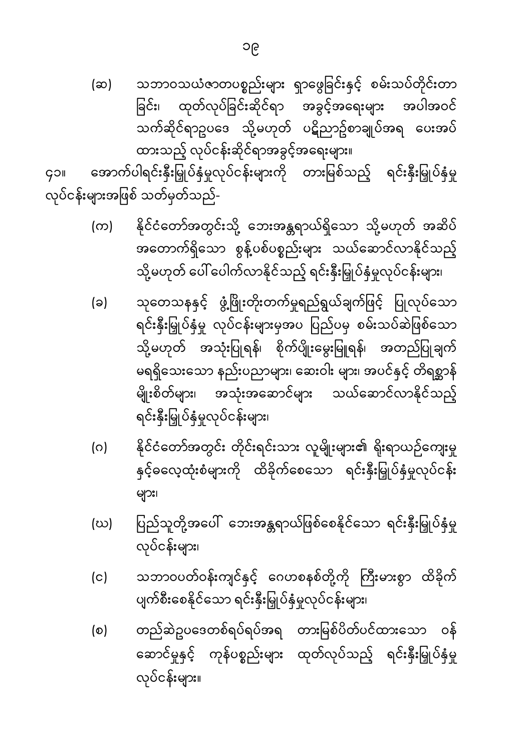(ဆ) သဘာဝသယံဇာတပစ္စည်းများ ရှာဖွေခြင်းနှင့် စမ်းသပ်တိုင်းတာ ခြင်း၊ ထုတ်လုပ်ခြင်းဆိုင်ရာ အခွင့်အရေးများ အပါအဝင် သက်ဆိုင်ရာဥပဒေ သို့မဟုတ် ပဋိညာဥ်စာချုပ်အရ ပေးအပ် ထားသည့် လုပ်ငန်းဆိုင်ရာအခွင့်အရေးများ။

အောက်ပါရင်းနှီးမြှုပ်နှံမှုလုပ်ငန်းများကို တားမြစ်သည့် ရင်းနှီးမြှုပ်နှံမှု goll လုပ်ငန်းများအဖြစ် သတ်မှတ်သည်-

- နိုင်ငံတော်အတွင်းသို့ ဘေးအန္တရာယ်ရှိသော သို့မဟုတ် အဆိပ် (က) အတောက်ရှိသော စွန့်ပစ်ပစ္စည်းများ သယ်ဆောင်လာနိုင်သည့် သို့မဟုတ် ပေါ် ပေါက်လာနိုင်သည့် ရင်းနှီးမြှုပ်နှံမှုလုပ်ငန်းများ၊
- သုတေသနနှင့် ဖွံ့ဖြိုးတိုးတက်မှုရည်ရွယ်ချက်ဖြင့် ပြုလုပ်သော (ခ) ရင်းနှီးမြှုပ်နှံမှု လုပ်ငန်းများမှအပ ပြည်ပမှ စမ်းသပ်ဆဲဖြစ်သော သို့မဟုတ် အသုံးပြုရန်၊ စိုက်ပျိုးမွေးမြူရန်၊ အတည်ပြုချက် မရရှိသေးသော နည်းပညာများ၊ ဆေးဝါး များ၊ အပင်နှင့် တိရစ္ဆာန် အသုံးအဆောင်များ သယ်ဆောင်လာနိုင်သည့် မျိုးစိတ်များ၊ ရင်းနှီးမြှုပ်နှံမှုလုပ်ငန်းများ၊
- နိုင်ငံတော်အတွင်း တိုင်းရင်းသား လူမျိုးများ၏ ရိုးရာယဉ်ကျေးမှု (ဂ) နှင့်ဓလေ့ထုံးစံများကို ထိခိုက်စေသော ရင်းနှီးမြှုပ်နှံမှုလုပ်ငန်း များ၊
- ပြည်သူတို့အပေါ် ဘေးအန္တရာယ်ဖြစ်စေနိုင်သော ရင်းနှီးမြှုပ်နှံမှု (ဃ) လုပ်ငန်းများ၊
- သဘာဝပတ်ဝန်းကျင်နှင့် ဂေဟစနစ်တို့ကို ကြီးမားစွာ ထိခိုက်  $(c)$ ပျက်စီးစေနိုင်သော ရင်းနှီးမြှုပ်နှံမှုလုပ်ငန်းများ၊
- တည်ဆဲဥပဒေတစ်ရပ်ရပ်အရ တားမြစ်ပိတ်ပင်ထားသော ဝန်  $(\circ)$ ဆောင်မှုနှင့် ကုန်ပစ္စည်းများ ထုတ်လုပ်သည့် ရင်းနှီးမြှုပ်နှံမှု လုပ်ငန်းများ။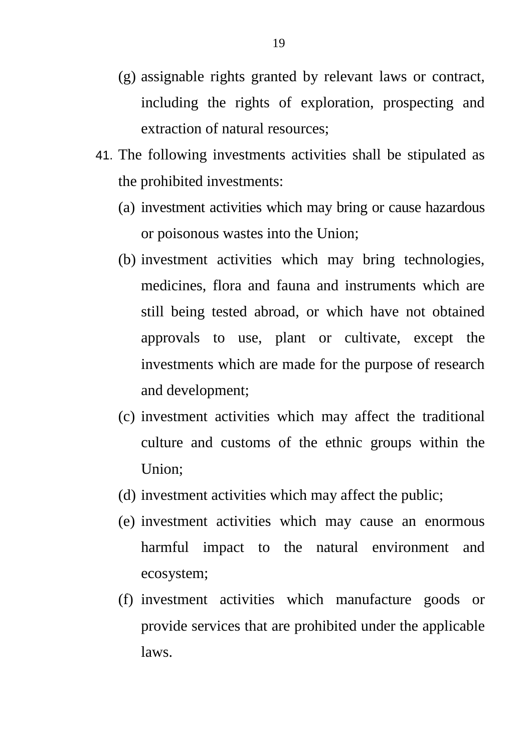- (g) assignable rights granted by relevant laws or contract, including the rights of exploration, prospecting and extraction of natural resources;
- 41. The following investments activities shall be stipulated as the prohibited investments:
	- (a) investment activities which may bring or cause hazardous or poisonous wastes into the Union;
	- (b) investment activities which may bring technologies, medicines, flora and fauna and instruments which are still being tested abroad, or which have not obtained approvals to use, plant or cultivate, except the investments which are made for the purpose of research and development;
	- (c) investment activities which may affect the traditional culture and customs of the ethnic groups within the Union;
	- (d) investment activities which may affect the public;
	- (e) investment activities which may cause an enormous harmful impact to the natural environment and ecosystem;
	- (f) investment activities which manufacture goods or provide services that are prohibited under the applicable laws.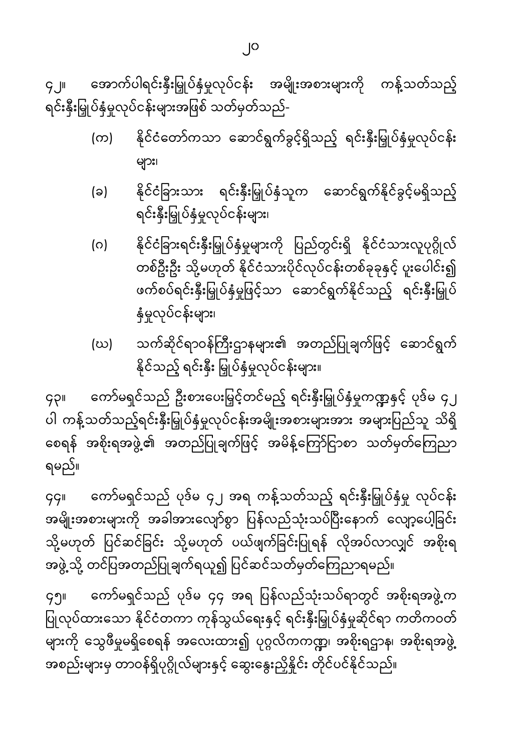အောက်ပါရင်းနှီးမြှုပ်နှံမှုလုပ်ငန်း အမျိုးအစားများကို ကန့်သတ်သည့်

နိုင်ငံတော်ကသာ ဆောင်ရွက်ခွင့်ရှိသည့် ရင်းနှီးမြှုပ်နှံမှုလုပ်ငန်း  $(\infty)$ များ၊

နိုင်ငံခြားသား ရင်းနှီးမြှုပ်နှံသူက ဆောင်ရွက်နိုင်ခွင့်မရှိသည့်

နိုင်ငံခြားရင်းနှီးမြှုပ်နှံမှုများကို ပြည်တွင်းရှိ နိုင်ငံသားလူပုဂ္ဂိုလ်

တစ်ဦးဦး သို့မဟုတ် နိုင်ငံသားပိုင်လုပ်ငန်းတစ်ခုခုနှင့် ပူးပေါင်း၍ ဖက်စပ်ရင်းနှီးမြှုပ်နှံမှုဖြင့်သာ ဆောင်ရွက်နိုင်သည့် ရင်းနှီးမြှုပ်

သက်ဆိုင်ရာဝန်ကြီးဌာနများ၏ အတည်ပြုချက်ဖြင့် ဆောင်ရွက်

ကော်မရှင်သည် ဦးစားပေးမြှင့်တင်မည့် ရင်းနှီးမြှုပ်နှံမှုကဏ္ဍနှင့် ပုဒ်မ ၄၂

ကော်မရှင်သည် ပုဒ်မ ၄၂ အရ ကန့်သတ်သည့် ရင်းနှီးမြှုပ်နှံမှု လုပ်ငန်း

ကော်မရှင်သည် ပုဒ်မ ၄၄ အရ ပြန်လည်သုံးသပ်ရာတွင် အစိုးရအဖွဲ့က

ပါ ကန့်သတ်သည့်ရင်းနှီးမြှုပ်နှံမှုလုပ်ငန်းအမျိုးအစားများအား အများပြည်သူ သိရှိ စေရန် အစိုးရအဖွဲ့၏ အတည်ပြုချက်ဖြင့် အမိန့်ကြော်ငြာစာ သတ်မှတ်ကြေညာ

အမျိုးအစားများကို အခါအားလျော်စွာ ပြန်လည်သုံးသပ်ပြီးနောက် လျော့ပေါ့ခြင်း သို့မဟုတ် ပြင်ဆင်ခြင်း သို့မဟုတ် ပယ်ဖျက်ခြင်းပြုရန် လိုအပ်လာလျှင် အစိုးရ

ပြုလုပ်ထားသော နိုင်ငံတကာ ကုန်သွယ်ရေးနှင့် ရင်းနှီးမြှုပ်နှံမှုဆိုင်ရာ ကတိကဝတ် များကို သွေဖီမှုမရှိစေရန် အလေးထား၍ ပုဂ္ဂလိကကဏ္ဍ၊ အစိုးရဌာန၊ အစိုးရအဖွဲ့

အဖွဲ့သို့ တင်ပြအတည်ပြုချက်ရယူ၍ ပြင်ဆင်သတ်မှတ်ကြေညာရမည်။

အစည်းများမှ တာဝန်ရှိပုဂ္ဂိုလ်များနှင့် ဆွေးနွေးညှိနှိုင်း တိုင်ပင်နိုင်သည်။

 $9.1$ ရင်းနှီးမြှုပ်နှံမှုလုပ်ငန်းများအဖြစ် သတ်မှတ်သည်-

ရင်းနှီးမြှုပ်နှံမှုလုပ်ငန်းများ၊

နိုင်သည့် ရင်းနှီး မြှုပ်နှံမှုလုပ်ငန်းများ။

နှံမှုလုပ်ငန်းများ၊

(ခ)

(ဂ)

(ဃ)

gpi

ရမည်။

**GGII** 

 $99$ ။

၂၀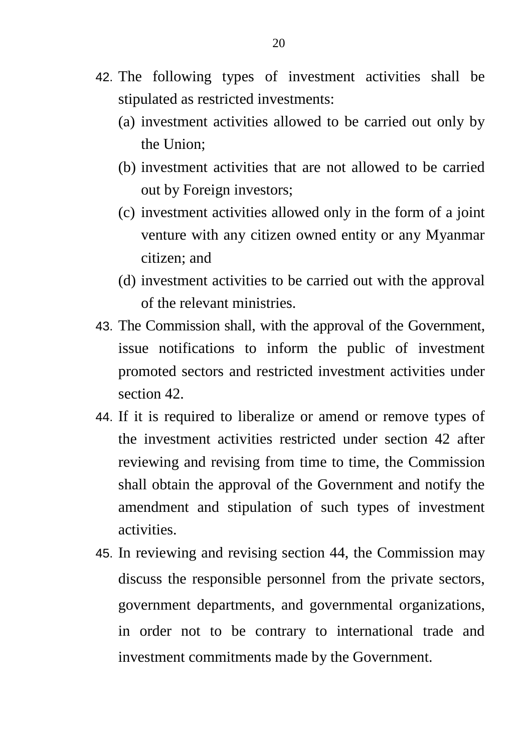- 42. The following types of investment activities shall be stipulated as restricted investments:
	- (a) investment activities allowed to be carried out only by the Union;
	- (b) investment activities that are not allowed to be carried out by Foreign investors;
	- (c) investment activities allowed only in the form of a joint venture with any citizen owned entity or any Myanmar citizen; and
	- (d) investment activities to be carried out with the approval of the relevant ministries.
- 43. The Commission shall, with the approval of the Government, issue notifications to inform the public of investment promoted sectors and restricted investment activities under section 42.
- 44. If it is required to liberalize or amend or remove types of the investment activities restricted under section 42 after reviewing and revising from time to time, the Commission shall obtain the approval of the Government and notify the amendment and stipulation of such types of investment activities.
- 45. In reviewing and revising section 44, the Commission may discuss the responsible personnel from the private sectors, government departments, and governmental organizations, in order not to be contrary to international trade and investment commitments made by the Government.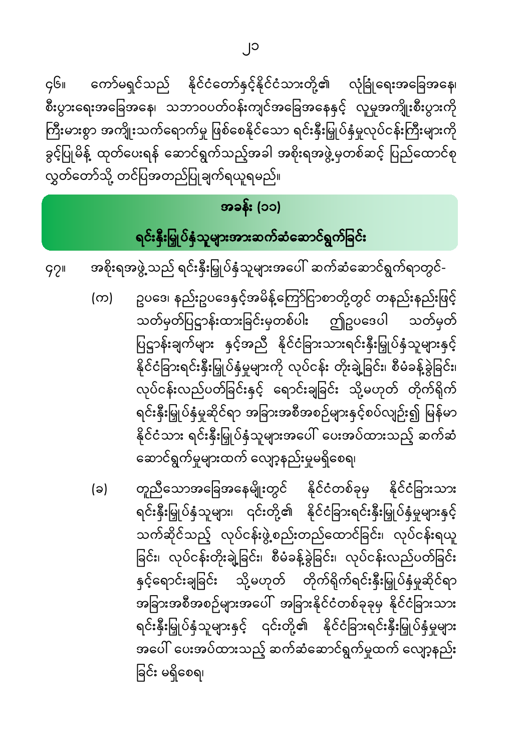၂၁

ကော်မရှင်သည် နိုင်ငံတော်နှင့်နိုင်ငံသားတို့၏ လုံခြုံရေးအခြေအနေ၊  $\varsigma$ ၆။ စီးပွားရေးအခြေအနေ၊ သဘာဝပတ်ဝန်းကျင်အခြေအနေနှင့် လူမှုအကျိုးစီးပွားကို ကြီးမားစွာ အကျိုးသက်ရောက်မှု ဖြစ်စေနိုင်သော ရင်းနှီးမြှုပ်နှံမှုလုပ်ငန်းကြီးများကို ခွင့်ပြုမိန့် ထုတ်ပေးရန် ဆောင်ရွက်သည့်အခါ အစိုးရအဖွဲ့မှတစ်ဆင့် ပြည်ထောင်စု လွှတ်တော်သို့ တင်ပြအတည်ပြုချက်ရယူရမည်။

#### အခန်း (၁၁)

### ရင်းနှီးမြှုပ်နှံသူများအားဆက်ဆံဆောင်ရွက်ခြင်း

အစိုးရအဖွဲ့ သည် ရင်းနှီးမြှုပ်နှံသူများအပေါ် ဆက်ဆံဆောင်ရွက်ရာတွင်- $99$ 

- ဥပဒေ၊ နည်းဥပဒေနှင့်အမိန့်ကြော်ငြာစာတို့တွင် တနည်းနည်းဖြင့်  $(\infty)$ သတ်မှတ်ပြဋ္ဌာန်းထားခြင်းမှတစ်ပါး ဤဥပဒေပါ သတ်မှတ် ပြဋ္ဌာန်းချက်များ နှင့်အညီ နိုင်ငံခြားသားရင်းနှီးမြှုပ်နှံသူများနှင့် နိုင်ငံခြားရင်းနှီးမြှုပ်နှံမှုများကို လုပ်ငန်း တိုးချဲ့ခြင်း၊ စီမံခန့်ခွဲခြင်း၊ လုပ်ငန်းလည်ပတ်ခြင်းနှင့် ရောင်းချခြင်း သို့မဟုတ် တိုက်ရိုက် ရင်းနှီးမြှုပ်နှံမှုဆိုင်ရာ အခြားအစီအစဉ်များနှင့်စပ်လျဉ်း၍ မြန်မာ နိုင်ငံသား ရင်းနှီးမြှုပ်နှံသူများအပေါ် ပေးအပ်ထားသည့် ဆက်ဆံ ဆောင်ရွက်မှုများထက် လျော့နည်းမှုမရှိစေရ၊
- တူညီသောအခြေအနေမျိုးတွင် နိုင်ငံတစ်ခုမှ နိုင်ငံခြားသား (ခ) ရင်းနှီးမြှုပ်နှံသူများ၊ ၎င်းတို့၏ နိုင်ငံခြားရင်းနှီးမြှုပ်နှံမှုများနှင့် သက်ဆိုင်သည့် လုပ်ငန်းဖွဲ့စည်းတည်ထောင်ခြင်း၊ လုပ်ငန်းရယူ ခြင်း၊ လုပ်ငန်းတိုးချဲ့ခြင်း၊ စီမံခန့်ခွဲခြင်း၊ လုပ်ငန်းလည်ပတ်ခြင်း နှင့်ရောင်းချခြင်း သို့မဟုတ် တိုက်ရိုက်ရင်းနှီးမြှုပ်နှံမှုဆိုင်ရာ အခြားအစီအစဉ်များအပေါ် အခြားနိုင်ငံတစ်ခုခုမှ နိုင်ငံခြားသား ရင်းနှီးမြှုပ်နှံသူများနှင့် ၎င်းတို့၏ နိုင်ငံခြားရင်းနှီးမြှုပ်နှံမှုများ အပေါ် ပေးအပ်ထားသည့် ဆက်ဆံဆောင်ရွက်မှုထက် လျော့နည်း ခြင်း မရှိစေရ၊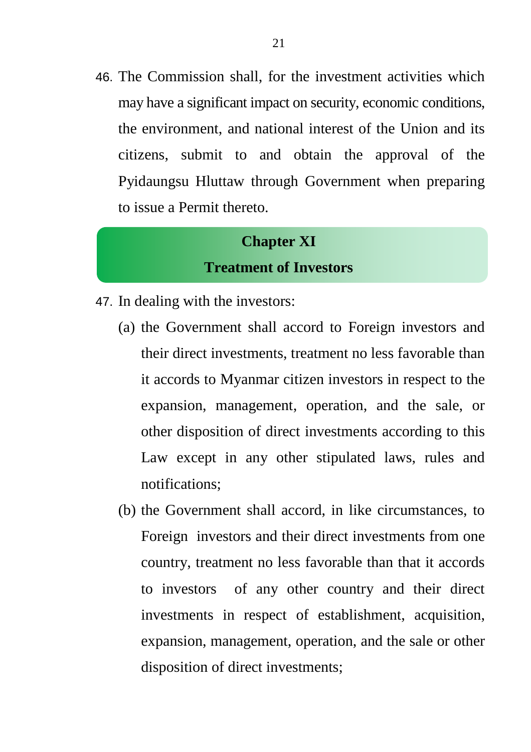46. The Commission shall, for the investment activities which may have a significant impact on security, economic conditions, the environment, and national interest of the Union and its citizens, submit to and obtain the approval of the Pyidaungsu Hluttaw through Government when preparing to issue a Permit thereto.

#### **Chapter XI Treatment of Investors**

- 47. In dealing with the investors:
	- (a) the Government shall accord to Foreign investors and their direct investments, treatment no less favorable than it accords to Myanmar citizen investors in respect to the expansion, management, operation, and the sale, or other disposition of direct investments according to this Law except in any other stipulated laws, rules and notifications;
	- (b) the Government shall accord, in like circumstances, to Foreign investors and their direct investments from one country, treatment no less favorable than that it accords to investors of any other country and their direct investments in respect of establishment, acquisition, expansion, management, operation, and the sale or other disposition of direct investments;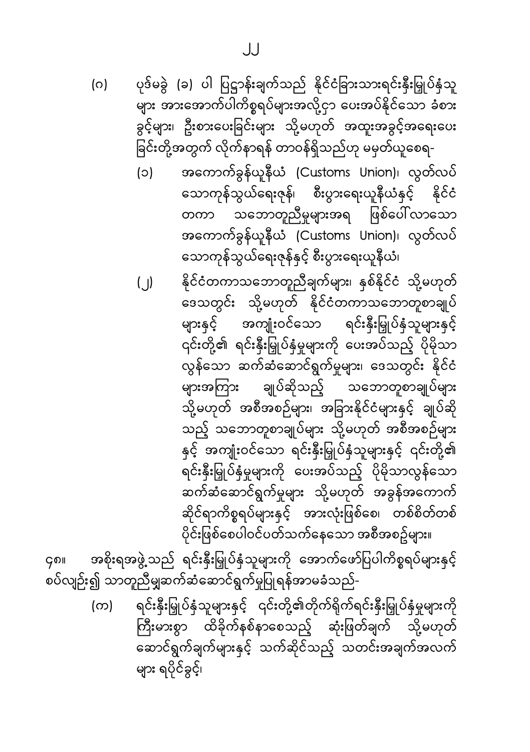ပုဒ်မခွဲ (ခ) ပါ ပြဋ္ဌာန်းချက်သည် နိုင်ငံခြားသားရင်းနှီးမြှုပ်နှံသူ (ဂ) .<br>များ အားအောက်ပါကိစ္စရပ်များအလို့ငှာ ပေးအပ်နိုင်သော ခံစား ခွင့်များ၊ ဦးစားပေးခြင်းများ သို့မဟုတ် အထူးအခွင့်အရေးပေး ခြင်းတို့အတွက် လိုက်နာရန် တာဝန်ရှိသည်ဟု မမှတ်ယူစေရ-

> အကောက်ခွန်ယူနီယံ (Customs Union)၊ လွတ်လပ်  $(c)$ သောကုန်သွယ်ရေးဇုန်၊ စီးပွားရေးယူနီယံနှင့် နိုင်ငံ သဘောတူညီမှုများအရ ဖြစ်ပေါ် လာသော တကာ အကောက်ခွန်ယူနီယံ (Customs Union)၊ လွတ်လပ် သောကုန်သွယ်ရေးဇုန်နှင့် စီးပွားရေးယူနီယံ၊

> နိုင်ငံတကာသဘောတူညီချက်များ၊ နှစ်နိုင်ငံ သို့မဟုတ်  $($   $)$ ဒေသတွင်း သို့မဟုတ် နိုင်ငံတကာသဘောတူစာချုပ် များနှင့် အကျုံးဝင်သော ရင်းနှီးမြှုပ်နှံသူများနှင့် .<br>၎င်းတို့၏ ရင်းနှီးမြှုပ်နှံမှုများကို ပေးအပ်သည့် ပိုမိုသာ .<br>လွန်သော ဆက်ဆံဆောင်ရွက်မှုများ၊ ဒေသတွင်း နိုင်ငံ ချုပ်ဆိုသည့် သဘောတူစာချုပ်များ များအကြား သို့မဟုတ် အစီအစဉ်များ၊ အခြားနိုင်ငံများနှင့် ချုပ်ဆို သည့် သဘောတူစာချုပ်များ သို့မဟုတ် အစီအစဉ်များ နှင့် အကျုံးဝင်သော ရင်းနှီးမြှုပ်နှံသူများနှင့် ၎င်းတို့၏ ရင်းနှီးမြှုပ်နှံမှုများကို ပေးအပ်သည့် ပိုမိုသာလွန်သော ဆက်ဆံဆောင်ရွက်မှုများ သို့မဟုတ် အခွန်အကောက် ဆိုင်ရာကိစ္စရပ်များနှင့် အားလုံးဖြစ်စေ၊ တစ်စိတ်တစ် ပိုင်းဖြစ်စေပါဝင်ပတ်သက်နေသော အစီအစဥ်များ။

အစိုးရအဖွဲ့ သည် ရင်းနှီးမြှုပ်နှံသူများကို အောက်ဖော်ပြပါကိစ္စရပ်များနှင့် ၄၈။ ှ<br>စပ်လျဉ်း၍ သာတူညီမျှဆက်ဆံဆောင်ရွက်မှုပြုရန်အာမခံသည်-

> ရင်းနှီးမြှုပ်နှံသူများနှင့် ၎င်းတို့၏တိုက်ရိုက်ရင်းနှီးမြှုပ်နှံမှုများကို (က) ကြီးမားစွာ ထိခိုက်နစ်နာစေသည့် ဆုံးဖြတ်ချက် သို့မဟုတ် ဆောင်ရွက်ချက်များနှင့် သက်ဆိုင်သည့် သတင်းအချက်အလက် များ ရပိုင်ခွင့်၊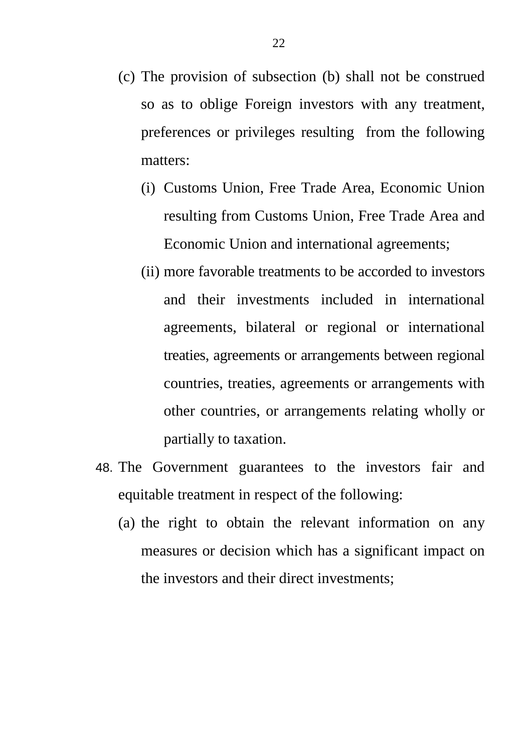- (c) The provision of subsection (b) shall not be construed so as to oblige Foreign investors with any treatment, preferences or privileges resulting from the following matters:
	- (i) Customs Union, Free Trade Area, Economic Union resulting from Customs Union, Free Trade Area and Economic Union and international agreements;
	- (ii) more favorable treatments to be accorded to investors and their investments included in international agreements, bilateral or regional or international treaties, agreements or arrangements between regional countries, treaties, agreements or arrangements with other countries, or arrangements relating wholly or partially to taxation.
- 48. The Government guarantees to the investors fair and equitable treatment in respect of the following:
	- (a) the right to obtain the relevant information on any measures or decision which has a significant impact on the investors and their direct investments;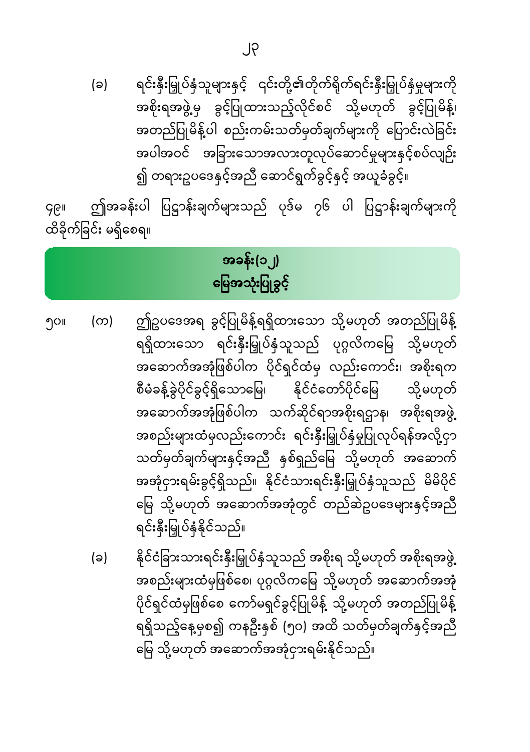ရင်းနှီးမြှုပ်နှံသူများနှင့် ၎င်းတို့၏တိုက်ရိုက်ရင်းနှီးမြှုပ်နှံမှုများကို (ခ) အစိုးရအဖွဲ့မှ ခွင့်ပြုထားသည့်လိုင်စင် သို့မဟုတ် ခွင့်ပြုမိန့်၊ အတည်ပြုမိန့်ပါ စည်းကမ်းသတ်မှတ်ချက်များကို ပြောင်းလဲခြင်း အပါအဝင် အခြားသောအလားတူလုပ်ဆောင်မှုများနှင့်စပ်လျဉ်း ၍ တရားဥပဒေနှင့်အညီ ဆောင်ရွက်ခွင့်နှင့် အယူခံခွင့်။

ဤအခန်းပါ ပြဋ္ဌာန်းချက်များသည် ပုဒ်မ ၇၆ ပါ ပြဋ္ဌာန်းချက်များကို **GGII** ထိခိုက်ခြင်း မရှိစေရ။

#### အခန်း(၁၂) မြေအသုံးပြုခွင့်

- ဤဥပဒေအရ ခွင့်ပြုမိန့်ရရှိထားသော သို့မဟုတ် အတည်ပြုမိန့် ၅၀။ (က) ရရှိထားသော ရင်းနှီးမြှုပ်နှံသူသည် ပုဂ္ဂလိကမြေ သို့မဟုတ် အဆောက်အအုံဖြစ်ပါက ပိုင်ရှင်ထံမှ လည်းကောင်း၊ အစိုးရက စီမံခန့်ခွဲပိုင်ခွင့်ရှိသောမြေ၊ နိုင်ငံတော်ပိုင်မြေ သို့မဟုတ် အဆောက်အအုံဖြစ်ပါက သက်ဆိုင်ရာအစိုးရဌာန၊ အစိုးရအဖွဲ့ အစည်းများထံမှလည်းကောင်း ရင်းနှီးမြှုပ်နှံမှုပြုလုပ်ရန်အလို့ငှာ သတ်မှတ်ချက်များနှင့်အညီ နှစ်ရှည်မြေ သို့မဟုတ် အဆောက် အအုံငှားရမ်းခွင့်ရှိသည်။ နိုင်ငံသားရင်းနှီးမြှုပ်နှံသူသည် မိမိပိုင် မြေ သို့မဟုတ် အဆောက်အအုံတွင် တည်ဆဲဥပဒေများနှင့်အညီ ရင်းနှီးမြှုပ်နံနိုင်သည်။
	- နိုင်ငံခြားသားရင်းနှီးမြှုပ်နှံသူသည် အစိုးရ သို့မဟုတ် အစိုးရအဖွဲ့ (ခ) အစည်းများထံမှဖြစ်စေ၊ ပုဂ္ဂလိကမြေ သို့မဟုတ် အဆောက်အအုံ ပိုင်ရှင်ထံမှဖြစ်စေ ကော်မရှင်ခွင့်ပြုမိန့် သို့မဟုတ် အတည်ပြုမိန့် ရရှိသည့်နေ့မှစ၍ ကနဦးနှစ် (၅၀) အထိ သတ်မှတ်ချက်နှင့်အညီ မြေ သို့မဟုတ် အဆောက်အအုံငှားရမ်းနိုင်သည်။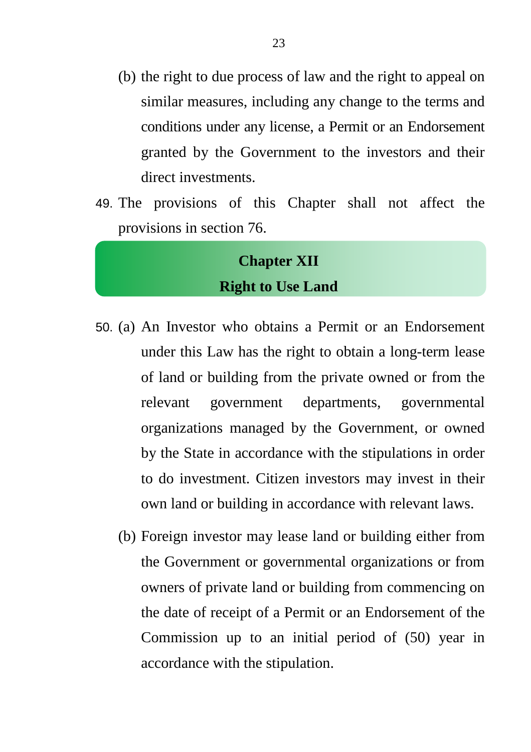- (b) the right to due process of law and the right to appeal on similar measures, including any change to the terms and conditions under any license, a Permit or an Endorsement granted by the Government to the investors and their direct investments.
- 49. The provisions of this Chapter shall not affect the provisions in section 76.

#### **Chapter XII Right to Use Land**

- 50. (a) An Investor who obtains a Permit or an Endorsement under this Law has the right to obtain a long-term lease of land or building from the private owned or from the relevant government departments, governmental organizations managed by the Government, or owned by the State in accordance with the stipulations in order to do investment. Citizen investors may invest in their own land or building in accordance with relevant laws.
	- (b) Foreign investor may lease land or building either from the Government or governmental organizations or from owners of private land or building from commencing on the date of receipt of a Permit or an Endorsement of the Commission up to an initial period of (50) year in accordance with the stipulation.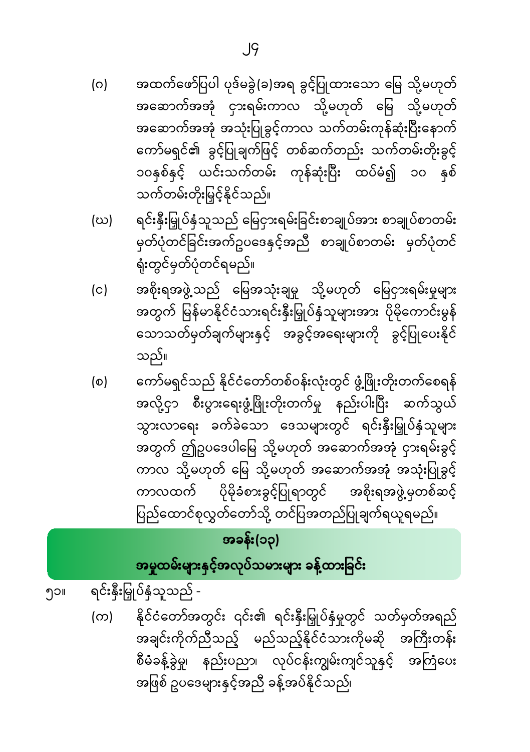- (က) နိုင်ငံတော်အတွင်း ၎င်း၏ ရင်းနှီးမြှုပ်နှံမှုတွင် သတ်မှတ်အရည် အချင်းကိုက်ညီသည့် မည်သည့်နိုင်ငံသားကိုမဆို အကြီးတန်း စီမံခန့်ခွဲမှု၊ နည်းပညာ၊ လုပ်ငန်းကျွမ်းကျင်သူနှင့် အကြံပေး အဖြစ် ဥပဒေများနှင့်အညီ ခန့်အပ်နိုင်သည်၊
- ရင်းနှီးမြှုပ်နှံသူသည် -၅၁။

# အမှုထမ်းများနှင့်အလုပ်သမားများ ခန့်ထားခြင်း

#### အခန်း(၁၃)

- ကော်မရှင်သည် နိုင်ငံတော်တစ်ဝန်းလုံးတွင် ဖွံ့ဖြိုးတိုးတက်စေရန်  $\circ$ အလို့ငှာ စီးပွားရေးဖွံ့ဖြိုးတိုးတက်မှု နည်းပါးပြီး ဆက်သွယ် သွားလာရေး ခက်ခဲသော ဒေသများတွင် ရင်းနှီးမြှုပ်နှံသူများ .<br>အတွက် ဤဥပဒေပါမြေ သို့မဟုတ် အဆောက်အအုံ ငှားရမ်းခွင့် ကာလ သို့မဟုတ် မြေ သို့မဟုတ် အဆောက်အအုံ အသုံးပြုခွင့် ကာလထက် ပိုမိုခံစားခွင့်ပြုရာတွင် အစိုးရအဖွဲ့မှတစ်ဆင့် ပြည်ထောင်စုလွှတ်တော်သို့ တင်ပြအတည်ပြုချက်ရယူရမည်။
- အစိုးရအဖွဲ့ သည် မြေအသုံးချမှု သို့မဟုတ် မြေငှားရမ်းမှုများ  $(c)$ အတွက် မြန်မာနိုင်ငံသားရင်းနှီးမြှုပ်နှံသူများအား ပိုမိုကောင်းမွန် သောသတ်မှတ်ချက်များနှင့် အခွင့်အရေးများကို ခွင့်ပြုပေးနိုင် သည်။
- ရင်းနှီးမြှုပ်နှံသူသည် မြေငှားရမ်းခြင်းစာချုပ်အား စာချုပ်စာတမ်း (ဃ) မှတ်ပုံတင်ခြင်းအက်ဥပဒေနှင့်အညီ စာချုပ်စာတမ်း မှတ်ပုံတင် ရုံးတွင်မှတ်ပုံတင်ရမည်။
- အထက်ဖော်ပြပါ ပုဒ်မခွဲ(ခ)အရ ခွင့်ပြုထားသော မြေ သို့မဟုတ် (ဂ) အဆောက်အအုံ ငှားရမ်းကာလ သို့မဟုတ် မြေ သို့မဟုတ် အဆောက်အအုံ အသုံးပြုခွင့်ကာလ သက်တမ်းကုန်ဆုံးပြီးနောက် ကော်မရှင်၏ ခွင့်ပြုချက်ဖြင့် တစ်ဆက်တည်း သက်တမ်းတိုးခွင့် ၁၀နှစ်နှင့် ယင်းသက်တမ်း ကုန်ဆုံးပြီး ထပ်မံ၍ ၁၀ နှစ် သက်တမ်းတိုးမြှင့်နိုင်သည်။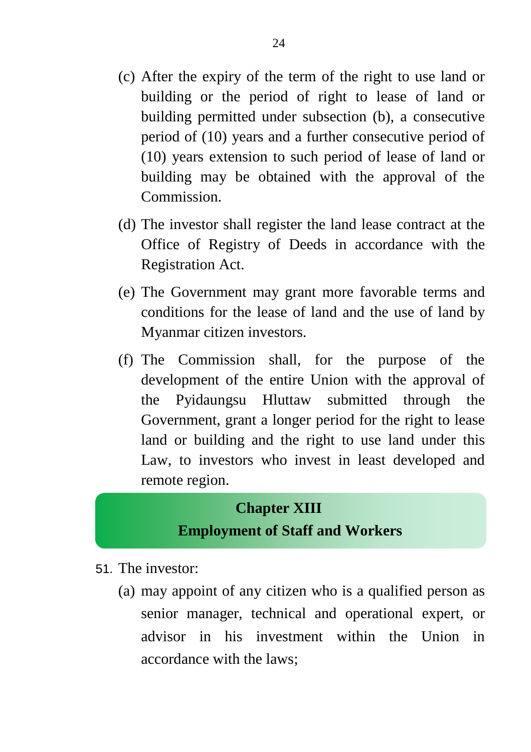- (c) After the expiry of the term of the right to use land or building or the period of right to lease of land or building permitted under subsection (b), a consecutive period of (10) years and a further consecutive period of (10) years extension to such period of lease of land or building may be obtained with the approval of the Commission.
- (d) The investor shall register the land lease contract at the Office of Registry of Deeds in accordance with the Registration Act.
- (e) The Government may grant more favorable terms and conditions for the lease of land and the use of land by Myanmar citizen investors.
- (f) The Commission shall, for the purpose of the development of the entire Union with the approval of the Pyidaungsu Hluttaw submitted through the Government, grant a longer period for the right to lease land or building and the right to use land under this Law, to investors who invest in least developed and remote region.

#### **Chapter XIII Employment of Staff and Workers**

- 51. The investor:
	- (a) may appoint of any citizen who is a qualified person as senior manager, technical and operational expert, or advisor in his investment within the Union in accordance with the laws;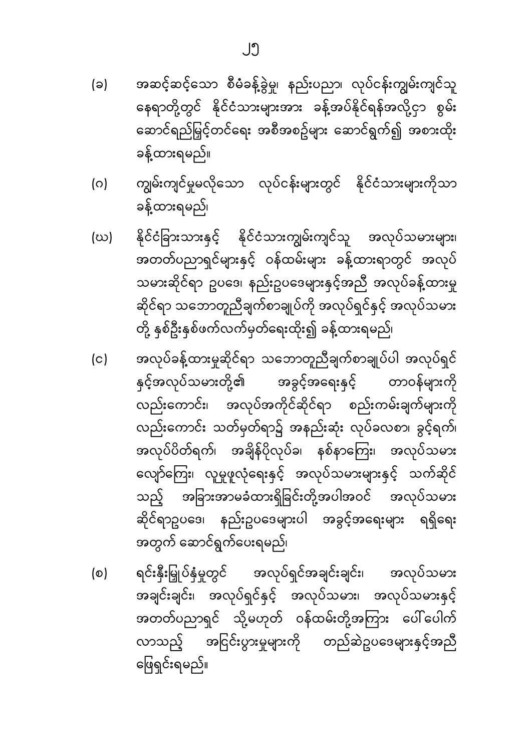- အဆင့်ဆင့်သော စီမံခန့်ခွဲမှု၊ နည်းပညာ၊ လုပ်ငန်းကျွမ်းကျင်သူ (ခ) နေရာတို့တွင် နိုင်ငံသားများအား ခန့်အပ်နိုင်ရန်အလို့ငှာ စွမ်း ဆောင်ရည်မြှင့်တင်ရေး အစီအစဥ်များ ဆောင်ရွက်၍ အစားထိုး ခန့်ထားရမည်။
- ကျွမ်းကျင်မှုမလိုသော လုပ်ငန်းများတွင် နိုင်ငံသားများကိုသာ  $\circ$ ခန့်ထားရမည်၊
- နိုင်ငံခြားသားနှင့် နိုင်ငံသားကျွမ်းကျင်သူ အလုပ်သမားများ၊ (ဃ) အတတ်ပညာရှင်များနှင့် ဝန်ထမ်းများ ခန့်ထားရာတွင် အလုပ် သမားဆိုင်ရာ ဥပဒေ၊ နည်းဥပဒေများနှင့်အညီ အလုပ်ခန့်ထားမှု ဆိုင်ရာ သဘောတူညီချက်စာချုပ်ကို အလုပ်ရှင်နှင့် အလုပ်သမား တို့ နှစ်ဦးနှစ်ဖက်လက်မှတ်ရေးထိုး၍ ခန့်ထားရမည်၊
- အလုပ်ခန့်ထားမှုဆိုင်ရာ သဘောတူညီချက်စာချုပ်ပါ အလုပ်ရှင်  $(c)$ အခွင့်အရေးနှင့် နှင့်အလုပ်သမားတို့၏ တာဝန်များကို လည်းကောင်း၊ အလုပ်အကိုင်ဆိုင်ရာ စည်းကမ်းချက်များကို လည်းကောင်း သတ်မှတ်ရာ၌ အနည်းဆုံး လုပ်ခလစာ၊ ခွင့်ရက်၊ အလုပ်ပိတ်ရက်၊ အချိန်ပိုလုပ်ခ၊ နစ်နာကြေး၊ အလုပ်သမား လျော်ကြေး၊ လူမှုဖူလုံရေးနှင့် အလုပ်သမားများနှင့် သက်ဆိုင် သည့် အခြားအာမခံထားရှိခြင်းတို့အပါအဝင် အလုပ်သမား ဆိုင်ရာဥပဒေ၊ နည်းဥပဒေများပါ အခွင့်အရေးများ ရရှိရေး အတွက် ဆောင်ရွက်ပေးရမည်၊
- အလုပ်သမား ရင်းနှီးမြှုပ်နှံမှုတွင် အလုပ်ရှင်အချင်းချင်း၊  $\circ$ အချင်းချင်း၊ အလုပ်ရှင်နှင့် အလုပ်သမား၊ အလုပ်သမားနှင့် အတတ်ပညာရှင် သို့မဟုတ် ဝန်ထမ်းတို့အကြား ပေါ်ပေါက် လာသည့် အငြင်းပွားမှုများကို တည်ဆဲဥပဒေများနှင့်အညီ ဖြေရှင်းရမည်။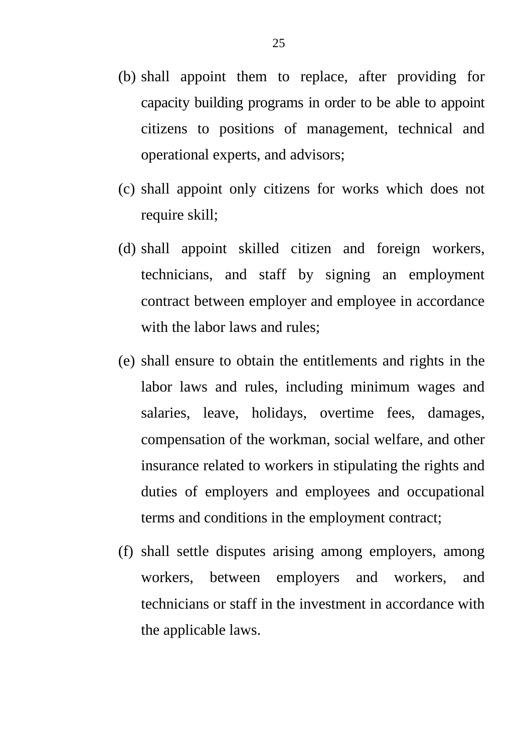- (b) shall appoint them to replace, after providing for capacity building programs in order to be able to appoint citizens to positions of management, technical and operational experts, and advisors;
- (c) shall appoint only citizens for works which does not require skill;
- (d) shall appoint skilled citizen and foreign workers, technicians, and staff by signing an employment contract between employer and employee in accordance with the labor laws and rules;
- (e) shall ensure to obtain the entitlements and rights in the labor laws and rules, including minimum wages and salaries, leave, holidays, overtime fees, damages, compensation of the workman, social welfare, and other insurance related to workers in stipulating the rights and duties of employers and employees and occupational terms and conditions in the employment contract;
- (f) shall settle disputes arising among employers, among workers, between employers and workers, and technicians or staff in the investment in accordance with the applicable laws.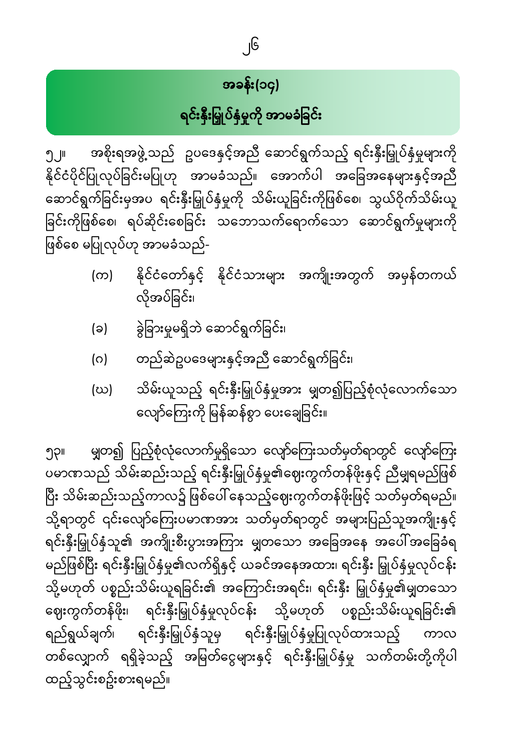# အခန်း(၁၄) ရင်းနှီးမြှုပ်နှံမှုကို အာမခံခြင်း

အစိုးရအဖွဲ့ သည် ဥပဒေနှင့်အညီ ဆောင်ရွက်သည့် ရင်းနှီးမြှုပ်နှံမှုများကို <u>ๆ jll</u> နိုင်ငံပိုင်ပြုလုပ်ခြင်းမပြုဟု အာမခံသည်။ အောက်ပါ အခြေအနေများနှင့်အညီ ဆောင်ရွက်ခြင်းမှအပ ရင်းနှီးမြှုပ်နှံမှုကို သိမ်းယူခြင်းကိုဖြစ်စေ၊ သွယ်ဝိုက်သိမ်းယူ ခြင်းကိုဖြစ်စေ၊ ရပ်ဆိုင်းစေခြင်း သဘောသက်ရောက်သော ဆောင်ရွက်မှုများကို ဖြစ်စေ မပြုလုပ်ဟု အာမခံသည်-

- နိုင်ငံတော်နှင့် နိုင်ငံသားများ အကျိုးအတွက် အမှန်တကယ်  $(\infty)$ လိုအပ်ခြင်း၊
- ခွဲခြားမှုမရှိဘဲ ဆောင်ရွက်ခြင်း၊  $(a)$
- တည်ဆဲဥပဒေများနှင့်အညီ ဆောင်ရွက်ခြင်း၊  $(0)$
- သိမ်းယူသည့် ရင်းနှီးမြှုပ်နှံမှုအား မျှတ၍ပြည့်စုံလုံလောက်သော (ဃ) လျော်ကြေးကို မြန်ဆန်စွာ ပေးချေခြင်း။

မျှတ၍ ပြည့်စုံလုံလောက်မှုရှိသော လျော်ကြေးသတ်မှတ်ရာတွင် လျော်ကြေး ၅၃။ ်<br>ပမာဏသည် သိမ်းဆည်းသည့် ရင်းနှီးမြှုပ်နှံမှု၏ဈေးကွက်တန်ဖိုးနှင့် ညီမျှရမည်ဖြစ် ပြီး သိမ်းဆည်းသည့်ကာလ၌ ဖြစ်ပေါ် နေသည့်ဈေးကွက်တန်ဖိုးဖြင့် သတ်မှတ်ရမည်။ သို့ရာတွင် ၎င်းလျော်ကြေးပမာဏအား သတ်မှတ်ရာတွင် အများပြည်သူအကျိုးနှင့် ရင်းနှီးမြှုပ်နှံသူ၏ အကျိုးစီးပွားအကြား မျှတသော အခြေအနေ အပေါ်အခြေခံရ မည်ဖြစ်ပြီး ရင်းနှီးမြှုပ်နှံမှု၏လက်ရှိနှင့် ယခင်အနေအထား၊ ရင်းနှီး မြှုပ်နှံမှုလုပ်ငန်း သို့မဟုတ် ပစ္စည်းသိမ်းယူရခြင်း၏ အကြောင်းအရင်း၊ ရင်းနှီး မြှုပ်နှံမှု၏မျှတသော -<br>ဈေးကွက်တန်ဖိုး၊ ရင်းနှီးမြှုပ်နှံမှုလုပ်ငန်း သို့မဟုတ် ပစ္စည်းသိမ်းယူရခြင်း၏ ရည်ရွယ်ချက်၊ ရင်းနှီးမြှုပ်နှံသူမှ ရင်းနှီးမြှုပ်နှံမှုပြုလုပ်ထားသည့် ကာလ တစ်လျှောက် ရရှိခဲ့သည့် အမြတ်ငွေများနှင့် ရင်းနှီးမြှုပ်နှံမှု သက်တမ်းတို့ကိုပါ ထည့်သွင်းစဥ်းစားရမည်။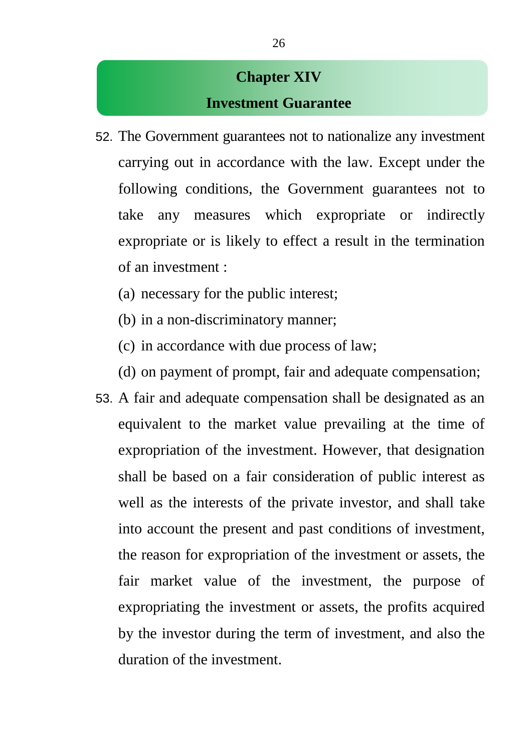#### **Chapter XIV Investment Guarantee**

- 52. The Government guarantees not to nationalize any investment carrying out in accordance with the law. Except under the following conditions, the Government guarantees not to take any measures which expropriate or indirectly expropriate or is likely to effect a result in the termination of an investment :
	- (a) necessary for the public interest;
	- (b) in a non-discriminatory manner;
	- (c) in accordance with due process of law;
	- (d) on payment of prompt, fair and adequate compensation;
- 53. A fair and adequate compensation shall be designated as an equivalent to the market value prevailing at the time of expropriation of the investment. However, that designation shall be based on a fair consideration of public interest as well as the interests of the private investor, and shall take into account the present and past conditions of investment, the reason for expropriation of the investment or assets, the fair market value of the investment, the purpose of expropriating the investment or assets, the profits acquired by the investor during the term of investment, and also the duration of the investment.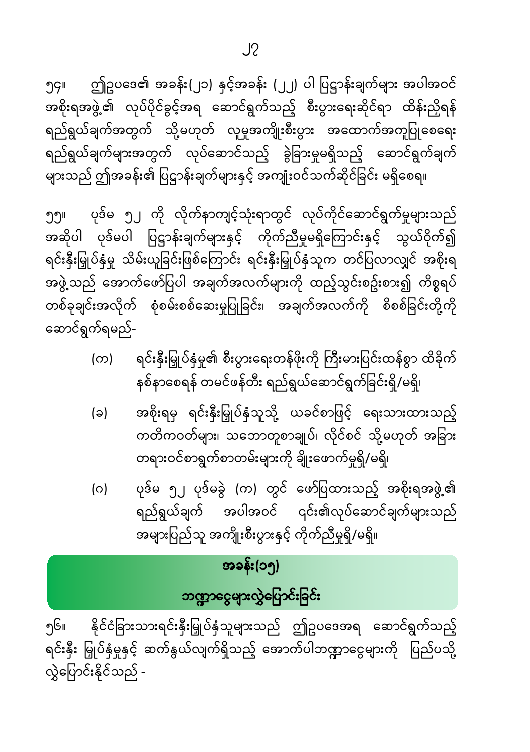$J<sub>2</sub>$ 

ဤဥပဒေ၏ အခန်း(၂၁) နှင့်အခန်း (၂၂) ပါ ပြဋ္ဌာန်းချက်များ အပါအဝင် ၅၄။ အစိုးရအဖွဲ့၏ လုပ်ပိုင်ခွင့်အရ ဆောင်ရွက်သည့် စီးပွားရေးဆိုင်ရာ ထိန်းညှိရန် ရည်ရွယ်ချက်အတွက် သို့မဟုတ် လူမှုအကျိုးစီးပွား အထောက်အကူပြုစေရေး ရည်ရွယ်ချက်များအတွက် လုပ်ဆောင်သည့် ခွဲခြားမှုမရှိသည့် ဆောင်ရွက်ချက် များသည် ဤအခန်း၏ ပြဋ္ဌာန်းချက်များနှင့် အကျုံးဝင်သက်ဆိုင်ခြင်း မရှိစေရ။

ပုဒ်မ ၅၂ ကို လိုက်နာကျင့်သုံးရာတွင် လုပ်ကိုင်ဆောင်ရွက်မှုများသည် ງງ⊪ အဆိုပါ ပုဒ်မပါ ပြဋ္ဌာန်းချက်များနှင့် ကိုက်ညီမှုမရှိကြောင်းနှင့် သွယ်ဝိုက်၍ ရင်းနှီးမြှုပ်နှံမှု သိမ်းယူခြင်းဖြစ်ကြောင်း ရင်းနှီးမြှုပ်နှံသူက တင်ပြလာလျှင် အစိုးရ အဖွဲ့သည် အောက်ဖော်ပြပါ အချက်အလက်များကို ထည့်သွင်းစဥ်းစား၍ ကိစ္စရပ် တစ်ခုချင်းအလိုက် စုံစမ်းစစ်ဆေးမှုပြုခြင်း၊ အချက်အလက်ကို စိစစ်ခြင်းတို့ကို ဆောင်ရွက်ရမည်-

- ရင်းနှီးမြှုပ်နှံမှု၏ စီးပွားရေးတန်ဖိုးကို ကြီးမားပြင်းထန်စွာ ထိခိုက် (က) နစ်နာစေရန် တမင်ဖန်တီး ရည်ရွယ်ဆောင်ရွက်ခြင်းရှိ/မရှိ၊
- အစိုးရမှ ရင်းနှီးမြှုပ်နှံသူသို့ ယခင်စာဖြင့် ရေးသားထားသည့် (ခ) ကတိကဝတ်များ၊ သဘောတူစာချုပ်၊ လိုင်စင် သို့မဟုတ် အခြား တရားဝင်စာရွက်စာတမ်းများကို ချိုးဖောက်မှုရှိ/မရှိ၊
- ပုဒ်မ ၅၂ ပုဒ်မခွဲ (က) တွင် ဖော်ပြထားသည့် အစိုးရအဖွဲ့၏ (ဂ) ရည်ရွယ်ချက် အပါအဝင် ၎င်း၏လုပ်ဆောင်ချက်များသည် အများပြည်သူ အကျိုးစီးပွားနှင့် ကိုက်ညီမှုရှိ/မရှိ။

### အခန်း(၁၅)

## ဘဏ္ဍာငွေများလွှဲပြောင်းခြင်း

၅၆။ နိုင်ငံခြားသားရင်းနှီးမြှုပ်နှံသူများသည် ဤဥပဒေအရ ဆောင်ရွက်သည့် ရင်းနှီး မြှုပ်နှံမှုနှင့် ဆက်နွယ်လျက်ရှိသည့် အောက်ပါဘဏ္ဍာငွေများကို ပြည်ပသို့ လွှဲပြောင်းနိုင်သည် -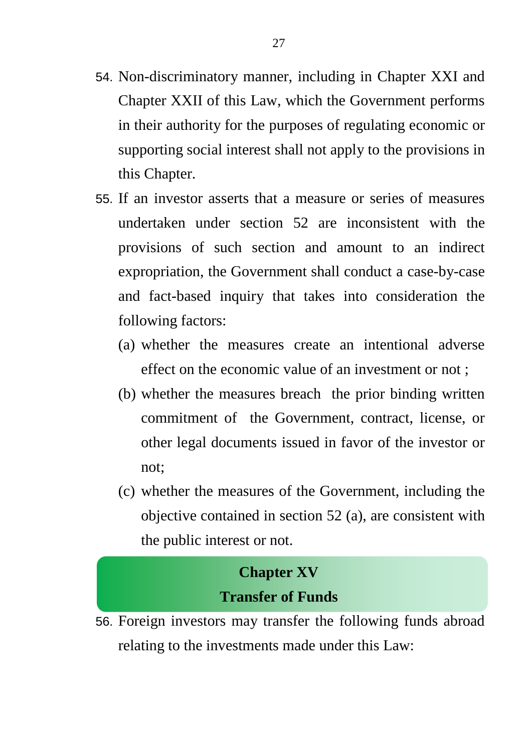54. Non-discriminatory manner, including in Chapter XXI and Chapter XXII of this Law, which the Government performs in their authority for the purposes of regulating economic or supporting social interest shall not apply to the provisions in

this Chapter.

- 55. If an investor asserts that a measure or series of measures undertaken under section 52 are inconsistent with the provisions of such section and amount to an indirect expropriation, the Government shall conduct a case-by-case and fact-based inquiry that takes into consideration the following factors:
	- (a) whether the measures create an intentional adverse effect on the economic value of an investment or not ;
	- (b) whether the measures breach the prior binding written commitment of the Government, contract, license, or other legal documents issued in favor of the investor or not;
	- (c) whether the measures of the Government, including the objective contained in section 52 (a), are consistent with the public interest or not.

#### **Chapter XV Transfer of Funds**

56. Foreign investors may transfer the following funds abroad relating to the investments made under this Law: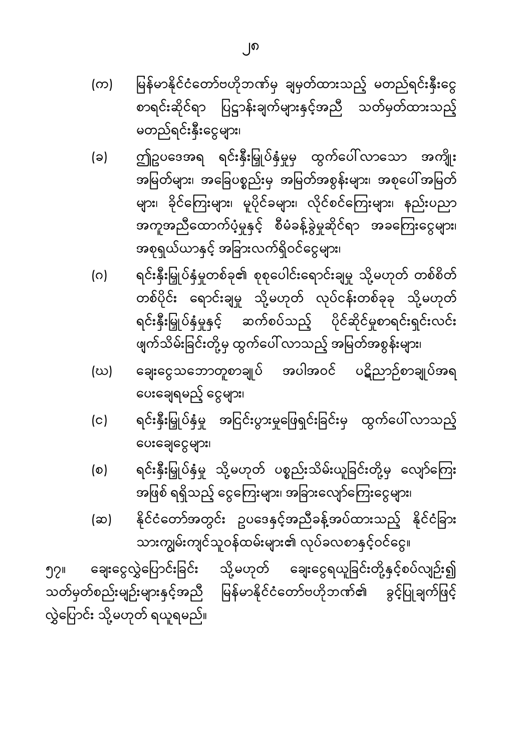ချေးငွေလွှဲပြောင်းခြင်း သို့မဟုတ် ချေးငွေရယူခြင်းတို့နှင့်စပ်လျဉ်း၍ ၅၇။ သတ်မှတ်စည်းမျဉ်းများနှင့်အညီ မြန်မာနိုင်ငံတော်ဗဟိုဘဏ်၏ ခွင့်ပြုချက်ဖြင့် လွှဲပြောင်း သို့မဟုတ် ရယူရမည်။

- နိုင်ငံတော်အတွင်း ဥပဒေနှင့်အညီခန့်အပ်ထားသည့် နိုင်ငံခြား  $(\infty)$ သားကျွမ်းကျင်သူဝန်ထမ်းများ၏ လုပ်ခလစာနှင့်ဝင်ငွေ။
- ရင်းနှီးမြှုပ်နှံမှု သို့မဟုတ် ပစ္စည်းသိမ်းယူခြင်းတို့မှ လျော်ကြေး  $\circ$ အဖြစ် ရရှိသည့် ငွေကြေးများ၊ အခြားလျော်ကြေးငွေများ၊
- ပေးချေရမည့် ငွေများ၊ ရင်းနှီးမြှုပ်နှံမှု အငြင်းပွားမှုဖြေရှင်းခြင်းမှ ထွက်ပေါ်လာသည့်  $(c)$ ပေးချေငွေများ၊
- ဖျက်သိမ်းခြင်းတို့မှ ထွက်ပေါ် လာသည့် အမြတ်အစွန်းများ၊ ချေးငွေသဘောတူစာချုပ် အပါအဝင် ပဋိညာဉ်စာချုပ်အရ (ဃ)
- ရင်းနှီးမြှုပ်နှံမှုတစ်ခု၏ စုစုပေါင်းရောင်းချမှု သို့မဟုတ် တစ်စိတ်  $(\circ)$ တစ်ပိုင်း ရောင်းချမှု သို့မဟုတ် လုပ်ငန်းတစ်ခုခု သို့မဟုတ် ရင်းနှီးမြှုပ်နှံမှုနှင့် ဆက်စပ်သည့် ပိုင်ဆိုင်မှုစာရင်းရှင်းလင်း
- ဤဥပဒေအရ ရင်းနှီးမြှုပ်နှံမှုမှ ထွက်ပေါ်လာသော အကျိုး  $(a)$ အမြတ်များ၊ အခြေပစ္စည်းမှ အမြတ်အစွန်းများ၊ အစုပေါ်အမြတ် များ၊ ခိုင်ကြေးများ၊ မူပိုင်ခများ၊ လိုင်စင်ကြေးများ၊ နည်းပညာ အကူအညီထောက်ပံ့မှုနှင့် စီမံခန့်ခွဲမှုဆိုင်ရာ အခကြေးငွေများ၊ အစုရှယ်ယာနှင့် အခြားလက်ရှိဝင်ငွေများ၊
- မြန်မာနိုင်ငံတော်ဗဟိုဘဏ်မှ ချမှတ်ထားသည့် မတည်ရင်းနှီးငွေ (က) စာရင်းဆိုင်ရာ ပြဋ္ဌာန်းချက်များနှင့်အညီ သတ်မှတ်ထားသည့် မတည်ရင်းနှီးငွေများ၊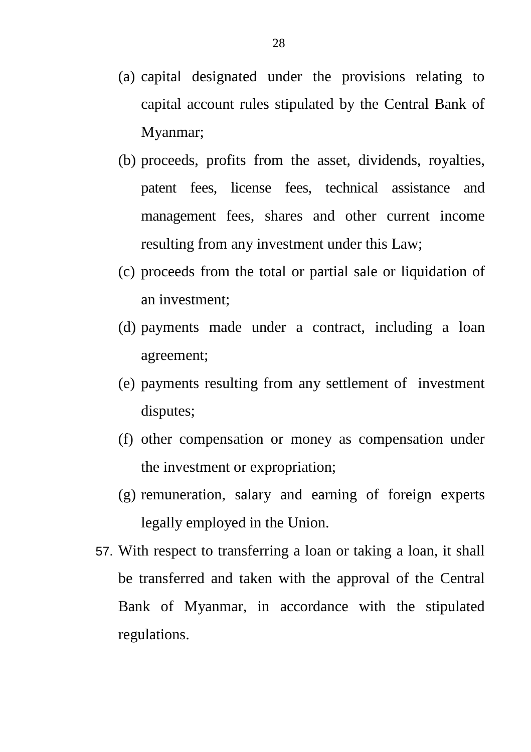- (a) capital designated under the provisions relating to capital account rules stipulated by the Central Bank of Myanmar;
- (b) proceeds, profits from the asset, dividends, royalties, patent fees, license fees, technical assistance and management fees, shares and other current income resulting from any investment under this Law;
- (c) proceeds from the total or partial sale or liquidation of an investment;
- (d) payments made under a contract, including a loan agreement;
- (e) payments resulting from any settlement of investment disputes;
- (f) other compensation or money as compensation under the investment or expropriation;
- (g) remuneration, salary and earning of foreign experts legally employed in the Union.
- 57. With respect to transferring a loan or taking a loan, it shall be transferred and taken with the approval of the Central Bank of Myanmar, in accordance with the stipulated regulations.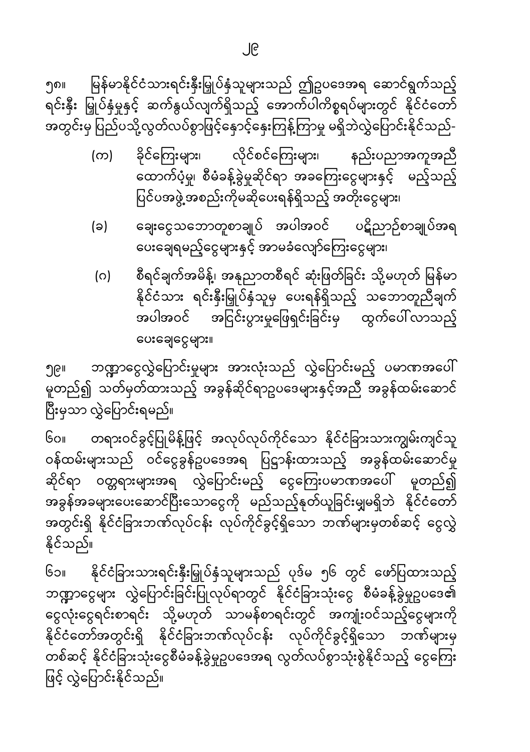မြန်မာနိုင်ငံသားရင်းနှီးမြှုပ်နှံသူများသည် ဤဥပဒေအရ ဆောင်ရွက်သည့် ၅၈။ ရင်းနှီး မြှုပ်နှံမှုနှင့် ဆက်နွယ်လျက်ရှိသည့် အောက်ပါကိစ္စရပ်များတွင် နိုင်ငံတော် အတွင်းမှ ပြည်ပသို့လွတ်လပ်စွာဖြင့်နှောင့်နှေးကြန့်ကြာမှု မရှိဘဲလွှဲပြောင်းနိုင်သည်-

- ခိုင်ကြေးများ၊ လိုင်စင်ကြေးများ၊ နည်းပညာအကူအညီ (က) ထောက်ပံ့မှု၊ စီမံခန့်ခွဲမှုဆိုင်ရာ အခကြေးငွေများနှင့် မည့်သည့် ပြင်ပအဖွဲ့ အစည်းကိုမဆိုပေးရန်ရှိသည့် အတိုးငွေများ၊
- ချေးငွေသဘောတူစာချုပ် အပါအဝင် ပဋိညာဉ်စာချုပ်အရ (ခ) ပေးချေရမည့်ငွေများနှင့် အာမခံလျော်ကြေးငွေများ၊
- စီရင်ချက်အမိန့်၊ အနုညာတစီရင် ဆုံးဖြတ်ခြင်း သို့မဟုတ် မြန်မာ (ဂ) နိုင်ငံသား ရင်းနှီးမြှုပ်နှံသူမှ ပေးရန်ရှိသည့် သဘောတူညီချက် အပါအဝင် အငြင်းပွားမှုဖြေရှင်းခြင်းမှ ထွက်ပေါ်လာသည့် ပေးချေငွေများ။

ဘဏ္ဍာငွေလွှဲပြောင်းမှုများ အားလုံးသည် လွှဲပြောင်းမည့် ပမာဏအပေါ် ၅၉။ -<br>မူတည်၍ သတ်မှတ်ထားသည့် အခွန်ဆိုင်ရာဥပဒေများနှင့်အညီ အခွန်ထမ်းဆောင် \_\_\_\_\_<br>ပြီးမှသာ လွှဲပြောင်းရမည်။

၆၀။ တရားဝင်ခွင့်ပြုမိန့်ဖြင့် အလုပ်လုပ်ကိုင်သော နိုင်ငံခြားသားကျွမ်းကျင်သူ ဝန်ထမ်းများသည် ဝင်ငွေခွန်ဥပဒေအရ ပြဋ္ဌာန်းထားသည့် အခွန်ထမ်းဆောင်မှု ဆိုင်ရာ ဝတ္တရားများအရ လွှဲပြောင်းမည့် ငွေကြေးပမာဏအပေါ် မူတည်၍ အခွန်အခများပေးဆောင်ပြီးသောငွေကို မည်သည့်နုတ်ယူခြင်းမျှမရှိဘဲ နိုင်ငံတော် အတွင်းရှိ နိုင်ငံခြားဘဏ်လုပ်ငန်း လုပ်ကိုင်ခွင့်ရှိသော ဘဏ်များမှတစ်ဆင့် ငွေလွှဲ နိုင်သည်။

နိုင်ငံခြားသားရင်းနှီးမြှုပ်နှံသူများသည် ပုဒ်မ ၅၆ တွင် ဖော်ပြထားသည့် ၆၁။ ဘဏ္ဍာငွေများ လွှဲပြောင်းခြင်းပြုလုပ်ရာတွင် နိုင်ငံခြားသုံးငွေ စီမံခန့်ခွဲမှုဥပဒေ၏ ငွေလုံးငွေရင်းစာရင်း သို့မဟုတ် သာမန်စာရင်းတွင် အကျုံးဝင်သည့်ငွေများကို နိုင်ငံတော်အတွင်းရှိ နိုင်ငံခြားဘဏ်လုပ်ငန်း လုပ်ကိုင်ခွင့်ရှိသော ဘဏ်များမှ .<br>တစ်ဆင့် နိုင်ငံခြားသုံးငွေစီမံခန့်ခွဲမှုဥပဒေအရ လွတ်လပ်စွာသုံးစွဲနိုင်သည့် ငွေကြေး ဖြင့် လွှဲပြောင်းနိုင်သည်။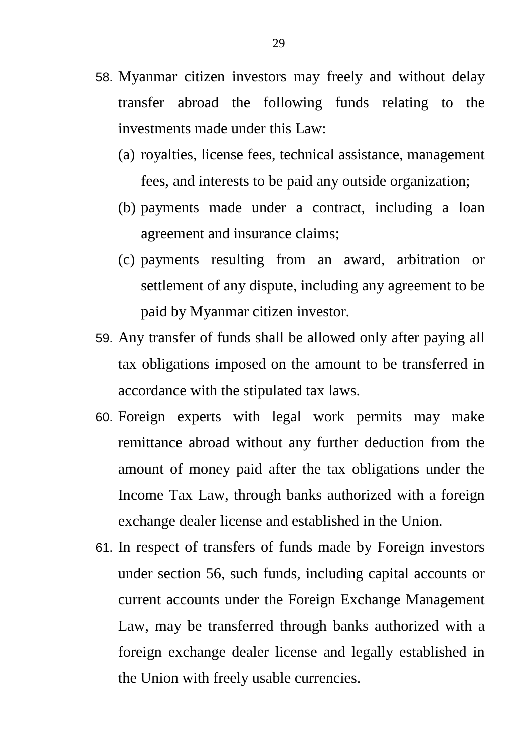- 58. Myanmar citizen investors may freely and without delay transfer abroad the following funds relating to the investments made under this Law:
	- (a) royalties, license fees, technical assistance, management fees, and interests to be paid any outside organization;
	- (b) payments made under a contract, including a loan agreement and insurance claims;
	- (c) payments resulting from an award, arbitration or settlement of any dispute, including any agreement to be paid by Myanmar citizen investor.
- 59. Any transfer of funds shall be allowed only after paying all tax obligations imposed on the amount to be transferred in accordance with the stipulated tax laws.
- 60. Foreign experts with legal work permits may make remittance abroad without any further deduction from the amount of money paid after the tax obligations under the Income Tax Law, through banks authorized with a foreign exchange dealer license and established in the Union.
- 61. In respect of transfers of funds made by Foreign investors under section 56, such funds, including capital accounts or current accounts under the Foreign Exchange Management Law, may be transferred through banks authorized with a foreign exchange dealer license and legally established in the Union with freely usable currencies.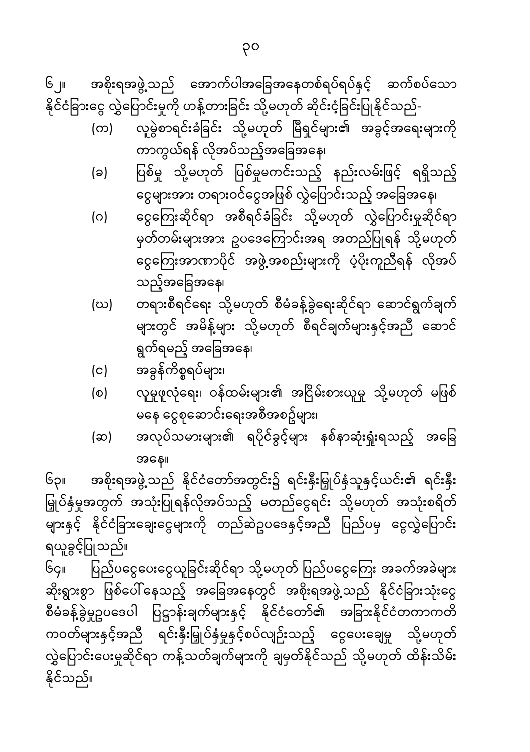နိုင်သည်။

ရယူခွင့်ပြုသည်။ ပြည်ပငွေပေးငွေယူခြင်းဆိုင်ရာ သို့မဟုတ် ပြည်ပငွေကြေး အခက်အခဲများ Gç။ ဆိုးရွားစွာ ဖြစ်ပေါ်နေသည့် အခြေအနေတွင် အစိုးရအဖွဲ့သည် နိုင်ငံခြားသုံးငွေ စီမံခန့်ခွဲမှုဥပဒေပါ ပြဋ္ဌာန်းချက်များနှင့် နိုင်ငံတော်၏ အခြားနိုင်ငံတကာကတိ ကဝတ်များနှင့်အညီ ရင်းနှီးမြှုပ်နှံမှုနှင့်စပ်လျဉ်းသည့် ငွေပေးချေမှု သို့မဟုတ် လွှဲပြောင်းပေးမှုဆိုင်ရာ ကန့်သတ်ချက်များကို ချမှတ်နိုင်သည် သို့မဟုတ် ထိန်းသိမ်း

အနေ။ အစိုးရအဖွဲ့သည် နိုင်ငံတော်အတွင်း၌ ရင်းနှီးမြှုပ်နှံသူနှင့်ယင်း၏ ရင်းနှီး  $\mathbb{G}_{\mathfrak{S}^{\parallel}}$ မြှုပ်နှံမှုအတွက် အသုံးပြုရန်လိုအပ်သည့် မတည်ငွေရင်း သို့မဟုတ် အသုံးစရိတ် များနှင့် နိုင်ငံခြားချေးငွေများကို တည်ဆဲဥပဒေနှင့်အညီ ပြည်ပမှ ငွေလွှဲပြောင်း

- မနေ ငွေစုဆောင်းရေးအစီအစဥ်များ၊ အလုပ်သမားများ၏ ရပိုင်ခွင့်များ နစ်နာဆုံးရှုံးရသည့် အခြေ (ဆ)
- လူမှုဖူလုံရေး၊ ဝန်ထမ်းများ၏ အငြိမ်းစားယူမှု သို့မဟုတ် မဖြစ်  $\circ$
- အခွန်ကိစ္စရပ်များ၊  $(c)$
- သည့်အခြေအနေ၊ တရားစီရင်ရေး သို့မဟုတ် စီမံခန့်ခွဲရေးဆိုင်ရာ ဆောင်ရွက်ချက် (ဃ) များတွင် အမိန့်များ သို့မဟုတ် စီရင်ချက်များနှင့်အညီ ဆောင် ရွက်ရမည့် အခြေအနေ၊
- ငွေကြေးဆိုင်ရာ အစီရင်ခံခြင်း သို့မဟုတ် လွှဲပြောင်းမှုဆိုင်ရာ (ဂ) မှတ်တမ်းများအား ဥပဒေကြောင်းအရ အတည်ပြုရန် သို့မဟုတ် ငွေကြေးအာဏာပိုင် အဖွဲ့အစည်းများကို ပံ့ပိုးကူညီရန် လိုအပ်
- ငွေများအား တရားဝင်ငွေအဖြစ် လွှဲပြောင်းသည့် အခြေအနေ၊
- ကာကွယ်ရန် လိုအပ်သည့်အခြေအနေ၊ ပြစ်မှု သို့မဟုတ် ပြစ်မှုမကင်းသည့် နည်းလမ်းဖြင့် ရရှိသည့် (ခ)

နိုင်ငံခြားငွေ လွှဲပြောင်းမှုကို ဟန့်တားခြင်း သို့မဟုတ် ဆိုင်းငံ့ခြင်းပြုနိုင်သည်-လူမွဲစာရင်းခံခြင်း သို့မဟုတ် မြီရှင်များ၏ အခွင့်အရေးများကို (က)

 $\mathbb{G}_{\cup^{\text{II}}}$ အစိုးရအဖွဲ့ သည် အောက်ပါအခြေအနေတစ်ရပ်ရပ်နှင့် ဆက်စပ်သော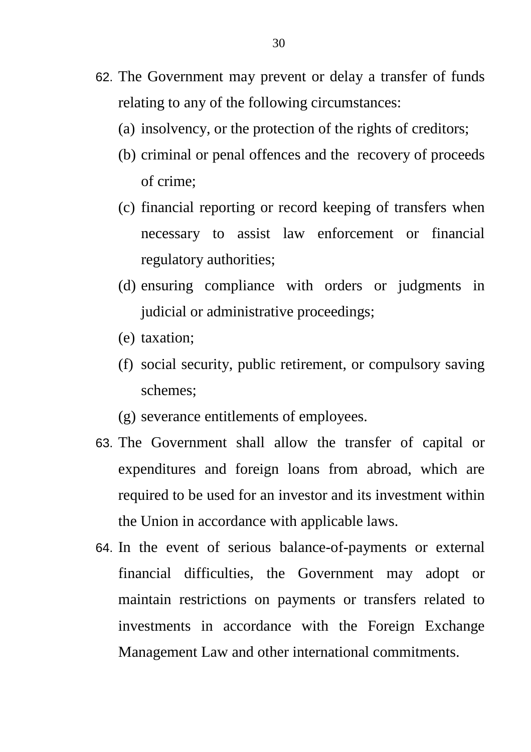- 62. The Government may prevent or delay a transfer of funds relating to any of the following circumstances:
	- (a) insolvency, or the protection of the rights of creditors;
	- (b) criminal or penal offences and the recovery of proceeds of crime;
	- (c) financial reporting or record keeping of transfers when necessary to assist law enforcement or financial regulatory authorities;
	- (d) ensuring compliance with orders or judgments in judicial or administrative proceedings;
	- (e) taxation;
	- (f) social security, public retirement, or compulsory saving schemes;
	- (g) severance entitlements of employees.
- 63. The Government shall allow the transfer of capital or expenditures and foreign loans from abroad, which are required to be used for an investor and its investment within the Union in accordance with applicable laws.
- 64. In the event of serious balance-of-payments or external financial difficulties, the Government may adopt or maintain restrictions on payments or transfers related to investments in accordance with the Foreign Exchange Management Law and other international commitments.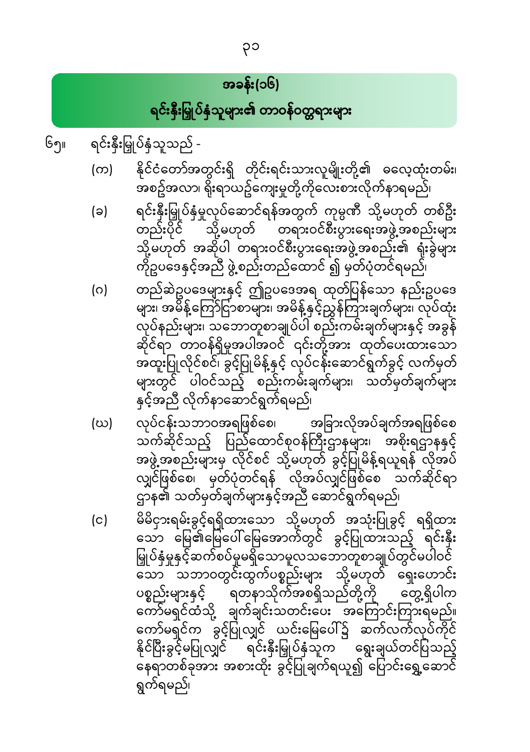#### အခန်း(၁၆)

ရင်းနှီးမြှုပ်နှံသူများ၏ တာဝန်ဝတ္တရားများ

၆၅။ ရင်းနှီးမြှုပ်နှံသူသည် -

- နိုင်ငံတော်အတွင်းရှိ တိုင်းရင်းသားလူမျိုးတို့၏ ဓလေ့ထုံးတမ်း၊ (က) .<br>အစဥ်အလာ၊ ရိုးရာယဥ်ကျေးမှုတို့ကိုလေးစားလိုက်နာရမည်၊
- ရင်းနှီးမြှုပ်နှံမှုလုပ်ဆောင်ရန်အတွက် ကုမ္ပဏီ သို့မဟုတ် တစ်ဦး  $(a)$ -<br>သို့မဟုတ် တရားဝင်စီးပွားရေးအဖွဲ့အစည်းများ တည်းပိုင် သို့မဟုတ် အဆိုပါ တရားဝင်စီးပွားရေးအဖွဲ့အစည်း၏ ရုံးခွဲများ ကိုဥပဒေနှင့်အညီ ဖွဲ့စည်းတည်ထောင် ၍ မှတ်ပုံတင်ရမည်၊
- တည်ဆဲဥပဒေများနှင့် ဤဥပဒေအရ ထုတ်ပြန်သော နည်းဥပဒေ  $\circ$ များ၊ အမိန့်ကြော်ငြာစာများ၊ အမိန့်နှင့်ညွှန်ကြားချက်များ၊ လုပ်ထုံး လုပ်နည်းများ၊ သဘောတူစာချုပ်ပါ စည်းကမ်းချက်များနှင့် အခွန် ဆိုင်ရာ တာဝန်ရှိမှုအပါအဝင် ၎င်းတို့အား ထုတ်ပေးထားသော အထူးပြုလိုင်စင်၊ ခွင့်ပြုမိန့်နှင့် လုပ်ငန်းဆောင်ရွက်ခွင့် လက်မှတ်<br>များတွင် ပါဝင်သည့် စည်းကမ်းချက်များ၊ သတ်မှတ်ချက်များ နှင့်အညီ လိုက်နာဆောင်ရွက်ရမည်၊
- လုပ်ငန်းသဘာဝအရဖြစ်စေ၊ အခြားလိုအပ်ချက်အရဖြစ်စေ (ဃ) လျှင်ဖြစ်စေ၊ မှတ်ပုံတင်ရန် လိုအပ်လျှင်ဖြစ်စေ သက်ဆိုင်ရာ ဌာန၏ သတ်မှတ်ချက်များနှင့်အညီ ဆောင်ရွက်ရမည်၊
- မိမိငှားရမ်းခွင့်ရရှိထားသော သို့မဟုတ် အသုံးပြုခွင့် ရရှိထား  $(c)$ သော မြေ၏မြေပေါ်မြေအောက်တွင် ခွင့်ပြုထားသည့် ရင်းနှီး မြှုပ်နှံမှုနှင့်ဆက်စပ်မှုမရှိသောမူလသဘောတူစာချုပ်တွင်မပါဝင် သော သဘာဝတွင်းထွက်ပစ္စည်းများ သို့မဟုတ် ရှေးဟောင်း ပစ္စည်းများနှင့် ရတနာသိုက်အစရှိသည်တို့ကို တွေ့ရှိပါက ႜၟၣႍၟၟၟၣၣၟႜ<br>ႜၮႝမရှင်ထံသို့ ချက်ချင်းသတင်းပေး အကြောင်းကြားရမည်။<br>ကော်မရှင်က ခွင့်ပြုလျှင် ယင်းမြေပေါ်၌ ဆက်လက်လုပ်ကိုင် နိုင်ပြီးခွင့်မပြုလျှင် <sup>– "</sup>ရင်းနှီးမြှုပ်နှံသူက <sup>–</sup> ရွေးချယ်တင်ပြသည့် ် မြောတစ်ခုအား အစားထိုး ခွင့်ပြုချက်ရယူ၍ ပြောင်းရွှေ့ဆောင် ရွက်ရမည်၊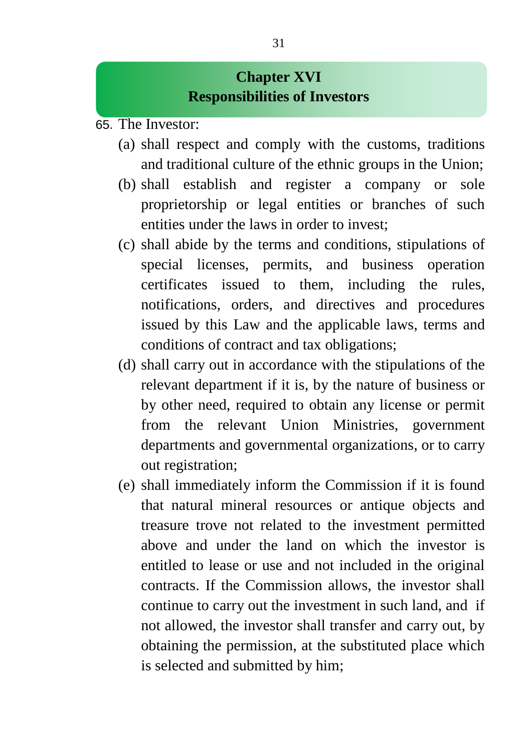#### **Chapter XVI Responsibilities of Investors**

- 65. The Investor:
	- (a) shall respect and comply with the customs, traditions and traditional culture of the ethnic groups in the Union;
	- (b) shall establish and register a company or sole proprietorship or legal entities or branches of such entities under the laws in order to invest;
	- (c) shall abide by the terms and conditions, stipulations of special licenses, permits, and business operation certificates issued to them, including the rules, notifications, orders, and directives and procedures issued by this Law and the applicable laws, terms and conditions of contract and tax obligations;
	- (d) shall carry out in accordance with the stipulations of the relevant department if it is, by the nature of business or by other need, required to obtain any license or permit from the relevant Union Ministries, government departments and governmental organizations, or to carry out registration;
	- (e) shall immediately inform the Commission if it is found that natural mineral resources or antique objects and treasure trove not related to the investment permitted above and under the land on which the investor is entitled to lease or use and not included in the original contracts. If the Commission allows, the investor shall continue to carry out the investment in such land, and if not allowed, the investor shall transfer and carry out, by obtaining the permission, at the substituted place which is selected and submitted by him;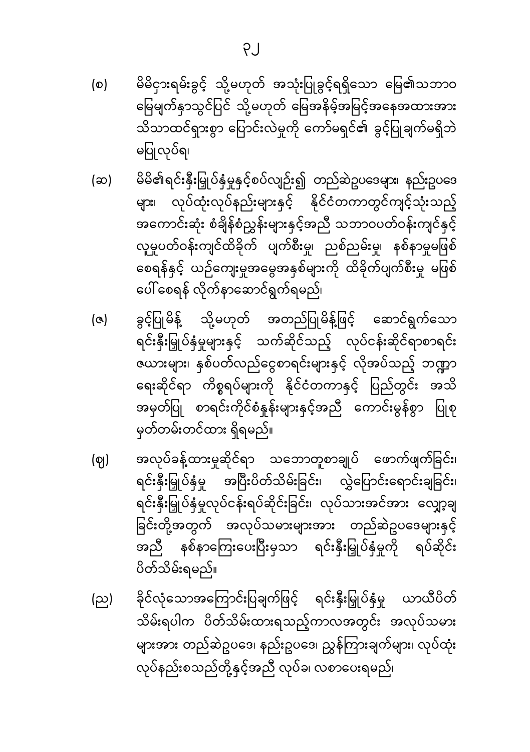- မိမိငှားရမ်းခွင့် သို့မဟုတ် အသုံးပြုခွင့်ရရှိသော မြေ၏သဘာဝ (စ) မြေမျက်နှာသွင်ပြင် သို့မဟုတ် မြေအနိမ့်အမြင့်အနေအထားအား သိသာထင်ရှားစွာ ပြောင်းလဲမှုကို ကော်မရှင်၏ ခွင့်ပြုချက်မရှိဘဲ မပြုလုပ်ရ၊
- မိမိ၏ရင်းနှီးမြှုပ်နှံမှုနှင့်စပ်လျဉ်း၍ တည်ဆဲဥပဒေများ၊ နည်းဥပဒေ (ဆ) များ၊ လုပ်ထုံးလုပ်နည်းများနှင့် နိုင်ငံတကာတွင်ကျင့်သုံးသည့် အကောင်းဆုံး စံချိန်စံညွှန်းများနှင့်အညီ သဘာဝပတ်ဝန်းကျင်နှင့် လူမှုပတ်ဝန်းကျင်ထိခိုက် ပျက်စီးမှု၊ ညစ်ညမ်းမှု၊ နစ်နာမှုမဖြစ် စေရန်နှင့် ယဉ်ကျေးမှုအမွေအနှစ်များကို ထိခိုက်ပျက်စီးမှု မဖြစ် ပေါ် စေရန် လိုက်နာဆောင်ရွက်ရမည်၊
- ခွင့်ပြုမိန့် သို့မဟုတ် အတည်ပြုမိန့်ဖြင့် ဆောင်ရွက်သော  $(a)$ ရင်းနှီးမြှုပ်နှံမှုများနှင့် သက်ဆိုင်သည့် လုပ်ငန်းဆိုင်ရာစာရင်း ဇယားများ၊ နှစ်ပတ်လည်ငွေစာရင်းများနှင့် လိုအပ်သည့် ဘဏ္ဍာ ရေးဆိုင်ရာ ကိစ္စရပ်များကို နိုင်ငံတကာနှင့် ပြည်တွင်း အသိ အမှတ်ပြု စာရင်းကိုင်စံနှုန်းများနှင့်အညီ ကောင်းမွန်စွာ ပြုစု မှတ်တမ်းတင်ထား ရှိရမည်။
- အလုပ်ခန့်ထားမှုဆိုင်ရာ သဘောတူစာချုပ် ဖောက်ဖျက်ခြင်း၊ (ဈ) ရင်းနှီးမြှုပ်နှံမှု အပြီးပိတ်သိမ်းခြင်း၊ လွှဲပြောင်းရောင်းချခြင်း၊ ရင်းနှီးမြှုပ်နှံမှုလုပ်ငန်းရပ်ဆိုင်းခြင်း၊ လုပ်သားအင်အား လျှော့ချ ခြင်းတို့အတွက် အလုပ်သမားများအား တည်ဆဲဥပဒေများနှင့် အညီ နစ်နာကြေးပေးပြီးမှသာ ရင်းနှီးမြှုပ်နှံမှုကို ရပ်ဆိုင်း ပိတ်သိမ်းရမည်။
- ခိုင်လုံသောအကြောင်းပြချက်ဖြင့် ရင်းနှီးမြှုပ်နှံမှု ယာယီပိတ် (ည) သိမ်းရပါက ပိတ်သိမ်းထားရသည့်ကာလအတွင်း အလုပ်သမား များအား တည်ဆဲဥပဒေ၊ နည်းဥပဒေ၊ ညွှန်ကြားချက်များ၊ လုပ်ထုံး လုပ်နည်းစသည်တို့နှင့်အညီ လုပ်ခ၊ လစာပေးရမည်၊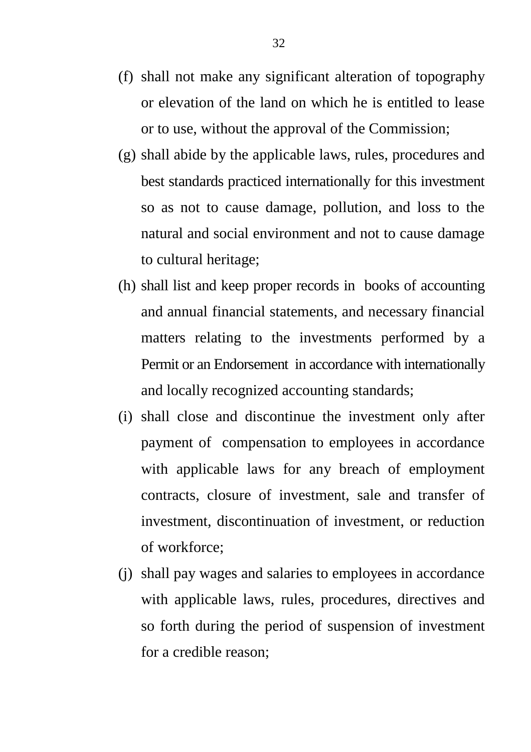- (f) shall not make any significant alteration of topography or elevation of the land on which he is entitled to lease or to use, without the approval of the Commission;
- (g) shall abide by the applicable laws, rules, procedures and best standards practiced internationally for this investment so as not to cause damage, pollution, and loss to the natural and social environment and not to cause damage to cultural heritage;
- (h) shall list and keep proper records in books of accounting and annual financial statements, and necessary financial matters relating to the investments performed by a Permit or an Endorsement in accordance with internationally and locally recognized accounting standards;
- (i) shall close and discontinue the investment only after payment of compensation to employees in accordance with applicable laws for any breach of employment contracts, closure of investment, sale and transfer of investment, discontinuation of investment, or reduction of workforce;
- (j) shall pay wages and salaries to employees in accordance with applicable laws, rules, procedures, directives and so forth during the period of suspension of investment for a credible reason;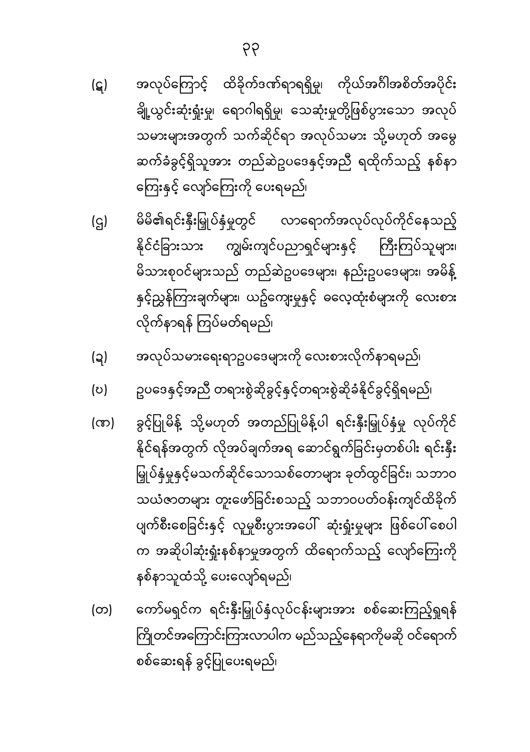- အလုပ်ကြောင့် ထိခိုက်ဒဏ်ရာရရှိမှု၊ ကိုယ်အင်္ဂါအစိတ်အပိုင်း (ဋ) ချို့ယွင်းဆုံးရှုံးမှု၊ ရောဂါရရှိမှု၊ သေဆုံးမှုတို့ဖြစ်ပွားသော အလုပ် သမားများအတွက် သက်ဆိုင်ရာ အလုပ်သမား သို့မဟုတ် အမွေ ဆက်ခံခွင့်ရှိသူအား တည်ဆဲဥပဒေနှင့်အညီ ရထိုက်သည့် နစ်နာ ကြေးနှင့် လျော်ကြေးကို ပေးရမည်၊
- မိမိ၏ရင်းနှီးမြှုပ်နှံမှုတွင် လာရောက်အလုပ်လုပ်ကိုင်နေသည့်  $(q)$ နိုင်ငံခြားသား ကျွမ်းကျင်ပညာရှင်များနှင့် ကြီးကြပ်သူများ၊ မိသားစုဝင်များသည် တည်ဆဲဥပဒေများ၊ နည်းဥပဒေများ၊ အမိန့် နှင့်ညွှန်ကြားချက်များ၊ ယဥ်ကျေးမှုနှင့် ဓလေ့ထုံးစံများကို လေးစား လိုက်နာရန် ကြပ်မတ်ရမည်၊
- အလုပ်သမားရေးရာဥပဒေများကို လေးစားလိုက်နာရမည်၊ (၃)
- ဥပဒေနှင့်အညီ တရားစွဲဆိုခွင့်နှင့်တရားစွဲဆိုခံနိုင်ခွင့်ရှိရမည်၊ (ဎ)
- ခွင့်ပြုမိန့် သို့မဟုတ် အတည်ပြုမိန့်ပါ ရင်းနှီးမြှုပ်နှံမှု လုပ်ကိုင် (ന) နိုင်ရန်အတွက် လိုအပ်ချက်အရ ဆောင်ရွက်ခြင်းမှတစ်ပါး ရင်းနှီး မြှုပ်နှံမှုနှင့်မသက်ဆိုင်သောသစ်တောများ ခုတ်ထွင်ခြင်း၊ သဘာဝ သယံဇာတများ တူးဖော်ခြင်းစသည့် သဘာဝပတ်ဝန်းကျင်ထိခိုက် ပျက်စီးစေခြင်းနှင့် လူမှုစီးပွားအပေါ် ဆုံးရှုံးမှုများ ဖြစ်ပေါ်စေပါ က အဆိုပါဆုံးရှုံးနစ်နာမှုအတွက် ထိရောက်သည့် လျော်ကြေးကို နစ်နာသူထံသို့ ပေးလျော်ရမည်၊
- ကော်မရှင်က ရင်းနှီးမြှုပ်နှံလုပ်ငန်းများအား စစ်ဆေးကြည့်ရှုရန် (တ) ကြိုတင်အကြောင်းကြားလာပါက မည်သည့်နေရာကိုမဆို ဝင်ရောက် စစ်ဆေးရန် ခွင့်ပြုပေးရမည်၊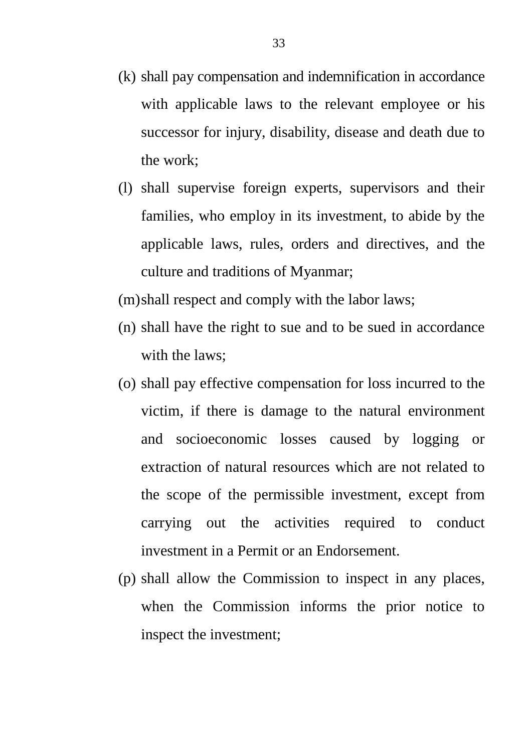- (k) shall pay compensation and indemnification in accordance with applicable laws to the relevant employee or his successor for injury, disability, disease and death due to the work;
- (l) shall supervise foreign experts, supervisors and their families, who employ in its investment, to abide by the applicable laws, rules, orders and directives, and the culture and traditions of Myanmar;
- (m)shall respect and comply with the labor laws;
- (n) shall have the right to sue and to be sued in accordance with the laws;
- (o) shall pay effective compensation for loss incurred to the victim, if there is damage to the natural environment and socioeconomic losses caused by logging or extraction of natural resources which are not related to the scope of the permissible investment, except from carrying out the activities required to conduct investment in a Permit or an Endorsement.
- (p) shall allow the Commission to inspect in any places, when the Commission informs the prior notice to inspect the investment;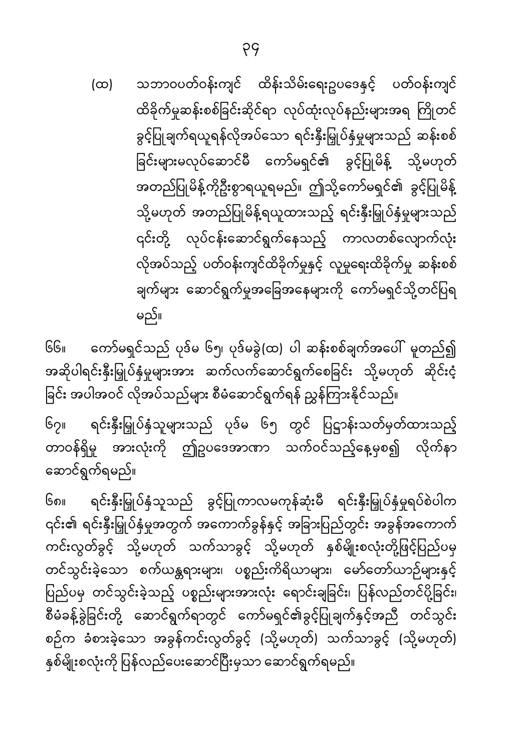သဘာဝပတ်ဝန်းကျင် ထိန်းသိမ်းရေးဥပဒေနှင့် ပတ်ဝန်းကျင်  $(\infty)$ ထိခိုက်မှုဆန်းစစ်ခြင်းဆိုင်ရာ လုပ်ထုံးလုပ်နည်းများအရ ကြိုတင် ခွင့်ပြုချက်ရယူရန်လိုအပ်သော ရင်းနှီးမြှုပ်နှံမှုများသည် ဆန်းစစ် ခြင်းများမလုပ်ဆောင်မီ ကော်မရှင်၏ ခွင့်ပြုမိန့် သို့မဟုတ် အတည်ပြုမိန့်ကိုဦးစွာရယူရမည်။ ဤသို့ကော်မရှင်၏ ခွင့်ပြုမိန့် သို့မဟုတ် အတည်ပြုမိန့်ရယူထားသည့် ရင်းနှီးမြှုပ်နှံမှုများသည် ၎င်းတို့ လုပ်ငန်းဆောင်ရွက်နေသည့် ကာလတစ်လျောက်လုံး လိုအပ်သည့် ပတ်ဝန်းကျင်ထိခိုက်မှုနှင့် လူမှုရေးထိခိုက်မှု ဆန်းစစ် ချက်များ ဆောင်ရွက်မှုအခြေအနေများကို ကော်မရှင်သို့တင်ပြရ မည်။

 $66<sub>II</sub>$ ကော်မရှင်သည် ပုဒ်မ ၆၅၊ ပုဒ်မခွဲ(ထ) ပါ ဆန်းစစ်ချက်အပေါ် မူတည်၍ အဆိုပါရင်းနှီးမြှုပ်နှံမှုများအား ဆက်လက်ဆောင်ရွက်စေခြင်း သို့မဟုတ် ဆိုင်းငံ့ ခြင်း အပါအဝင် လိုအပ်သည်များ စီမံဆောင်ရွက်ရန် ညွှန်ကြားနိုင်သည်။

 $G_{2II}$ ရင်းနှီးမြှုပ်နှံသူများသည် ပုဒ်မ ၆၅ တွင် ပြဋ္ဌာန်းသတ်မှတ်ထားသည့် တာဝန်ရှိမှု အားလုံးကို ဤဥပဒေအာဏာ သက်ဝင်သည့်နေ့မှစ၍ လိုက်နာ ဆောင်ရွက်ရမည်။

၆၈။ ရင်းနှီးမြှုပ်နှံသူသည် ခွင့်ပြုကာလမကုန်ဆုံးမီ ရင်းနှီးမြှုပ်နှံမှုရပ်စဲပါက ၎င်း၏ ရင်းနှီးမြှုပ်နှံမှုအတွက် အကောက်ခွန်နှင့် အခြားပြည်တွင်း အခွန်အကောက် ကင်းလွတ်ခွင့် သို့မဟုတ် သက်သာခွင့် သို့မဟုတ် နှစ်မျိုးစလုံးတို့ဖြင့်ပြည်ပမှ တင်သွင်းခဲ့သော စက်ယန္တရားများ၊ ပစ္စည်းကိရိယာများ၊ မော်တော်ယာဉ်များနှင့် ပြည်ပမှ တင်သွင်းခဲ့သည့် ပစ္စည်းများအားလုံး ရောင်းချခြင်း၊ ပြန်လည်တင်ပို့ခြင်း၊ စီမံခန့်ခွဲခြင်းတို့ ဆောင်ရွက်ရာတွင် ကော်မရှင်၏ခွင့်ပြုချက်နှင့်အညီ တင်သွင်း စဉ်က ခံစားခဲ့သော အခွန်ကင်းလွတ်ခွင့် (သို့မဟုတ်) သက်သာခွင့် (သို့မဟုတ်) နှစ်မျိုးစလုံးကို ပြန်လည်ပေးဆောင်ပြီးမှသာ ဆောင်ရွက်ရမည်။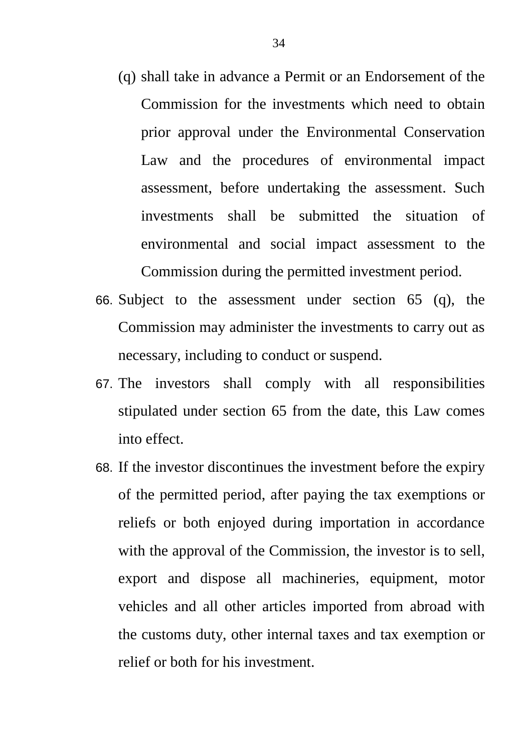- (q) shall take in advance a Permit or an Endorsement of the Commission for the investments which need to obtain prior approval under the Environmental Conservation Law and the procedures of environmental impact assessment, before undertaking the assessment. Such investments shall be submitted the situation of environmental and social impact assessment to the Commission during the permitted investment period.
- 66. Subject to the assessment under section 65 (q), the Commission may administer the investments to carry out as necessary, including to conduct or suspend.
- 67. The investors shall comply with all responsibilities stipulated under section 65 from the date, this Law comes into effect.
- 68. If the investor discontinues the investment before the expiry of the permitted period, after paying the tax exemptions or reliefs or both enjoyed during importation in accordance with the approval of the Commission, the investor is to sell, export and dispose all machineries, equipment, motor vehicles and all other articles imported from abroad with the customs duty, other internal taxes and tax exemption or relief or both for his investment.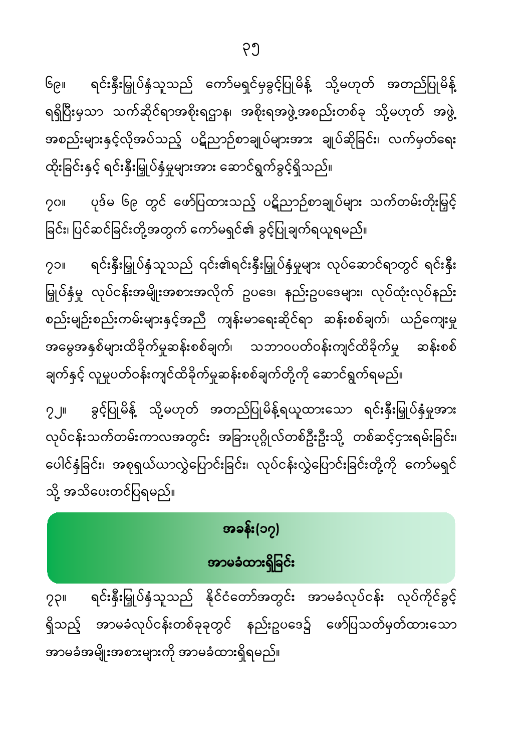ရင်းနှီးမြှုပ်နှံသူသည် နိုင်ငံတော်အတွင်း အာမခံလုပ်ငန်း လုပ်ကိုင်ခွင့်  $22$ ရှိသည့် အာမခံလုပ်ငန်းတစ်ခုခုတွင် နည်းဥပဒေ၌ ဖော်ပြသတ်မှတ်ထားသော အာမခံအမျိုးအစားများကို အာမခံထားရှိရမည်။

### အခန်း(၁၇)

# အာမခံထားရှိခြင်း

# လုပ်ငန်းသက်တမ်းကာလအတွင်း အခြားပုဂ္ဂိုလ်တစ်ဦးဦးသို့ တစ်ဆင့်ငှားရမ်းခြင်း၊ ပေါင်နှံခြင်း၊ အစုရှယ်ယာလွှဲပြောင်းခြင်း၊ လုပ်ငန်းလွှဲပြောင်းခြင်းတို့ကို ကော်မရှင်

 $2.1$ 

သို့ အသိပေးတင်ပြရမည်။

ရင်းနှီးမြှုပ်နှံသူသည် ၎င်း၏ရင်းနှီးမြှုပ်နှံမှုများ လုပ်ဆောင်ရာတွင် ရင်းနှီး  $201$ မြှုပ်နှံမှု လုပ်ငန်းအမျိုးအစားအလိုက် ဥပဒေ၊ နည်းဥပဒေများ၊ လုပ်ထုံးလုပ်နည်း စည်းမျဉ်းစည်းကမ်းများနှင့်အညီ ကျန်းမာရေးဆိုင်ရာ ဆန်းစစ်ချက်၊ ယဉ်ကျေးမှု အမွေအနှစ်များထိခိုက်မှုဆန်းစစ်ချက်၊ သဘာဝပတ်ဝန်းကျင်ထိခိုက်မှု ဆန်းစစ် ချက်နှင့် လူမှုပတ်ဝန်းကျင်ထိခိုက်မှုဆန်းစစ်ချက်တို့ကို ဆောင်ရွက်ရမည်။

ခွင့်ပြုမိန့် သို့မဟုတ် အတည်ပြုမိန့်ရယူထားသော ရင်းနှီးမြှုပ်နှံမှုအား

ပုဒ်မ ၆၉ တွင် ဖော်ပြထားသည့် ပဋိညာဉ်စာချုပ်များ သက်တမ်းတိုးမြှင့်  $201$ ခြင်း၊ ပြင်ဆင်ခြင်းတို့အတွက် ကော်မရှင်၏ ခွင့်ပြုချက်ရယူရမည်။

၆၉။ ရင်းနှီးမြှုပ်နှံသူသည် ကော်မရှင်မှခွင့်ပြုမိန့် သို့မဟုတ် အတည်ပြုမိန့် ရရှိပြီးမှသာ သက်ဆိုင်ရာအစိုးရဌာန၊ အစိုးရအဖွဲ့အစည်းတစ်ခု သို့မဟုတ် အဖွဲ့ အစည်းများနှင့်လိုအပ်သည့် ပဋိညာဉ်စာချုပ်များအား ချုပ်ဆိုခြင်း၊ လက်မှတ်ရေး ထိုးခြင်းနှင့် ရင်းနှီးမြှုပ်နှံမှုများအား ဆောင်ရွက်ခွင့်ရှိသည်။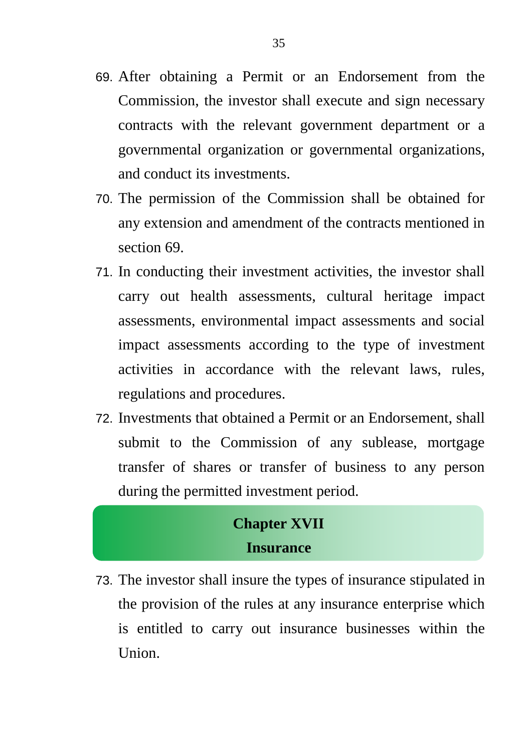- 69. After obtaining a Permit or an Endorsement from the Commission, the investor shall execute and sign necessary contracts with the relevant government department or a governmental organization or governmental organizations, and conduct its investments.
- 70. The permission of the Commission shall be obtained for any extension and amendment of the contracts mentioned in section 69.
- 71. In conducting their investment activities, the investor shall carry out health assessments, cultural heritage impact assessments, environmental impact assessments and social impact assessments according to the type of investment activities in accordance with the relevant laws, rules, regulations and procedures.
- 72. Investments that obtained a Permit or an Endorsement, shall submit to the Commission of any sublease, mortgage transfer of shares or transfer of business to any person during the permitted investment period.

#### **Chapter XVII Insurance**

73. The investor shall insure the types of insurance stipulated in the provision of the rules at any insurance enterprise which is entitled to carry out insurance businesses within the Union.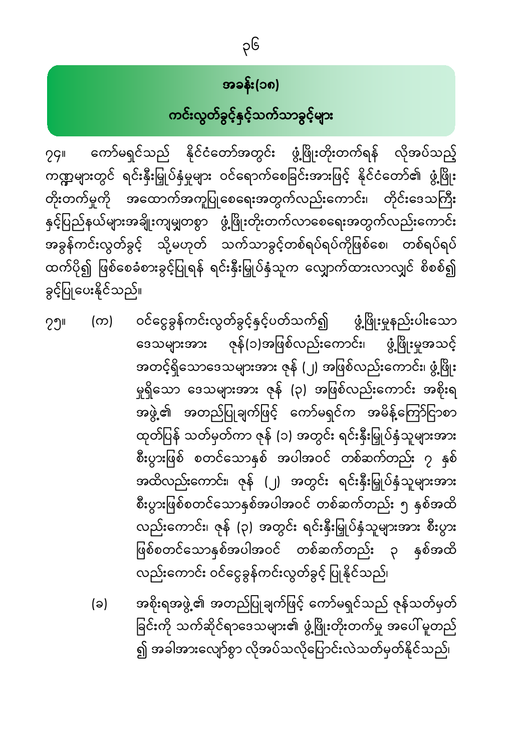# အခန်း(၁၈) ကင်းလွတ်ခွင့်နှင့်သက်သာခွင့်များ

ကော်မရှင်သည် နိုင်ငံတော်အတွင်း ဖွံ့ဖြိုးတိုးတက်ရန် လိုအပ်သည့်  $29$ ကဏ္ဍများတွင် ရင်းနှီးမြှုပ်နှံမှုများ ဝင်ရောက်စေခြင်းအားဖြင့် နိုင်ငံတော်၏ ဖွံ့ဖြိုး တိုးတက်မှုကို အထောက်အကူပြုစေရေးအတွက်လည်းကောင်း၊ တိုင်းဒေသကြီး နှင့်ပြည်နယ်များအချိုးကျမျှတစွာ ဖွံ့ဖြိုးတိုးတက်လာစေရေးအတွက်လည်းကောင်း အခွန်ကင်းလွတ်ခွင့် သို့မဟုတ် သက်သာခွင့်တစ်ရပ်ရပ်ကိုဖြစ်စေ၊ တစ်ရပ်ရပ် ထက်ပို၍ ဖြစ်စေခံစားခွင့်ပြုရန် ရင်းနှီးမြှုပ်နှံသူက လျှောက်ထားလာလျှင် စိစစ်၍ ခွင့်ပြုပေးနိုင်သည်။

- (က) ဝင်ငွေခွန်ကင်းလွတ်ခွင့်နှင့်ပတ်သက်၍ ဖွံ့ဖြိုးမှုနည်းပါးသော  $29$ ဇုန်(၁)အဖြစ်လည်းကောင်း၊ ဖွံ့ဖြိုးမှုအသင့် ဒေသများအား အတင့်ရှိသောဒေသများအား ဇုန် (၂) အဖြစ်လည်းကောင်း၊ ဖွံ့ဖြိုး မှုရှိသော ဒေသများအား ဇုန် (၃) အဖြစ်လည်းကောင်း အစိုးရ အဖွဲ့၏ အတည်ပြုချက်ဖြင့် ကော်မရှင်က အမိန့်ကြော်ငြာစာ ထုတ်ပြန် သတ်မှတ်ကာ ဇုန် (၁) အတွင်း ရင်းနှီးမြှုပ်နှံသူများအား စီးပွားဖြစ် စတင်သောနှစ် အပါအဝင် တစ်ဆက်တည်း ၇ နှစ် အထိလည်းကောင်း၊ ဇုန် (၂) အတွင်း ရင်းနှီးမြှုပ်နှံသူများအား စီးပွားဖြစ်စတင်သောနှစ်အပါအဝင် တစ်ဆက်တည်း ၅ နှစ်အထိ လည်းကောင်း၊ ဇုန် (၃) အတွင်း ရင်းနှီးမြှုပ်နှံသူများအား စီးပွား နှစ်အထိ ဖြစ်စတင်သောနှစ်အပါအဝင် တစ်ဆက်တည်း ၃ လည်းကောင်း ဝင်ငွေခွန်ကင်းလွတ်ခွင့် ပြုနိုင်သည်၊
	- အစိုးရအဖွဲ့၏ အတည်ပြုချက်ဖြင့် ကော်မရှင်သည် ဇုန်သတ်မှတ် (ခ) ခြင်းကို သက်ဆိုင်ရာဒေသများ၏ ဖွံ့ဖြိုးတိုးတက်မှု အပေါ် မူတည် ၍ အခါအားလျော်စွာ လိုအပ်သလိုပြောင်းလဲသတ်မှတ်နိုင်သည်၊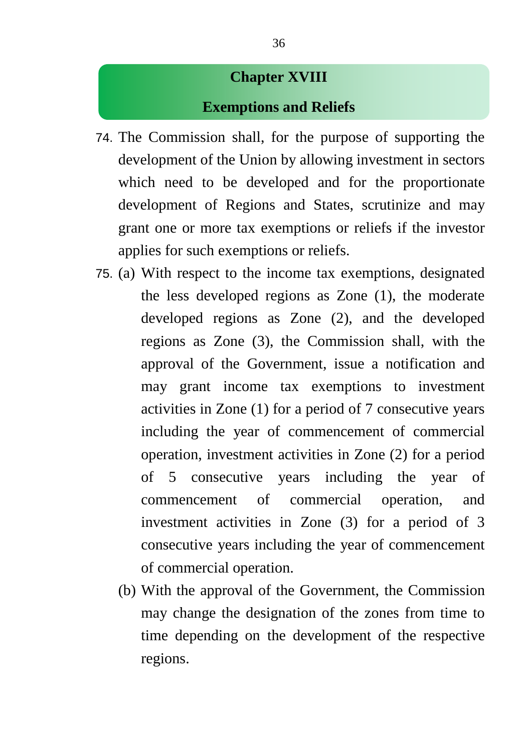#### **Chapter XVIII**

#### **Exemptions and Reliefs**

- 74. The Commission shall, for the purpose of supporting the development of the Union by allowing investment in sectors which need to be developed and for the proportionate development of Regions and States, scrutinize and may grant one or more tax exemptions or reliefs if the investor applies for such exemptions or reliefs.
- 75. (a) With respect to the income tax exemptions, designated the less developed regions as Zone (1), the moderate developed regions as Zone (2), and the developed regions as Zone (3), the Commission shall, with the approval of the Government, issue a notification and may grant income tax exemptions to investment activities in Zone (1) for a period of 7 consecutive years including the year of commencement of commercial operation, investment activities in Zone (2) for a period of 5 consecutive years including the year of commencement of commercial operation, and investment activities in Zone (3) for a period of 3 consecutive years including the year of commencement of commercial operation.
	- (b) With the approval of the Government, the Commission may change the designation of the zones from time to time depending on the development of the respective regions.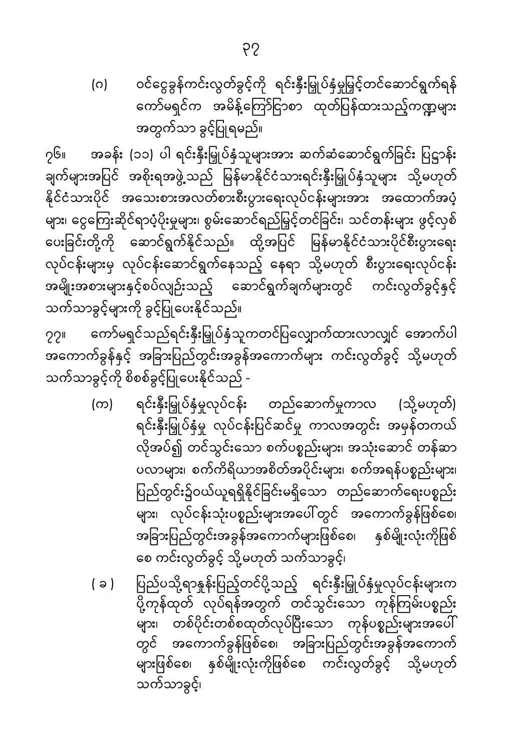ဝင်ငွေခွန်ကင်းလွတ်ခွင့်ကို ရင်းနှီးမြှုပ်နှံမှုမြှင့်တင်ဆောင်ရွက်ရန် (ဂ) ကော်မရှင်က အမိန့်ကြော်ငြာစာ ထုတ်ပြန်ထားသည့်ကဏ္ဍများ အတွက်သာ ခွင့်ပြုရမည်။

၇၆။ အခန်း (၁၁) ပါ ရင်းနှီးမြှုပ်နှံသူများအား ဆက်ဆံဆောင်ရွက်ခြင်း ပြဌာန်း ချက်များအပြင် အစိုးရအဖွဲ့သည် မြန်မာနိုင်ငံသားရင်းနှီးမြှုပ်နှံသူများ သို့မဟုတ် နိုင်ငံသားပိုင် အသေးစားအလတ်စားစီးပွားရေးလုပ်ငန်းများအား အထောက်အပံ့ ့<br>များ၊ ငွေကြေးဆိုင်ရာပံ့ပိုးမှုများ၊ စွမ်းဆောင်ရည်မြှင့်တင်ခြင်း၊ သင်တန်းများ ဖွင့်လှစ် ပေးခြင်းတို့ကို ဆောင်ရွက်နိုင်သည်။ ထို့အပြင် မြန်မာနိုင်ငံသားပိုင်စီးပွားရေး လုပ်ငန်းများမှ လုပ်ငန်းဆောင်ရွက်နေသည့် နေရာ သို့မဟုတ် စီးပွားရေးလုပ်ငန်း အမျိုးအစားများနှင့်စပ်လျဉ်းသည့် ဆောင်ရွက်ချက်များတွင် ကင်းလွတ်ခွင့်နှင့် သက်သာခွင့်များကို ခွင့်ပြုပေးနိုင်သည်။

ကော်မရှင်သည်ရင်းနှီးမြှုပ်နှံသူကတင်ပြလျှောက်ထားလာလျှင် အောက်ပါ  $22<sub>II</sub>$ အကောက်ခွန်နှင့် အခြားပြည်တွင်းအခွန်အကောက်များ ကင်းလွတ်ခွင့် သို့မဟုတ် သက်သာခွင့်ကို စိစစ်ခွင့်ပြုပေးနိုင်သည် -

- ရင်းနှီးမြှုပ်နှံမှုလုပ်ငန်း တည်ဆောက်မှုကာလ (က) (သို့မဟုတ်) ရင်းနှီးမြှုပ်နှံမှု လုပ်ငန်းပြင်ဆင်မှု ကာလအတွင်း အမှန်တကယ် လိုအပ်၍ တင်သွင်းသော စက်ပစ္စည်းများ၊ အသုံးဆောင် တန်ဆာ ပလာများ၊ စက်ကိရိယာအစိတ်အပိုင်းများ၊ စက်အရန်ပစ္စည်းများ၊ ပြည်တွင်း၌ဝယ်ယူရရှိနိုင်ခြင်းမရှိသော တည်ဆောက်ရေးပစ္စည်း —— -<br>များ၊ လုပ်ငန်းသုံးပစ္စည်းများအပေါ်တွင် အကောက်ခွန်ဖြစ်စေ၊ ာ<br>အခြားပြည်တွင်းအခွန်အကောက်များဖြစ်စေ၊ နှစ်မျိုးလုံးကိုဖြစ် စေ ကင်းလွတ်ခွင့် သို့မဟုတ် သက်သာခွင့်၊
- ပြည်ပသို့ရာနူန်းပြည့်တင်ပို့သည့် ရင်းနှီးမြှုပ်နှံမှုလုပ်ငန်းများက  $(a)$ -<br>များ၊ တစ်ပိုင်းတစ်စထုတ်လုပ်ပြီးသော ကုန်ပစ္စည်းများအပေါ် ာ<br>တွင် အကောက်ခွန်ဖြစ်စေ၊ အခြားပြည်တွင်းအခွန်အကောက် များဖြစ်စေ၊ နှစ်မျိုးလုံးကိုဖြစ်စေ ကင်းလွတ်ခွင့် သို့မဟုတ် သက်သာခွင့်၊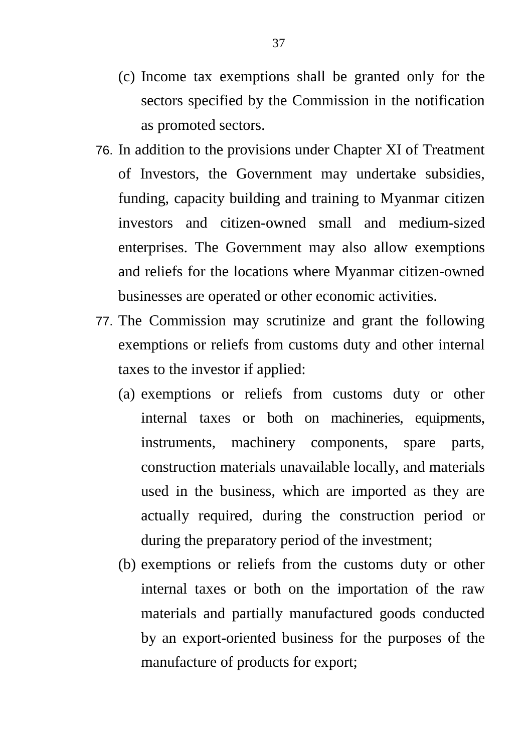- (c) Income tax exemptions shall be granted only for the sectors specified by the Commission in the notification as promoted sectors.
- 76. In addition to the provisions under Chapter XI of Treatment of Investors, the Government may undertake subsidies, funding, capacity building and training to Myanmar citizen investors and citizen-owned small and medium-sized enterprises. The Government may also allow exemptions and reliefs for the locations where Myanmar citizen-owned businesses are operated or other economic activities.
- 77. The Commission may scrutinize and grant the following exemptions or reliefs from customs duty and other internal taxes to the investor if applied:
	- (a) exemptions or reliefs from customs duty or other internal taxes or both on machineries, equipments, instruments, machinery components, spare parts, construction materials unavailable locally, and materials used in the business, which are imported as they are actually required, during the construction period or during the preparatory period of the investment;
	- (b) exemptions or reliefs from the customs duty or other internal taxes or both on the importation of the raw materials and partially manufactured goods conducted by an export-oriented business for the purposes of the manufacture of products for export;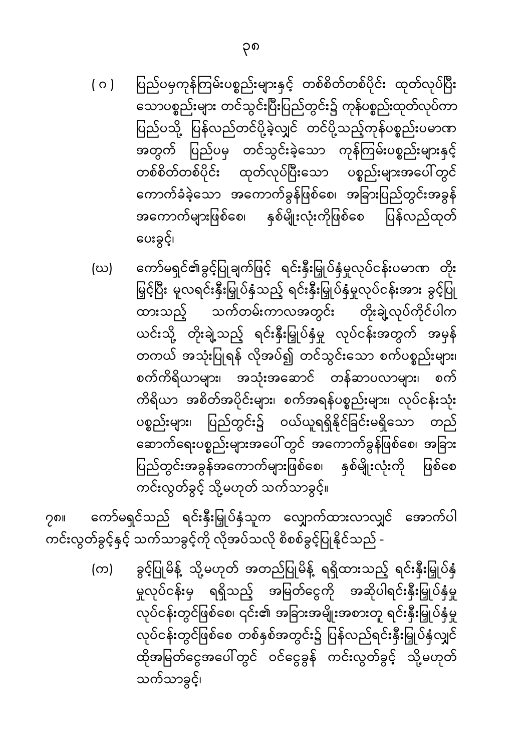- ပြည်ပမှကုန်ကြမ်းပစ္စည်းများနှင့် တစ်စိတ်တစ်ပိုင်း ထုတ်လုပ်ပြီး  $( 0 )$ —— -<br>သောပစ္စည်းများ တင်သွင်းပြီးပြည်တွင်း၌ ကုန်ပစ္စည်းထုတ်လုပ်ကာ .<br>ပြည်ပသို့ ပြန်လည်တင်ပို့ခဲ့လျှင် တင်ပို့သည့်ကုန်ပစ္စည်းပမာဏ အတွက် ပြည်ပမှ တင်သွင်းခဲ့သော ကုန်ကြမ်းပစ္စည်းများနှင့် တစ်စိတ်တစ်ပိုင်း ထုတ်လုပ်ပြီးသော ပစ္စည်းများအပေါ်တွင် ကောက်ခံခဲ့သော အကောက်ခွန်ဖြစ်စေ၊ အခြားပြည်တွင်းအခွန် အကောက်များဖြစ်စေ၊ နှစ်မျိုးလုံးကိုဖြစ်စေ ပြန်လည်ထုတ် ပေးခွင့်၊
- ကော်မရှင်၏ခွင့်ပြုချက်ဖြင့် ရင်းနှီးမြှုပ်နှံမှုလုပ်ငန်းပမာဏ တိုး (ဃ) မြှင့်ပြီး မူလရင်းနှီးမြှုပ်နှံသည့် ရင်းနှီးမြှုပ်နှံမှုလုပ်ငန်းအား ခွင့်ပြု ာ —-<br>သက်တမ်းကာလအတွင်း တိုးချဲ့လုပ်ကိုင်ပါက ထားသည့် ယင်းသို့ တိုးချဲ့သည့် ရင်းနှီးမြှုပ်နှံမှု လုပ်ငန်းအတွက် အမှန် .<br>တကယ် အသုံးပြုရန် လိုအပ်၍ တင်သွင်းသော စက်ပစ္စည်းများ၊ စက်ကိရိယာများ၊ အသုံးအဆောင် တန်ဆာပလာများ၊ စက် ကိရိယာ အစိတ်အပိုင်းများ၊ စက်အရန်ပစ္စည်းများ၊ လုပ်ငန်းသုံး ပစ္စည်းများ၊ ပြည်တွင်း၌ ဝယ်ယူရရှိနိုင်ခြင်းမရှိသော တည် ဆောက်ရေးပစ္စည်းများအပေါ် တွင်<sup>ီ</sup> အကောက်ခွန်ဖြစ်စေ၊ အခြား ပြည်တွင်းအခွန်အကောက်များဖြစ်စေ၊ နှစ်မျိုးလုံးကို ဖြစ်စေ ကင်းလွတ်ခွင့် သို့မဟုတ် သက်သာခွင့်။

ကော်မရှင်သည် ရင်းနှီးမြှုပ်နှံသူက လျှောက်ထားလာလျှင် အောက်ပါ ႒၈။ ကင်းလွတ်ခွင့်နှင့် သက်သာခွင့်ကို လိုအပ်သလို စိစစ်ခွင့်ပြုနိုင်သည် -

> ခွင့်ပြုမိန့် သို့မဟုတ် အတည်ပြုမိန့် ရရှိထားသည့် ရင်းနှီးမြှုပ်နှံ  $(\infty)$ မှုလုပ်ငန်းမှ ရရှိသည့် အမြတ်ငွေကို အဆိုပါရင်းနှီးမြှုပ်နှံမှု လုပ်ငန်းတွင်ဖြစ်စေ၊ ၎င်း၏ အခြားအမျိုးအစားတူ ရင်းနှီးမြှုပ်နှံမှု လုပ်ငန်းတွင်ဖြစ်စေ တစ်နှစ်အတွင်း၌ ပြန်လည်ရင်းနှီးမြှုပ်နှံလျှင် ထိုအမြတ်ငွေအပေါ် တွင် ဝင်ငွေခွန် ကင်းလွတ်ခွင့် သို့မဟုတ် သက်သာခွင့်၊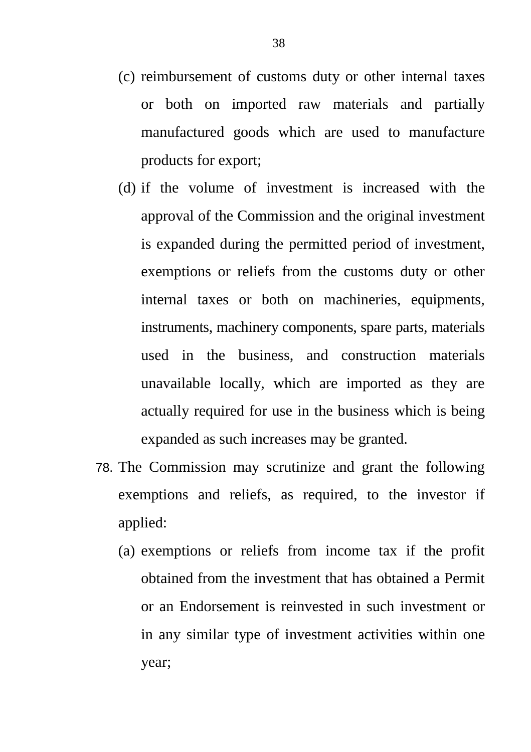- (c) reimbursement of customs duty or other internal taxes or both on imported raw materials and partially manufactured goods which are used to manufacture products for export;
- (d) if the volume of investment is increased with the approval of the Commission and the original investment is expanded during the permitted period of investment, exemptions or reliefs from the customs duty or other internal taxes or both on machineries, equipments, instruments, machinery components, spare parts, materials used in the business, and construction materials unavailable locally, which are imported as they are actually required for use in the business which is being expanded as such increases may be granted.
- 78. The Commission may scrutinize and grant the following exemptions and reliefs, as required, to the investor if applied:
	- (a) exemptions or reliefs from income tax if the profit obtained from the investment that has obtained a Permit or an Endorsement is reinvested in such investment or in any similar type of investment activities within one year;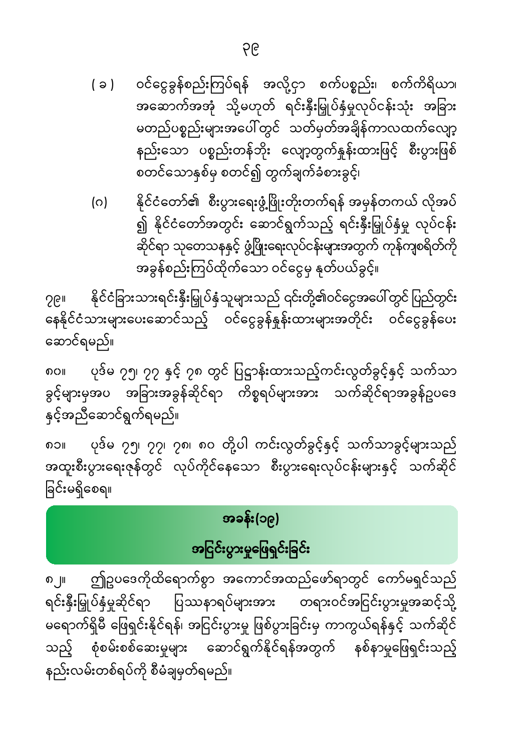- ဝင်ငွေခွန်စည်းကြပ်ရန် အလို့ငှာ စက်ပစ္စည်း၊ စက်ကိရိယာ၊  $(a)$ အဆောက်အအုံ သို့မဟုတ် ရင်းနှီးမြှုပ်နှံမှုလုပ်ငန်းသုံး အခြား မတည်ပစ္စည်းများအပေါ် တွင် သတ်မှတ်အချိန်ကာလထက်လျော့ နည်းသော ပစ္စည်းတန်ဘိုး လျော့တွက်နှုန်းထားဖြင့် စီးပွားဖြစ် စတင်သောနှစ်မှ စတင်၍ တွက်ချက်ခံစားခွင့်၊
- နိုင်ငံတော်၏ စီးပွားရေးဖွံ့ဖြိုးတိုးတက်ရန် အမှန်တကယ် လိုအပ် (ဂ) ၍ နိုင်ငံတော်အတွင်း ဆောင်ရွက်သည့် ရင်းနှီးမြှုပ်နှံမှု လုပ်ငန်း ဆိုင်ရာ သုတေသနနှင့် ဖွံ့ဖြိုးရေးလုပ်ငန်းများအတွက် ကုန်ကျစရိတ်ကို အခွန်စည်းကြပ်ထိုက်သော ဝင်ငွေမှ နုတ်ပယ်ခွင့်။

နိုင်ငံခြားသားရင်းနှီးမြှုပ်နှံသူများသည် ၎င်းတို့၏ဝင်ငွေအပေါ် တွင် ပြည်တွင်း ∑၆။ နေနိုင်ငံသားများပေးဆောင်သည့် ဝင်ငွေခွန်နှုန်းထားများအတိုင်း ဝင်ငွေခွန်ပေး ဆောင်ရမည်။

ပုဒ်မ ၇၅၊ ၇၇ နှင့် ၇၈ တွင် ပြဋ္ဌာန်းထားသည့်ကင်းလွတ်ခွင့်နှင့် သက်သာ ၈၀။ ခွင့်များမှအပ အခြားအခွန်ဆိုင်ရာ ကိစ္စရပ်များအား သက်ဆိုင်ရာအခွန်ဥပဒေ နှင့်အညီဆောင်ရွက်ရမည်။

ပုဒ်မ ၇၅၊ ၇၇၊ ၇၈၊ ၈၀ တို့ပါ ကင်းလွတ်ခွင့်နှင့် သက်သာခွင့်များသည် အထူးစီးပွားရေးဇုန်တွင် လုပ်ကိုင်နေသော စီးပွားရေးလုပ်ငန်းများနှင့် သက်ဆိုင် ခြင်းမရှိစေရ။

# အခန်း(၁၉)

# အငြင်းပွားမှုဖြေရှင်းခြင်း

ဤဥပဒေကိုထိရောက်စွာ အကောင်အထည်ဖော်ရာတွင် ကော်မရှင်သည် ၈၂။  $\blacksquare$ ရင်းနှီးမြှုပ်နှံမှုဆိုင်ရာ ပြဿနာရပ်များအား တရားဝင်အငြင်းပွားမှုအဆင့်သို့ မရောက်ရှိမီ ဖြေရှင်းနိုင်ရန်၊ အငြင်းပွားမှု ဖြစ်ပွားခြင်းမှ ကာကွယ်ရန်နှင့် သက်ဆိုင် သည့် စုံစမ်းစစ်ဆေးမှုများ ဆောင်ရွက်နိုင်ရန်အတွက် နစ်နာမှုဖြေရှင်းသည့် နည်းလမ်းတစ်ရပ်ကို စီမံချမှတ်ရမည်။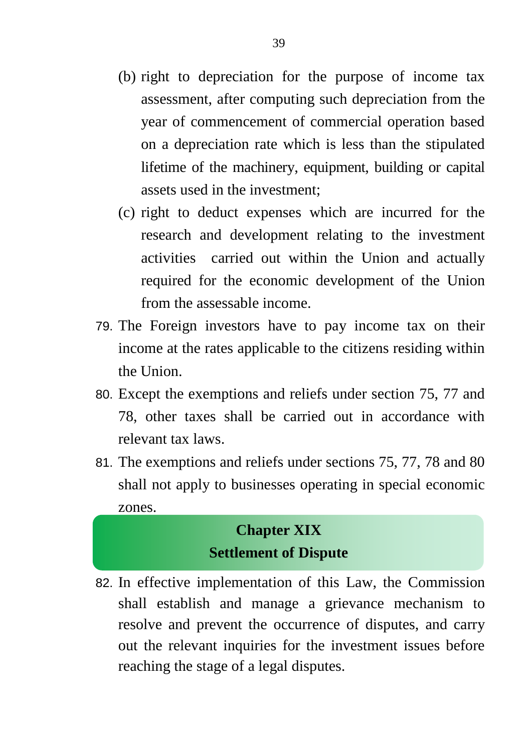- (b) right to depreciation for the purpose of income tax assessment, after computing such depreciation from the year of commencement of commercial operation based on a depreciation rate which is less than the stipulated lifetime of the machinery, equipment, building or capital assets used in the investment;
- (c) right to deduct expenses which are incurred for the research and development relating to the investment activities carried out within the Union and actually required for the economic development of the Union from the assessable income.
- 79. The Foreign investors have to pay income tax on their income at the rates applicable to the citizens residing within the Union
- 80. Except the exemptions and reliefs under section 75, 77 and 78, other taxes shall be carried out in accordance with relevant tax laws.
- 81. The exemptions and reliefs under sections 75, 77, 78 and 80 shall not apply to businesses operating in special economic zones.

#### **Chapter XIX Settlement of Dispute**

82. In effective implementation of this Law, the Commission shall establish and manage a grievance mechanism to resolve and prevent the occurrence of disputes, and carry out the relevant inquiries for the investment issues before reaching the stage of a legal disputes.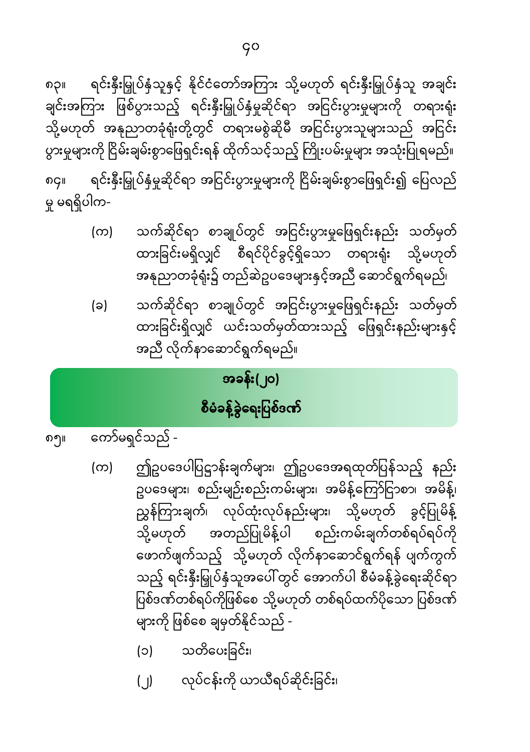- (၂) လုပ်ငန်းကို ယာယီရပ်ဆိုင်းခြင်း၊
- (၁) သတိပေးခြင်း၊

ဤဥပဒေပါပြဋ္ဌာန်းချက်များ၊ ဤဥပဒေအရထုတ်ပြန်သည့် နည်း ဥပဒေများ၊ စည်းမျဉ်းစည်းကမ်းများ၊ အမိန့်ကြော်ငြာစာ၊ အမိန့်၊ \_\_<br>ညွှန်ကြားချက်၊ လုပ်ထုံးလုပ်နည်းများ၊ သို့မဟုတ် ခွင့်ပြုမိန့် သို့မဟုတ် အတည်ပြုမိန့်ပါ စည်းကမ်းချက်တစ်ရပ်ရပ်ကို ဖောက်ဖျက်သည့် သို့မဟုတ် လိုက်နာဆောင်ရွက်ရန် ပျက်ကွက် သည့် ရင်းနှီးမြှုပ်နှံသူအပေါ် တွင် အောက်ပါ စီမံခန့်ခွဲရေးဆိုင်ရာ ပြစ်ဒဏ်တစ်ရပ်ကိုဖြစ်စေ သို့မဟုတ် တစ်ရပ်ထက်ပိုသော ပြစ်ဒဏ် များကို ဖြစ်စေ ချမှတ်နိုင်သည် -

သက်ဆိုင်ရာ စာချုပ်တွင် အငြင်းပွားမှုဖြေရှင်းနည်း သတ်မှတ်

ထားခြင်းရှိလျှင် ယင်းသတ်မှတ်ထားသည့် ဖြေရှင်းနည်းများနှင့်

ကော်မရှင်သည် -၈၅။

 $(\infty)$ 

(ခ)

# စီမံခန့်ခွဲရေးပြစ်ဒဏ်

#### အခန်း(၂၀)

အညီ လိုက်နာဆောင်ရွက်ရမည်။

သက်ဆိုင်ရာ စာချုပ်တွင် အငြင်းပွားမှုဖြေရှင်းနည်း သတ်မှတ် (က) ထားခြင်းမရှိလျှင် စီရင်ပိုင်ခွင့်ရှိသော တရားရံုး သို့မဟုတ် အနုညာတခုံရုံး၌ တည်ဆဲဥပဒေများနှင့်အညီ ဆောင်ရွက်ရမည်၊

ရင်းနှီးမြှုပ်နှံမှုဆိုင်ရာ အငြင်းပွားမှုများကို ငြိမ်းချမ်းစွာဖြေရှင်း၍ ပြေလည် ၈၄။ မှု မရရှိပါက-

ရင်းနှီးမြှုပ်နှံသူနှင့် နိုင်ငံတော်အကြား သို့မဟုတ် ရင်းနှီးမြှုပ်နှံသူ အချင်း ၈၃။ ချင်းအကြား ဖြစ်ပွားသည့် ရင်းနှီးမြှုပ်နှံမှုဆိုင်ရာ အငြင်းပွားမှုများကို တရားရုံး သို့မဟုတ် အနုညာတခုံရုံးတို့တွင် တရားမစွဲဆိုမီ အငြင်းပွားသူများသည် အငြင်း ပွားမှုများကို ငြိမ်းချမ်းစွာဖြေရှင်းရန် ထိုက်သင့်သည့် ကြိုးပမ်းမှုများ အသုံးပြုရမည်။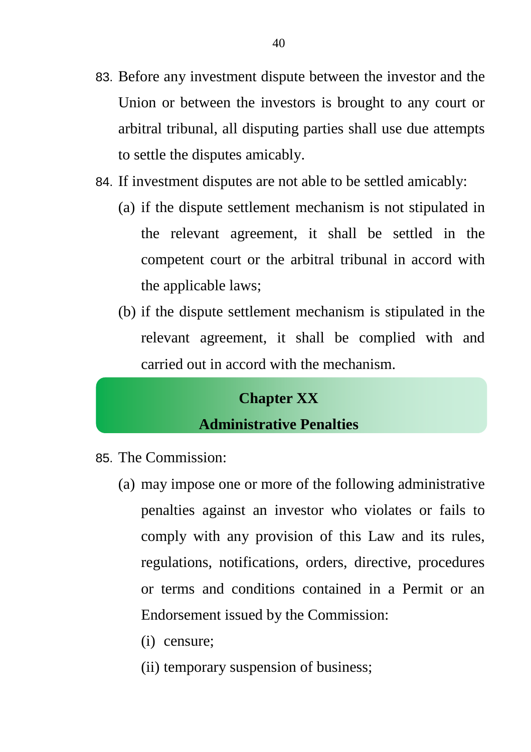- 83. Before any investment dispute between the investor and the Union or between the investors is brought to any court or arbitral tribunal, all disputing parties shall use due attempts to settle the disputes amicably.
- 84. If investment disputes are not able to be settled amicably:
	- (a) if the dispute settlement mechanism is not stipulated in the relevant agreement, it shall be settled in the competent court or the arbitral tribunal in accord with the applicable laws;
	- (b) if the dispute settlement mechanism is stipulated in the relevant agreement, it shall be complied with and carried out in accord with the mechanism.

### **Chapter XX Administrative Penalties**

- 85. The Commission:
	- (a) may impose one or more of the following administrative penalties against an investor who violates or fails to comply with any provision of this Law and its rules, regulations, notifications, orders, directive, procedures or terms and conditions contained in a Permit or an Endorsement issued by the Commission:
		- (i) censure;
		- (ii) temporary suspension of business;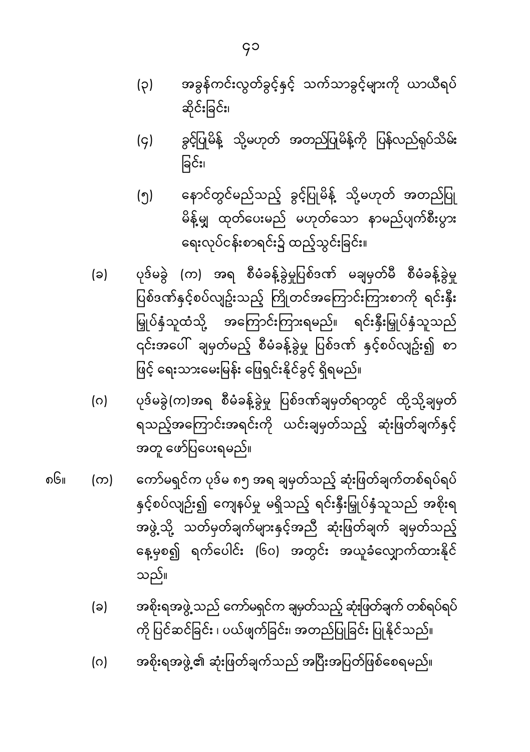- အခွန်ကင်းလွတ်ခွင့်နှင့် သက်သာခွင့်များကို ယာယီရပ် (၃) ဆိုင်းခြင်း၊
- ခွင့်ပြုမိန့် သို့မဟုတ် အတည်ပြုမိန့်ကို ပြန်လည်ရှပ်သိမ်း  $(q)$ ခြင်း၊
- နောင်တွင်မည်သည့် ခွင့်ပြုမိန့် သို့မဟုတ် အတည်ပြု (၅) မိန့်မျှ ထုတ်ပေးမည် မဟုတ်သော နာမည်ပျက်စီးပွား ရေးလုပ်ငန်းစာရင်း၌ ထည့်သွင်းခြင်း။
- ပုဒ်မခွဲ (က) အရ စီမံခန့်ခွဲမှုပြစ်ဒဏ် မချမှတ်မီ စီမံခန့်ခွဲမှု (ခ) ပြစ်ဒဏ်နှင့်စပ်လျဥ်းသည့် ကြိုတင်အကြောင်းကြားစာကို ရင်းနှီး မြှုပ်နှံသူထံသို့ အကြောင်းကြားရမည်။ ရင်းနှီးမြှုပ်နှံသူသည် ၎င်းအပေါ် ချမှတ်မည့် စီမံခန့်ခွဲမှု ပြစ်ဒဏ် နှင့်စပ်လျဥ်း၍ စာ ဖြင့် ရေးသားမေးမြန်း ဖြေရှင်းနိုင်ခွင့် ရှိရမည်။
- ပုဒ်မခွဲ(က)အရ စီမံခန့်ခွဲမှု ပြစ်ဒဏ်ချမှတ်ရာတွင် ထို့သို့ချမှတ် (ဂ) ရသည့်အကြောင်းအရင်းကို ယင်းချမှတ်သည့် ဆုံးဖြတ်ချက်နှင့် အတူ ဖော်ပြပေးရမည်။
- ၈၆။ ကော်မရှင်က ပုဒ်မ ၈၅ အရ ချမှတ်သည့် ဆုံးဖြတ်ချက်တစ်ရပ်ရပ် (က) နှင့်စပ်လျဉ်း၍ ကျေနပ်မှု မရှိသည့် ရင်းနှီးမြှုပ်နှံသူသည် အစိုးရ အဖွဲ့သို့ သတ်မှတ်ချက်များနှင့်အညီ ဆုံးဖြတ်ချက် ချမှတ်သည့် နေ့မှစ၍ ရက်ပေါင်း (၆၀) အတွင်း အယူခံလျှောက်ထားနိုင် သည်။
	- အစိုးရအဖွဲ့ သည် ကော်မရှင်က ချမှတ်သည့် ဆုံးဖြတ်ချက် တစ်ရပ်ရပ် (ခ) ကို ပြင်ဆင်ခြင်း ၊ ပယ်ဖျက်ခြင်း၊ အတည်ပြုခြင်း ပြုနိုင်သည်။
	- အစိုးရအဖွဲ့၏ ဆုံးဖြတ်ချက်သည် အပြီးအပြတ်ဖြစ်စေရမည်။  $(0)$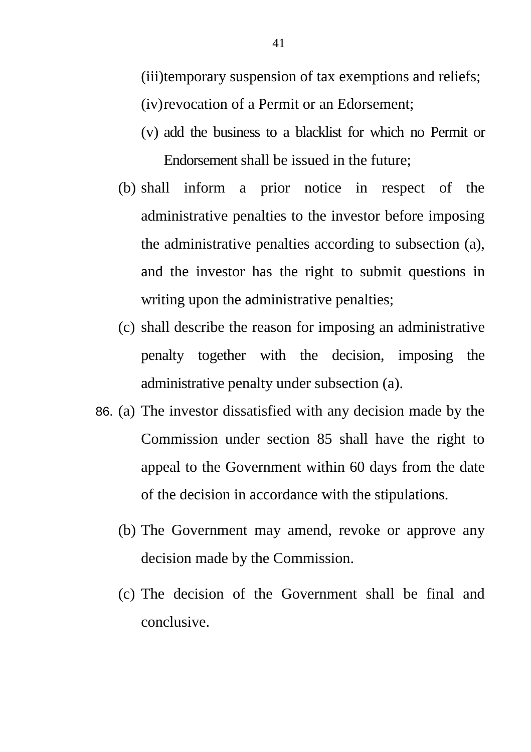(iii)temporary suspension of tax exemptions and reliefs; (iv)revocation of a Permit or an Edorsement;

- (v) add the business to a blacklist for which no Permit or Endorsement shall be issued in the future;
- (b) shall inform a prior notice in respect of the administrative penalties to the investor before imposing the administrative penalties according to subsection (a), and the investor has the right to submit questions in writing upon the administrative penalties;
- (c) shall describe the reason for imposing an administrative penalty together with the decision, imposing the administrative penalty under subsection (a).
- 86. (a) The investor dissatisfied with any decision made by the Commission under section 85 shall have the right to appeal to the Government within 60 days from the date of the decision in accordance with the stipulations.
	- (b) The Government may amend, revoke or approve any decision made by the Commission.
	- (c) The decision of the Government shall be final and conclusive.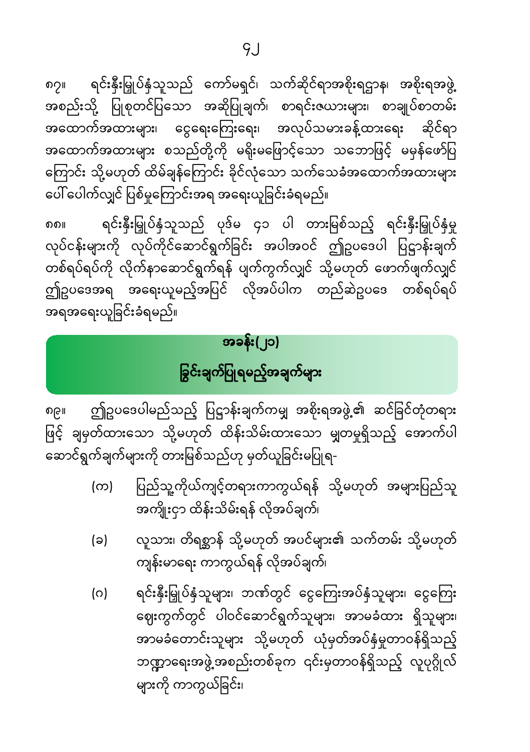$9.1$ 

၈၇။ ရင်းနှီးမြှုပ်နှံသူသည် ကော်မရှင်၊ သက်ဆိုင်ရာအစိုးရဌာန၊ အစိုးရအဖွဲ့ အစည်းသို့ ပြုစုတင်ပြသော အဆိုပြုချက်၊ စာရင်းဇယားများ၊ စာချုပ်စာတမ်း အထောက်အထားများ၊ ငွေရေးကြေးရေး၊ အလုပ်သမားခန့်ထားရေး ဆိုင်ရာ အထောက်အထားများ စသည်တို့ကို မရိုးမဖြောင့်သော သဘောဖြင့် မမှန်ဖော်ပြ ကြောင်း သို့မဟုတ် ထိမ်ချန်ကြောင်း ခိုင်လုံသော သက်သေခံအထောက်အထားများ ပေါ်ပေါက်လျှင် ပြစ်မှုကြောင်းအရ အရေးယူခြင်းခံရမည်။

၈၈။ ရင်းနှီးမြှုပ်နှံသူသည် ပုဒ်မ ၄၁ ပါ တားမြစ်သည့် ရင်းနှီးမြှုပ်နှံမှု လုပ်ငန်းများကို လုပ်ကိုင်ဆောင်ရွက်ခြင်း အပါအဝင် ဤဥပဒေပါ ပြဋ္ဌာန်းချက် တစ်ရပ်ရပ်ကို လိုက်နာဆောင်ရွက်ရန် ပျက်ကွက်လျှင် သို့မဟုတ် ဖောက်ဖျက်လျှင် ဤဥပဒေအရ အရေးယူမည့်အပြင် လိုအပ်ပါက တည်ဆဲဥပဒေ တစ်ရပ်ရပ် အရအရေးယူခြင်းခံရမည်။

#### အခန်း(၂၁)

# ခြွင်းချက်ပြုရမည့်အချက်များ

၈၉။ ဤဥပဒေပါမည်သည့် ပြဋ္ဌာန်းချက်ကမျှ အစိုးရအဖွဲ့၏ ဆင်ခြင်တုံတရား ဖြင့် ချမှတ်ထားသော သို့မဟုတ် ထိန်းသိမ်းထားသော မျှတမှုရှိသည့် အောက်ပါ ဆောင်ရွက်ချက်များကို တားမြစ်သည်ဟု မှတ်ယူခြင်းမပြုရ-

> (က) ပြည်သူ့ကိုယ်ကျင့်တရားကာကွယ်ရန် သို့မဟုတ် အများပြည်သူ အကျိုးငှာ ထိန်းသိမ်းရန် လိုအပ်ချက်၊

(ခ) လူသား၊ တိရစ�ာန် သို�မဟုတ် အပင်များ၏ သက်တမ်း သို�မဟုတ် ကျန်းမာေရး ကာကွယ်ရန် လိုအပ်ချက်၊

(ဂ) ရင်းနှီးမြှုပ်နှံသူများ၊ ဘဏ်တွင် ငွေကြေးအပ်နှံသူများ၊ ငွေကြေး ေဈးကွက်တွင် ပါဝင်ေဆာင်ရွက်သူများ၊ အာမခံထား ရှိသူများ၊ အာမခံတောင်းသူများ သို့မဟုတ် ယုံမှတ်အပ်နှံမှုတာဝန်ရှိသည့် ဘဏ္ဍာရေးအဖွဲ့ အစည်းတစ်ခုက ၎င်းမှတာဝန်ရှိသည့် လူပုဂ္ဂိုလ်

များကို ကာကွယ်ခြင်း၊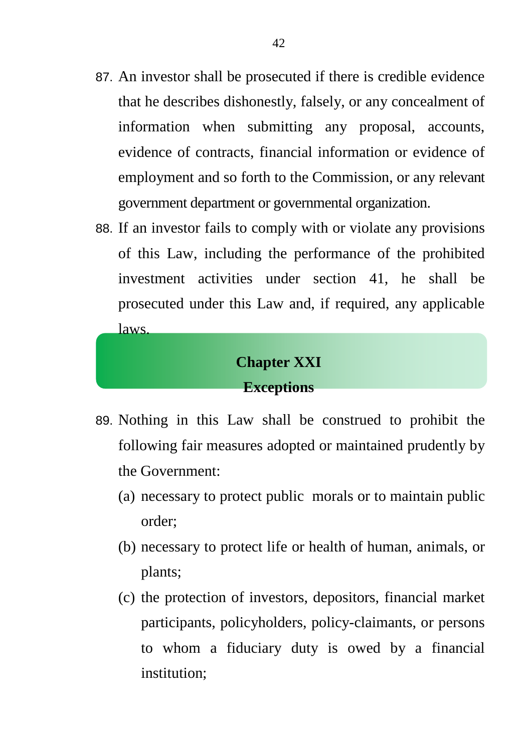- 87. An investor shall be prosecuted if there is credible evidence that he describes dishonestly, falsely, or any concealment of information when submitting any proposal, accounts, evidence of contracts, financial information or evidence of employment and so forth to the Commission, or any relevant government department or governmental organization.
- 88. If an investor fails to comply with or violate any provisions of this Law, including the performance of the prohibited investment activities under section 41, he shall be prosecuted under this Law and, if required, any applicable laws.

#### **Chapter XXI Exceptions**

- 89. Nothing in this Law shall be construed to prohibit the following fair measures adopted or maintained prudently by the Government:
	- (a) necessary to protect public morals or to maintain public order;
	- (b) necessary to protect life or health of human, animals, or plants;
	- (c) the protection of investors, depositors, financial market participants, policyholders, policy-claimants, or persons to whom a fiduciary duty is owed by a financial institution;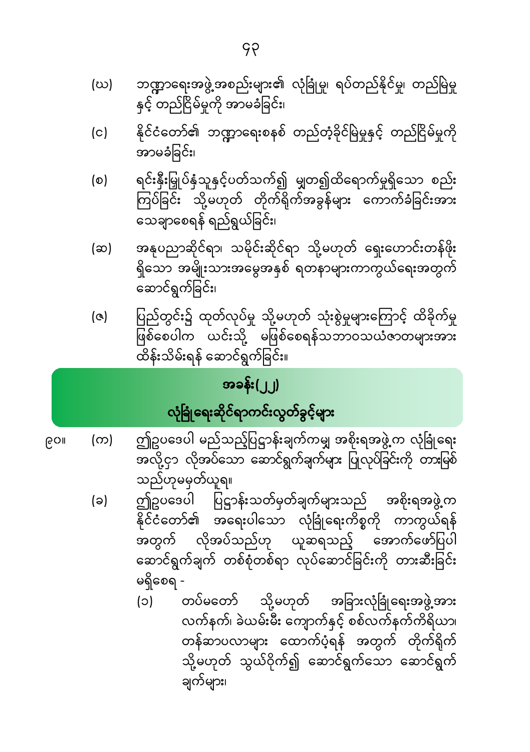- ဘဏ္ဍာရေးအဖွဲ့အစည်းများ၏ လုံခြုံမှု၊ ရပ်တည်နိုင်မှု၊ တည်မြဲမှု (ဃ) နှင့် တည်ငြိမ်မှုကို အာမခံခြင်း၊
- နိုင်ငံတော်၏ ဘဏ္ဍာရေးစနစ် တည်တံ့ခိုင်မြဲမှုနှင့် တည်ငြိမ်မှုကို  $(c)$ အာမခံခြင်း၊
- ရင်းနှီးမြှုပ်နှံသူနှင့်ပတ်သက်၍ မျှတ၍ထိရောက်မှုရှိသော စည်း (စ) သေချာစေရန် ရည်ရွယ်ခြင်း၊
- အနုပညာဆိုင်ရာ၊ သမိုင်းဆိုင်ရာ သို့မဟုတ် ရှေးဟောင်းတန်ဖိုး (ဆ) ရှိသော အမျိုးသားအမွေအနှစ် ရတနာများကာကွယ်ရေးအတွက် ဆောင်ရွက်ခြင်း၊
- ပြည်တွင်း၌ ထုတ်လုပ်မှု သို့မဟုတ် သုံးစွဲမှုများကြောင့် ထိခိုက်မှု  $\left( \infty \right)$ မြော်<br>ဖြစ်စေပါက ယင်းသို့ မဖြစ်စေရန်သဘာဝသယံဇာတများအား ထိန်းသိမ်းရန် ဆောင်ရွက်ခြင်း။

# အခ<mark>န်း</mark>(၂၂) လုံခြုံရေးဆိုင်ရာကင်းလွတ်ခွင့်များ

- ဤဥပဒေပါ မည်သည့်ပြဋ္ဌာန်းချက်ကမျှ အစိုးရအဖွဲ့က လုံခြုံရေး (က) ၉၀။ သည်ဟုမမှတ်ယူရ။
	- ဤဥပဒေပါ ပြဋ္ဌာန်းသတ်မှတ်ချက်များသည် အစိုးရအဖွဲ့က  $(a)$ ှ<br>အတွက် လိုအပ်သည်ဟု ယူဆရသည့် အောက်ဖော်ပြပါ ဆောင်ရွက်ချက် တစ်စုံတစ်ရာ လုပ်ဆောင်ခြင်းကို တားဆီးခြင်း မရှိစေရ -
		- တပ်မတော် သို့မဟုတ် အခြားလုံခြုံရေးအဖွဲ့အား  $(c)$ လက်နက်၊ ခဲယမ်းမီး ကျောက်နှင့် စစ်လက်နက်ကိရိယာ၊ တန်ဆာပလာများ ထောက်ပံ့ရန် အတွက် တိုက်ရိုက် သို့မဟုတ် သွယ်ဝိုက်၍ ဆောင်ရွက်သော ဆောင်ရွက် ချက်များ၊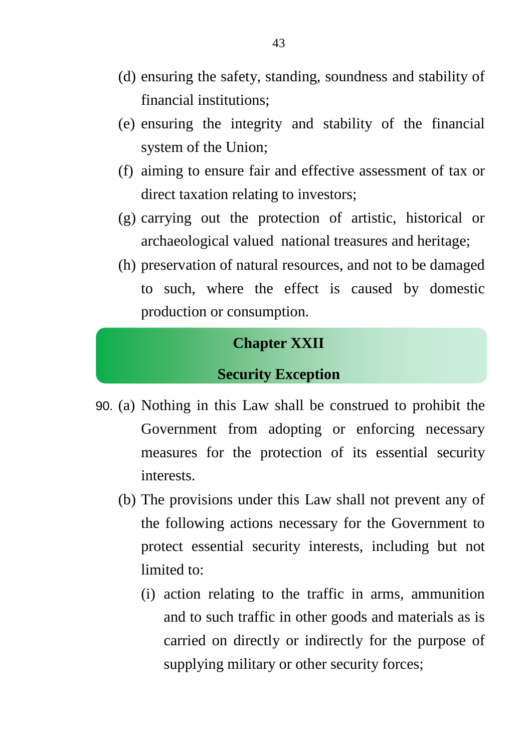- (d) ensuring the safety, standing, soundness and stability of financial institutions;
- (e) ensuring the integrity and stability of the financial system of the Union;
- (f) aiming to ensure fair and effective assessment of tax or direct taxation relating to investors;
- (g) carrying out the protection of artistic, historical or archaeological valued national treasures and heritage;
- (h) preservation of natural resources, and not to be damaged to such, where the effect is caused by domestic production or consumption.

#### **Chapter XXII**

#### **Security Exception**

- 90. (a) Nothing in this Law shall be construed to prohibit the Government from adopting or enforcing necessary measures for the protection of its essential security interests.
	- (b) The provisions under this Law shall not prevent any of the following actions necessary for the Government to protect essential security interests, including but not limited to:
		- (i) action relating to the traffic in arms, ammunition and to such traffic in other goods and materials as is carried on directly or indirectly for the purpose of supplying military or other security forces;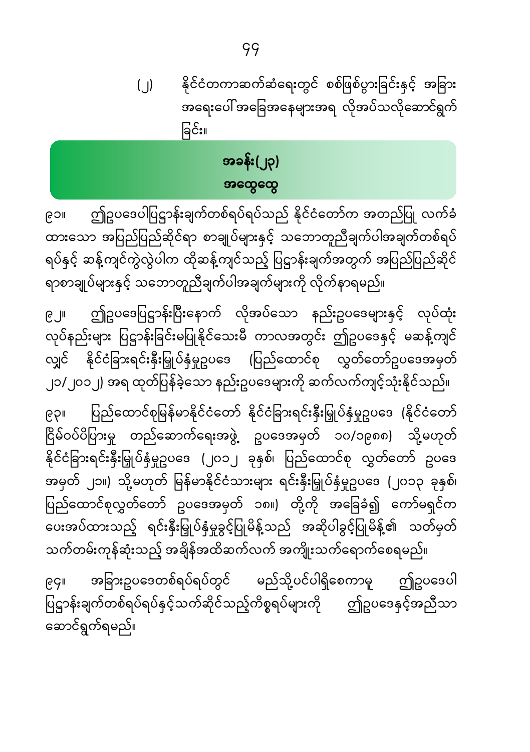နိုင်ငံတကာဆက်ဆံရေးတွင် စစ်ဖြစ်ပွားခြင်းနှင့် အခြား  $(\bigcup)$ အရေးပေါ် အခြေအနေများအရ လိုအပ်သလိုဆောင်ရွက် ခြင်း။

### အခန်း(၂၃) အထွေထွေ

ဤဥပဒေပါပြဋ္ဌာန်းချက်တစ်ရပ်ရပ်သည် နိုင်ငံတော်က အတည်ပြု လက်ခံ ၉၁။ ထားသော အပြည်ပြည်ဆိုင်ရာ စာချုပ်များနှင့် သဘောတူညီချက်ပါအချက်တစ်ရပ် ရပ်နှင့် ဆန့်ကျင်ကွဲလွဲပါက ထိုဆန့်ကျင်သည့် ပြဋ္ဌာန်းချက်အတွက် အပြည်ပြည်ဆိုင် ရာစာချုပ်များနှင့် သဘောတူညီချက်ပါအချက်များကို လိုက်နာရမည်။

ဤဥပဒေပြဋ္ဌာန်းပြီးနောက် လိုအပ်သော နည်းဥပဒေများနှင့် လုပ်ထုံး  $\mathsf{e}$  JI လုပ်နည်းများ ပြဋ္ဌာန်းခြင်းမပြုနိုင်သေးမီ ကာလအတွင်း ဤဥပဒေနှင့် မဆန့်ကျင် လျှင် နိုင်ငံခြားရင်းနှီးမြှုပ်နှံမှုဥပဒေ (ပြည်ထောင်စု လွှတ်တော်ဥပဒေအမှတ် ၂၁/၂၀၁၂) အရ ထုတ်ပြန်ခဲ့သော နည်းဥပဒေများကို ဆက်လက်ကျင့်သုံးနိုင်သည်။

ပြည်ထောင်စုမြန်မာနိုင်ငံတော် နိုင်ငံခြားရင်းနှီးမြှုပ်နှံမှုဥပဒေ (နိုင်ငံတော် **IICSI** ငြိမ်ဝပ်ပိပြားမှု တည်ဆောက်ရေးအဖွဲ့ ဥပဒေအမှတ် ၁၀/၁၉၈၈) သို့မဟုတ် နိုင်ငံခြားရင်းနှီးမြှုပ်နှံမှုဥပဒေ (၂၀၁၂ ခုနှစ်၊ ပြည်ထောင်စု လွှတ်တော် ဥပဒေ အမှတ် ၂၁။) သို့မဟုတ် မြန်မာနိုင်ငံသားများ ရင်းနှီးမြှုပ်နှံမှုဥပဒေ (၂၀၁၃ ခုနှစ်၊ ပြည်ထောင်စုလွှတ်တော် ဥပဒေအမှတ် ၁၈။) တို့ကို အခြေခံ၍ ကော်မရှင်က ပေးအပ်ထားသည့် ရင်းနှီးမြှုပ်နှံမှုခွင့်ပြုမိန့်သည် အဆိုပါခွင့်ပြုမိန့်၏ သတ်မှတ် သက်တမ်းကုန်ဆုံးသည့် အချိန်အထိဆက်လက် အကျိုးသက်ရောက်စေရမည်။

အခြားဥပဒေတစ်ရပ်ရပ်တွင် မည်သို့ပင်ပါရှိစေကာမူ ဤဥပဒေပါ ၉၄။ ပြဋ္ဌာန်းချက်တစ်ရပ်ရပ်နှင့်သက်ဆိုင်သည့်ကိစ္စရပ်များကို ဤဥပဒေနှင့်အညီသာ ဆောင်ရွက်ရမည်။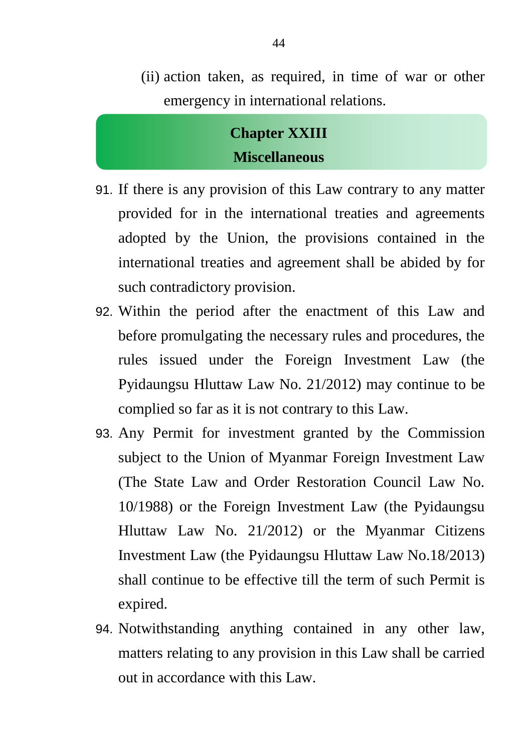(ii) action taken, as required, in time of war or other emergency in international relations.

#### **Chapter XXIII Miscellaneous**

- 91. If there is any provision of this Law contrary to any matter provided for in the international treaties and agreements adopted by the Union, the provisions contained in the international treaties and agreement shall be abided by for such contradictory provision.
- 92. Within the period after the enactment of this Law and before promulgating the necessary rules and procedures, the rules issued under the Foreign Investment Law (the Pyidaungsu Hluttaw Law No. 21/2012) may continue to be complied so far as it is not contrary to this Law.
- 93. Any Permit for investment granted by the Commission subject to the Union of Myanmar Foreign Investment Law (The State Law and Order Restoration Council Law No. 10/1988) or the Foreign Investment Law (the Pyidaungsu Hluttaw Law No. 21/2012) or the Myanmar Citizens Investment Law (the Pyidaungsu Hluttaw Law No.18/2013) shall continue to be effective till the term of such Permit is expired.
- 94. Notwithstanding anything contained in any other law, matters relating to any provision in this Law shall be carried out in accordance with this Law.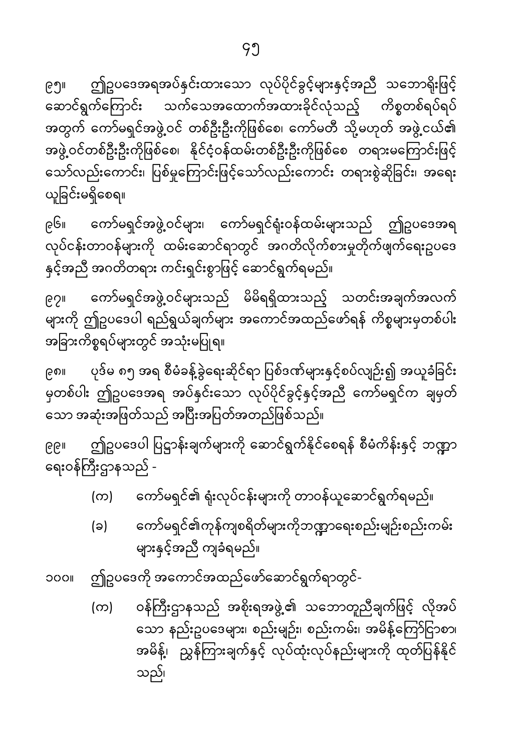၉၅။ ဤဥပဒေအရအပ်နှင်းထားသော လုပ်ပိုင်ခွင့်များနှင့်အညီ သဘောရိုးဖြင့် ဆောင်ရွက်ကြောင်း သက်သေအထောက်အထားခိုင်လုံသည့် ကိစ္စတစ်ရပ်ရပ် အတွက် ကော်မရှင်အဖွဲ့ဝင် တစ်ဦးဦးကိုဖြစ်စေ၊ ကော်မတီ သို့မဟုတ် အဖွဲ့ငယ်၏ အဖွဲ့ ဝင်တစ်ဦးဦးကိုဖြစ်စေ၊ နိုင်ငံ့ဝန်ထမ်းတစ်ဦးဦးကိုဖြစ်စေ တရားမကြောင်းဖြင့် သော်လည်းကောင်း၊ ပြစ်မှုကြောင်းဖြင့်သော်လည်းကောင်း တရားစွဲဆိုခြင်း၊ အရေး ယူ ခြ င်းမရှိေစရ။

၉၆။ ေကာ်မရှင်အဖွဲ�ဝင်များ၊ ေကာ်မရှင်�ုံးဝန်ထမ်းများသည် ဤဥပေဒအရ လုပ်ငန်းတာဝန်များကို ထမ်းဆောင်ရာတွင် အဂတိလိုက်စားမှုတိုက်ဖျက်ရေးဥပဒေ နှင့်အညီ အဂတိတရား ကင်းရှင်းစွာဖြင့် ဆောင်ရွက်ရမည်။

၉၇။ ေကာ်မရှင်အဖွဲ�ဝင်များသည် မိမိရရှိထားသည့် သတင်းအချက်အလက် များကို ဤဥပဒေပါ ရည်ရွယ်ချက်များ အကောင်အထည်ဖော်ရန် ကိစ္စများမှတစ်ပါး အခြားကိစ္စရပ်များတွင် အသုံးမပြုရ။

၉၈။ ပုဒ်မ ၈၅ အရ စီမံခန့်ခွဲရေးဆိုင်ရာ ပြစ်ဒဏ်များနှင့်စပ်လျဉ်း၍ အယူခံခြင်း မှတစ်ပါး ဤဥပေဒအရ အပ်�ှင်းေသာ လုပ်ပိုင်ခွင့်�ှင့်အညီ ေကာ်မရှင်က ချမှတ် သော အဆုံးအဖြတ်သည် အပြီးအပြတ်အတည်ဖြစ်သည်။

၉၉။ ဤဥပဒေပါ ပြဋ္ဌာန်းချက်များကို ဆောင်ရွက်နိုင်စေရန် စီမံကိန်းနှင့် ဘဏ္ဍာ ရေးဝန်ကြီးဌာနသည် -

- (က) ေကာ်မရှင်၏ �ုံးလုပ်ငန်းများကို တာဝန်ယူေဆာင်ရွက်ရမည်။
- (ခ) ကော်မရှင်၏ကုန်ကျစရိတ်များကိုဘဏ္ဍာရေးစည်းမျဉ်းစည်းကမ်း များ�ှင့်အညီ ကျခံရမည်။
- ၁၀၀။ ဤဥပေဒကို အေကာင်အထည်ေဖာ်ေဆာင်ရွက်ရာတွင်-
	- (က) ဝန်ကြီးဌာနသည် အစိုးရအဖွဲ့၏ သဘောတူညီချက်ဖြင့် လိုအပ် သော နည်းဥပဒေများ၊ စည်းမျဉ်း၊ စည်းကမ်း၊ အမိန့်ကြော်ငြာစာ၊ အမိန့်၊ ညွှန်ကြားချက်နှင့် လုပ်ထုံးလုပ်နည်းများကို ထုတ်ပြန်နိုင် သည်၊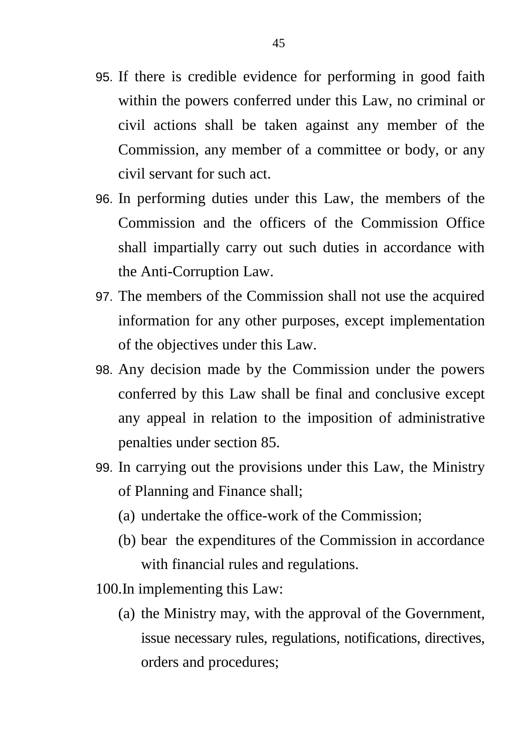- 95. If there is credible evidence for performing in good faith within the powers conferred under this Law, no criminal or civil actions shall be taken against any member of the Commission, any member of a committee or body, or any civil servant for such act.
- 96. In performing duties under this Law, the members of the Commission and the officers of the Commission Office shall impartially carry out such duties in accordance with the Anti-Corruption Law.
- 97. The members of the Commission shall not use the acquired information for any other purposes, except implementation of the objectives under this Law.
- 98. Any decision made by the Commission under the powers conferred by this Law shall be final and conclusive except any appeal in relation to the imposition of administrative penalties under section 85.
- 99. In carrying out the provisions under this Law, the Ministry of Planning and Finance shall;
	- (a) undertake the office-work of the Commission;
	- (b) bear the expenditures of the Commission in accordance with financial rules and regulations.
- 100.In implementing this Law:
	- (a) the Ministry may, with the approval of the Government, issue necessary rules, regulations, notifications, directives, orders and procedures;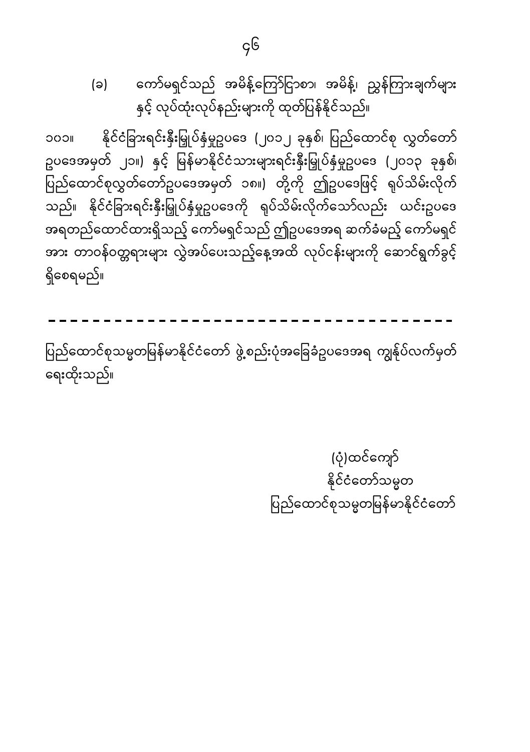(ပုံ)ထင်ကျော် နိုင်ငံတော်သမ္မတ ပြည်ထောင်စုသမ္မတမြန်မာနိုင်ငံတော်

ပြည်ထောင်စုသမ္မတမြန်မာနိုင်ငံတော် ဖွဲ့စည်းပုံအခြေခံဥပဒေအရ ကျွန်ုပ်လက်မှတ် ရေးထိုးသည်။

နိုင်ငံခြားရင်းနှီးမြှုပ်နှံမှုဥပဒေ (၂၀၁၂ ခုနှစ်၊ ပြည်ထောင်စု လွှတ်တော် **IICOC** ဥပဒေအမှတ် ၂၁။) နှင့် မြန်မာနိုင်ငံသားများရင်းနှီးမြှုပ်နှံမှုဥပဒေ (၂၀၁၃ ခုနှစ်၊ ပြည်ထောင်စုလွှတ်တော်ဥပဒေအမှတ် ၁၈။) တို့ကို ဤဥပဒေဖြင့် ရုပ်သိမ်းလိုက် သည်။ နိုင်ငံခြားရင်းနှီးမြှုပ်နှံမှုဥပဒေကို ရုပ်သိမ်းလိုက်သော်လည်း ယင်းဥပဒေ အရတည်ထောင်ထားရှိသည့် ကော်မရှင်သည် ဤဥပဒေအရ ဆက်ခံမည့် ကော်မရှင် အား တာဝန်ဝတ္တရားများ လွှဲအပ်ပေးသည့်နေ့အထိ လုပ်ငန်းများကို ဆောင်ရွက်ခွင့် ရှိစေရမည်။

ကော်မရှင်သည် အမိန့်ကြော်ငြာစာ၊ အမိန့်၊ ညွှန်ကြားချက်များ (ခ) နှင့် လုပ်ထုံးလုပ်နည်းများကို ထုတ်ပြန်နိုင်သည်။